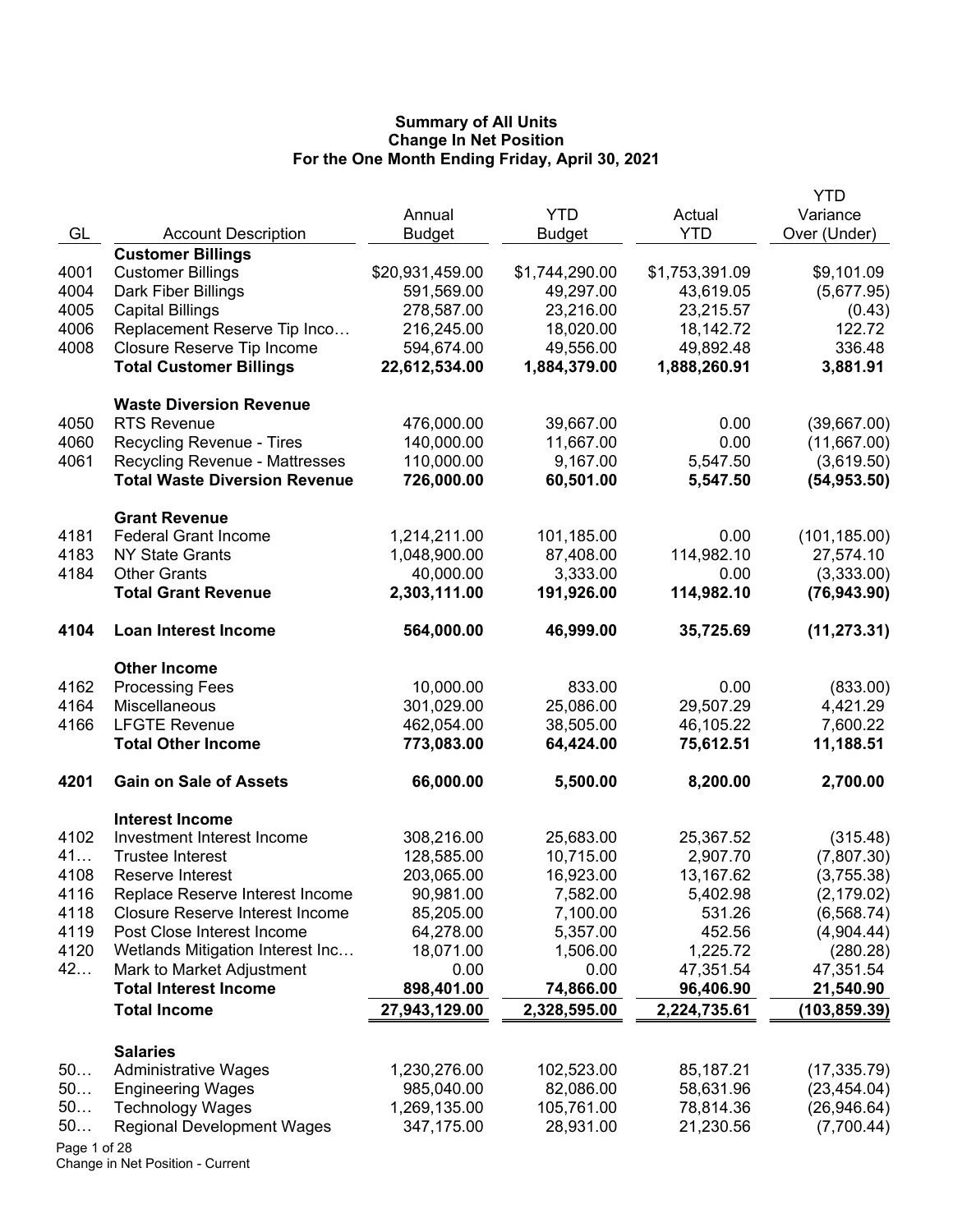|      |                                                      |                 |                |                | YTD           |
|------|------------------------------------------------------|-----------------|----------------|----------------|---------------|
|      |                                                      | Annual          | <b>YTD</b>     | Actual         | Variance      |
| GL   | <b>Account Description</b>                           | <b>Budget</b>   | <b>Budget</b>  | <b>YTD</b>     | Over (Under)  |
|      | <b>Customer Billings</b>                             |                 |                |                |               |
| 4001 | <b>Customer Billings</b>                             | \$20,931,459.00 | \$1,744,290.00 | \$1,753,391.09 | \$9,101.09    |
| 4004 | Dark Fiber Billings                                  | 591,569.00      | 49,297.00      | 43,619.05      | (5,677.95)    |
| 4005 | <b>Capital Billings</b>                              | 278,587.00      | 23,216.00      | 23,215.57      | (0.43)        |
| 4006 | Replacement Reserve Tip Inco                         | 216,245.00      | 18,020.00      | 18,142.72      | 122.72        |
| 4008 | Closure Reserve Tip Income                           | 594,674.00      | 49,556.00      | 49,892.48      | 336.48        |
|      | <b>Total Customer Billings</b>                       | 22,612,534.00   | 1,884,379.00   | 1,888,260.91   | 3,881.91      |
|      | <b>Waste Diversion Revenue</b>                       |                 |                |                |               |
| 4050 | <b>RTS Revenue</b>                                   | 476,000.00      | 39,667.00      | 0.00           | (39,667.00)   |
| 4060 | Recycling Revenue - Tires                            | 140,000.00      | 11,667.00      | 0.00           | (11,667.00)   |
| 4061 | <b>Recycling Revenue - Mattresses</b>                | 110,000.00      | 9,167.00       | 5,547.50       | (3,619.50)    |
|      | <b>Total Waste Diversion Revenue</b>                 | 726,000.00      | 60,501.00      | 5,547.50       | (54, 953.50)  |
|      | <b>Grant Revenue</b>                                 |                 |                |                |               |
| 4181 | <b>Federal Grant Income</b>                          | 1,214,211.00    | 101,185.00     | 0.00           | (101, 185.00) |
| 4183 | <b>NY State Grants</b>                               | 1,048,900.00    | 87,408.00      | 114,982.10     | 27,574.10     |
| 4184 | <b>Other Grants</b>                                  | 40,000.00       | 3,333.00       | 0.00           | (3,333.00)    |
|      | <b>Total Grant Revenue</b>                           | 2,303,111.00    | 191,926.00     | 114,982.10     | (76, 943.90)  |
|      |                                                      |                 |                |                |               |
| 4104 | <b>Loan Interest Income</b>                          | 564,000.00      | 46,999.00      | 35,725.69      | (11, 273.31)  |
|      | <b>Other Income</b>                                  |                 |                |                |               |
| 4162 | <b>Processing Fees</b>                               | 10,000.00       | 833.00         | 0.00           | (833.00)      |
| 4164 | Miscellaneous                                        | 301,029.00      | 25,086.00      | 29,507.29      | 4,421.29      |
| 4166 | <b>LFGTE Revenue</b>                                 | 462,054.00      | 38,505.00      | 46,105.22      | 7,600.22      |
|      | <b>Total Other Income</b>                            | 773,083.00      | 64,424.00      | 75,612.51      | 11,188.51     |
| 4201 | <b>Gain on Sale of Assets</b>                        | 66,000.00       | 5,500.00       | 8,200.00       | 2,700.00      |
|      |                                                      |                 |                |                |               |
| 4102 | <b>Interest Income</b><br>Investment Interest Income | 308,216.00      | 25,683.00      | 25,367.52      | (315.48)      |
| 41   | <b>Trustee Interest</b>                              | 128,585.00      | 10,715.00      | 2,907.70       | (7,807.30)    |
| 4108 | Reserve Interest                                     | 203,065.00      | 16,923.00      | 13,167.62      | (3,755.38)    |
| 4116 | Replace Reserve Interest Income                      | 90,981.00       | 7,582.00       | 5,402.98       | (2, 179.02)   |
| 4118 | Closure Reserve Interest Income                      | 85,205.00       | 7,100.00       | 531.26         | (6, 568.74)   |
| 4119 | Post Close Interest Income                           | 64,278.00       | 5,357.00       | 452.56         | (4,904.44)    |
| 4120 | Wetlands Mitigation Interest Inc                     | 18,071.00       | 1,506.00       | 1,225.72       | (280.28)      |
| 42   | Mark to Market Adjustment                            | 0.00            | 0.00           | 47,351.54      | 47,351.54     |
|      | <b>Total Interest Income</b>                         | 898,401.00      | 74,866.00      | 96,406.90      | 21,540.90     |
|      | <b>Total Income</b>                                  | 27,943,129.00   | 2,328,595.00   | 2,224,735.61   | (103, 859.39) |
|      |                                                      |                 |                |                |               |
|      | <b>Salaries</b>                                      |                 |                |                |               |
| 50   | <b>Administrative Wages</b>                          | 1,230,276.00    | 102,523.00     | 85,187.21      | (17, 335.79)  |
| 50   | <b>Engineering Wages</b>                             | 985,040.00      | 82,086.00      | 58,631.96      | (23, 454.04)  |
| 50   | <b>Technology Wages</b>                              | 1,269,135.00    | 105,761.00     | 78,814.36      | (26,946.64)   |
| 50   | <b>Regional Development Wages</b>                    | 347,175.00      | 28,931.00      | 21,230.56      | (7,700.44)    |

Page 1 of 28 Change in Net Position - Current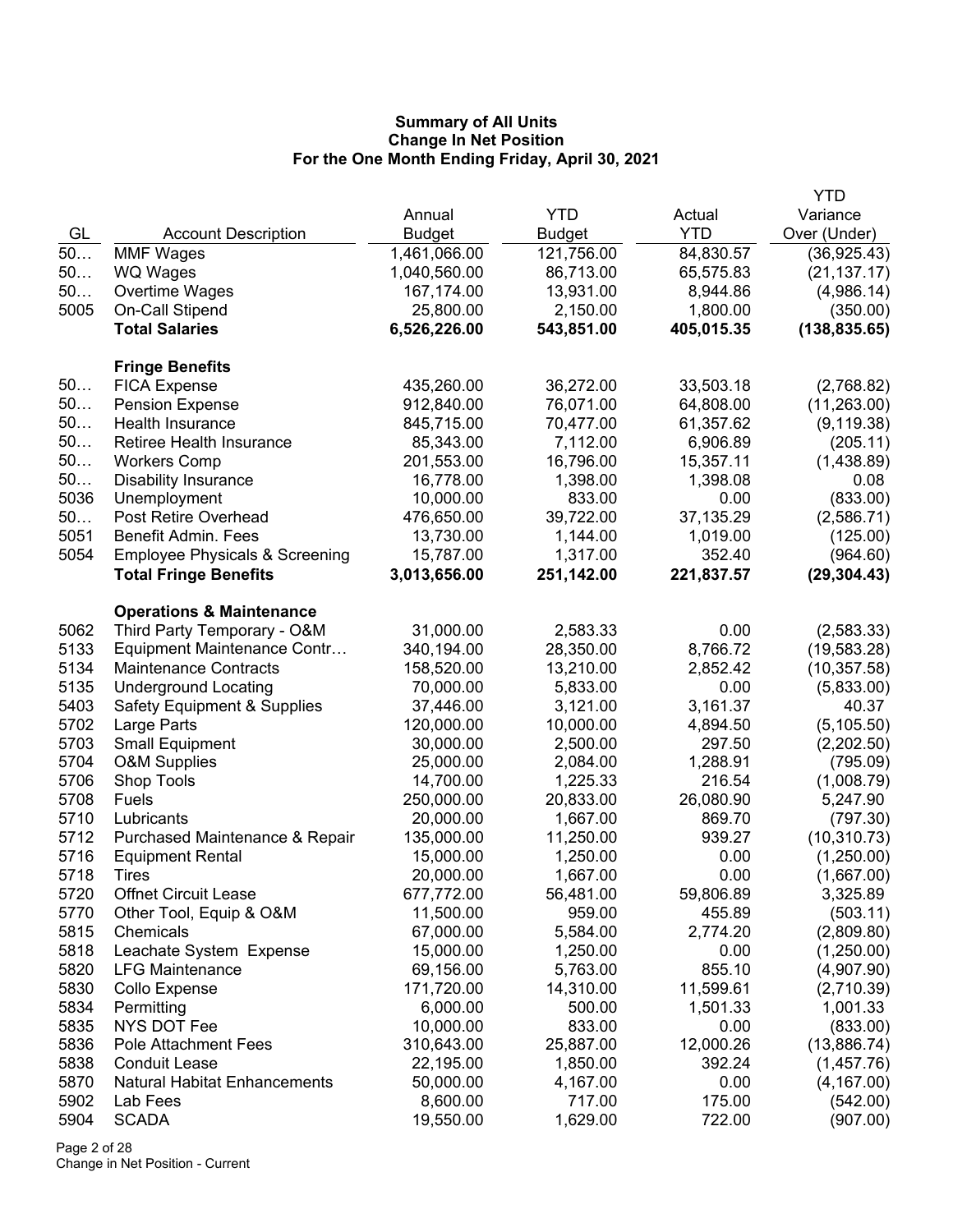|              |                                                           |                         |                       |                  | YTD                        |
|--------------|-----------------------------------------------------------|-------------------------|-----------------------|------------------|----------------------------|
|              |                                                           | Annual                  | <b>YTD</b>            | Actual           | Variance                   |
| GL           | <b>Account Description</b>                                | <b>Budget</b>           | <b>Budget</b>         | <b>YTD</b>       | Over (Under)               |
| 50           | <b>MMF Wages</b>                                          | 1,461,066.00            | 121,756.00            | 84,830.57        | (36, 925.43)               |
| 50           | WQ Wages                                                  | 1,040,560.00            | 86,713.00             | 65,575.83        | (21, 137.17)               |
| 50           | Overtime Wages                                            | 167,174.00              | 13,931.00             | 8,944.86         | (4,986.14)                 |
| 5005         | On-Call Stipend                                           | 25,800.00               | 2,150.00              | 1,800.00         | (350.00)                   |
|              | <b>Total Salaries</b>                                     | 6,526,226.00            | 543,851.00            | 405,015.35       | (138, 835.65)              |
|              | <b>Fringe Benefits</b>                                    |                         |                       |                  |                            |
| 50           | <b>FICA Expense</b>                                       | 435,260.00              | 36,272.00             | 33,503.18        | (2,768.82)                 |
| 50           | <b>Pension Expense</b>                                    | 912,840.00              | 76,071.00             | 64,808.00        | (11,263.00)                |
| 50           | Health Insurance                                          | 845,715.00              | 70,477.00             | 61,357.62        | (9, 119.38)                |
| 50           | Retiree Health Insurance                                  | 85,343.00               | 7,112.00              | 6,906.89         | (205.11)                   |
| 50           | <b>Workers Comp</b>                                       | 201,553.00              | 16,796.00             | 15,357.11        | (1,438.89)                 |
| 50           | <b>Disability Insurance</b>                               | 16,778.00               | 1,398.00              | 1,398.08         | 0.08                       |
| 5036         | Unemployment                                              | 10,000.00               | 833.00                | 0.00             | (833.00)                   |
| 50           | Post Retire Overhead                                      | 476,650.00              | 39,722.00             | 37,135.29        | (2,586.71)                 |
| 5051         | Benefit Admin. Fees                                       | 13,730.00               | 1,144.00              | 1,019.00         | (125.00)                   |
| 5054         | <b>Employee Physicals &amp; Screening</b>                 | 15,787.00               | 1,317.00              | 352.40           | (964.60)                   |
|              | <b>Total Fringe Benefits</b>                              | 3,013,656.00            | 251,142.00            | 221,837.57       | (29, 304.43)               |
|              | <b>Operations &amp; Maintenance</b>                       |                         |                       |                  |                            |
| 5062         | Third Party Temporary - O&M                               | 31,000.00               | 2,583.33              | 0.00             | (2,583.33)                 |
| 5133         | Equipment Maintenance Contr                               | 340,194.00              | 28,350.00             | 8,766.72         | (19, 583.28)               |
| 5134         | <b>Maintenance Contracts</b>                              | 158,520.00              | 13,210.00             | 2,852.42         | (10, 357.58)               |
| 5135         | <b>Underground Locating</b>                               | 70,000.00               | 5,833.00              | 0.00             | (5,833.00)                 |
| 5403         | <b>Safety Equipment &amp; Supplies</b>                    | 37,446.00               | 3,121.00              | 3,161.37         | 40.37                      |
| 5702         | Large Parts                                               | 120,000.00              | 10,000.00             | 4,894.50         | (5, 105.50)                |
| 5703         | <b>Small Equipment</b>                                    | 30,000.00               | 2,500.00              | 297.50           | (2,202.50)                 |
| 5704         | <b>O&amp;M Supplies</b>                                   | 25,000.00               | 2,084.00              | 1,288.91         | (795.09)                   |
| 5706         | Shop Tools                                                | 14,700.00               | 1,225.33              | 216.54           | (1,008.79)                 |
| 5708         | Fuels                                                     | 250,000.00              | 20,833.00             | 26,080.90        | 5,247.90                   |
| 5710<br>5712 | Lubricants                                                | 20,000.00               | 1,667.00              | 869.70<br>939.27 | (797.30)                   |
| 5716         | Purchased Maintenance & Repair<br><b>Equipment Rental</b> | 135,000.00<br>15,000.00 | 11,250.00<br>1,250.00 | 0.00             | (10, 310.73)<br>(1,250.00) |
| 5718         | <b>Tires</b>                                              | 20,000.00               | 1,667.00              | 0.00             | (1,667.00)                 |
| 5720         | <b>Offnet Circuit Lease</b>                               | 677,772.00              | 56,481.00             | 59,806.89        | 3,325.89                   |
| 5770         | Other Tool, Equip & O&M                                   | 11,500.00               | 959.00                | 455.89           | (503.11)                   |
| 5815         | Chemicals                                                 | 67,000.00               | 5,584.00              | 2,774.20         | (2,809.80)                 |
| 5818         | Leachate System Expense                                   | 15,000.00               | 1,250.00              | 0.00             | (1,250.00)                 |
| 5820         | <b>LFG Maintenance</b>                                    | 69,156.00               | 5,763.00              | 855.10           | (4,907.90)                 |
| 5830         | Collo Expense                                             | 171,720.00              | 14,310.00             | 11,599.61        | (2,710.39)                 |
| 5834         | Permitting                                                | 6,000.00                | 500.00                | 1,501.33         | 1,001.33                   |
| 5835         | NYS DOT Fee                                               | 10,000.00               | 833.00                | 0.00             | (833.00)                   |
| 5836         | <b>Pole Attachment Fees</b>                               | 310,643.00              | 25,887.00             | 12,000.26        | (13,886.74)                |
| 5838         | <b>Conduit Lease</b>                                      | 22,195.00               | 1,850.00              | 392.24           | (1,457.76)                 |
| 5870         | <b>Natural Habitat Enhancements</b>                       | 50,000.00               | 4,167.00              | 0.00             | (4, 167.00)                |
| 5902         | Lab Fees                                                  | 8,600.00                | 717.00                | 175.00           | (542.00)                   |
| 5904         | <b>SCADA</b>                                              | 19,550.00               | 1,629.00              | 722.00           | (907.00)                   |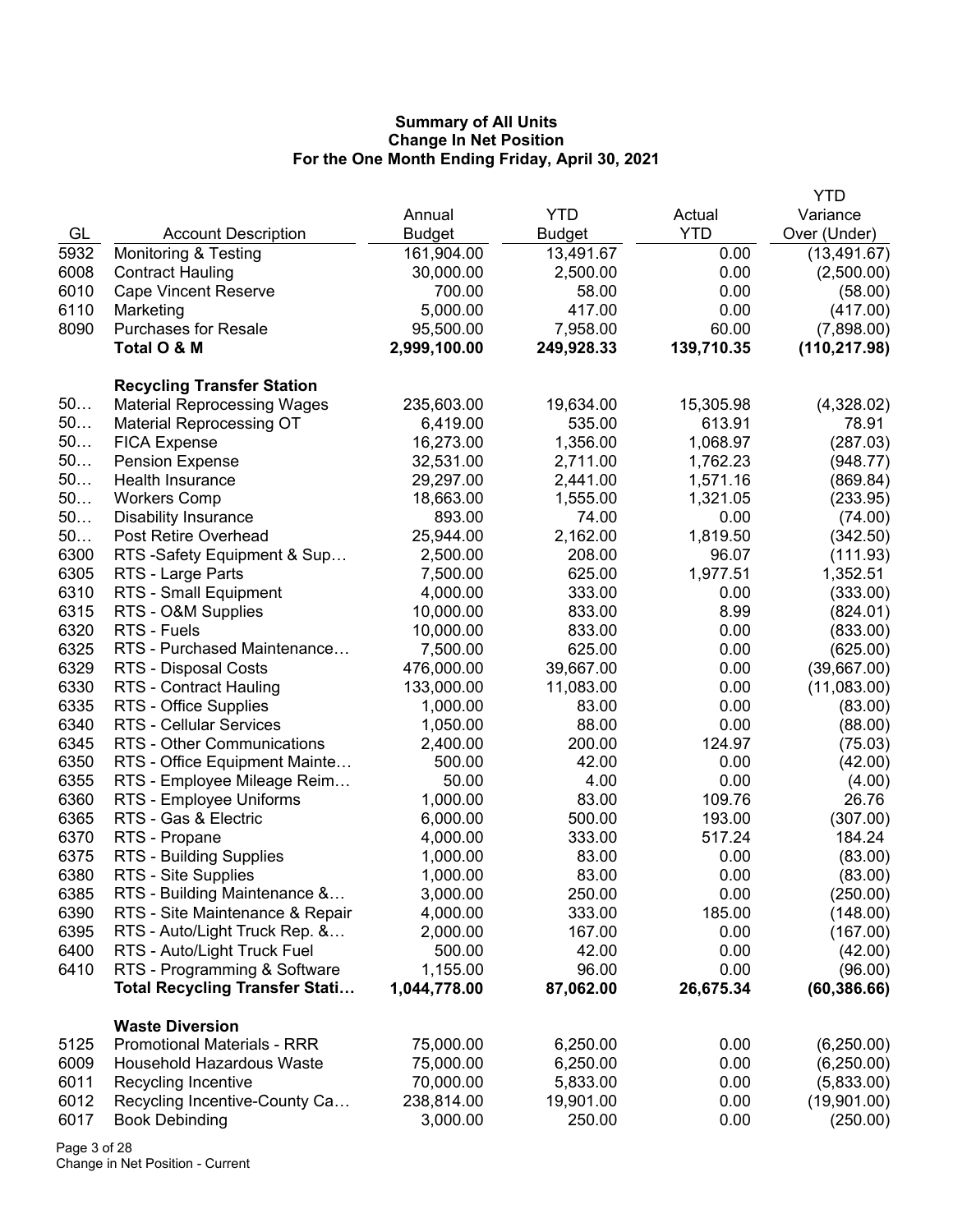|      |                                       |               |               |            | <b>YTD</b>    |
|------|---------------------------------------|---------------|---------------|------------|---------------|
|      |                                       | Annual        | <b>YTD</b>    | Actual     | Variance      |
| GL   | <b>Account Description</b>            | <b>Budget</b> | <b>Budget</b> | <b>YTD</b> | Over (Under)  |
| 5932 | <b>Monitoring &amp; Testing</b>       | 161,904.00    | 13,491.67     | 0.00       | (13, 491.67)  |
| 6008 | <b>Contract Hauling</b>               | 30,000.00     | 2,500.00      | 0.00       | (2,500.00)    |
| 6010 | <b>Cape Vincent Reserve</b>           | 700.00        | 58.00         | 0.00       | (58.00)       |
| 6110 | Marketing                             | 5,000.00      | 417.00        | 0.00       | (417.00)      |
| 8090 | <b>Purchases for Resale</b>           | 95,500.00     | 7,958.00      | 60.00      | (7,898.00)    |
|      | Total O & M                           | 2,999,100.00  | 249,928.33    | 139,710.35 | (110, 217.98) |
|      | <b>Recycling Transfer Station</b>     |               |               |            |               |
| 50   | <b>Material Reprocessing Wages</b>    | 235,603.00    | 19,634.00     | 15,305.98  | (4,328.02)    |
| 50   | <b>Material Reprocessing OT</b>       | 6,419.00      | 535.00        | 613.91     | 78.91         |
| $50$ | <b>FICA Expense</b>                   | 16,273.00     | 1,356.00      | 1,068.97   | (287.03)      |
| 50   | <b>Pension Expense</b>                | 32,531.00     | 2,711.00      | 1,762.23   | (948.77)      |
| 50   | Health Insurance                      | 29,297.00     | 2,441.00      | 1,571.16   | (869.84)      |
| 50   | <b>Workers Comp</b>                   | 18,663.00     | 1,555.00      | 1,321.05   | (233.95)      |
| 50   | <b>Disability Insurance</b>           | 893.00        | 74.00         | 0.00       | (74.00)       |
| 50   | Post Retire Overhead                  | 25,944.00     | 2,162.00      | 1,819.50   | (342.50)      |
| 6300 | RTS -Safety Equipment & Sup           | 2,500.00      | 208.00        | 96.07      | (111.93)      |
| 6305 | RTS - Large Parts                     | 7,500.00      | 625.00        | 1,977.51   | 1,352.51      |
| 6310 | RTS - Small Equipment                 | 4,000.00      | 333.00        | 0.00       | (333.00)      |
| 6315 | RTS - O&M Supplies                    | 10,000.00     | 833.00        | 8.99       | (824.01)      |
| 6320 | RTS - Fuels                           | 10,000.00     | 833.00        | 0.00       | (833.00)      |
| 6325 | RTS - Purchased Maintenance           | 7,500.00      | 625.00        | 0.00       | (625.00)      |
| 6329 | RTS - Disposal Costs                  | 476,000.00    | 39,667.00     | 0.00       | (39,667.00)   |
| 6330 | <b>RTS - Contract Hauling</b>         | 133,000.00    | 11,083.00     | 0.00       | (11,083.00)   |
| 6335 | RTS - Office Supplies                 | 1,000.00      | 83.00         | 0.00       | (83.00)       |
| 6340 | <b>RTS - Cellular Services</b>        | 1,050.00      | 88.00         | 0.00       | (88.00)       |
| 6345 | RTS - Other Communications            | 2,400.00      | 200.00        | 124.97     | (75.03)       |
| 6350 | RTS - Office Equipment Mainte         | 500.00        | 42.00         | 0.00       | (42.00)       |
| 6355 | RTS - Employee Mileage Reim           | 50.00         | 4.00          | 0.00       | (4.00)        |
| 6360 | RTS - Employee Uniforms               | 1,000.00      | 83.00         | 109.76     | 26.76         |
| 6365 | RTS - Gas & Electric                  | 6,000.00      | 500.00        | 193.00     | (307.00)      |
| 6370 | RTS - Propane                         | 4,000.00      | 333.00        | 517.24     | 184.24        |
| 6375 | RTS - Building Supplies               | 1,000.00      | 83.00         | 0.00       | (83.00)       |
| 6380 | RTS - Site Supplies                   | 1,000.00      | 83.00         | 0.00       | (83.00)       |
| 6385 | RTS - Building Maintenance &          | 3,000.00      | 250.00        | 0.00       | (250.00)      |
| 6390 | RTS - Site Maintenance & Repair       | 4,000.00      | 333.00        | 185.00     | (148.00)      |
| 6395 | RTS - Auto/Light Truck Rep. &         | 2,000.00      | 167.00        | 0.00       | (167.00)      |
| 6400 | RTS - Auto/Light Truck Fuel           | 500.00        | 42.00         | 0.00       | (42.00)       |
| 6410 | RTS - Programming & Software          | 1,155.00      | 96.00         | 0.00       | (96.00)       |
|      | <b>Total Recycling Transfer Stati</b> | 1,044,778.00  | 87,062.00     | 26,675.34  | (60, 386.66)  |
|      | <b>Waste Diversion</b>                |               |               |            |               |
| 5125 | <b>Promotional Materials - RRR</b>    | 75,000.00     | 6,250.00      | 0.00       | (6,250.00)    |
| 6009 | <b>Household Hazardous Waste</b>      | 75,000.00     | 6,250.00      | 0.00       | (6,250.00)    |
| 6011 | Recycling Incentive                   | 70,000.00     | 5,833.00      | 0.00       | (5,833.00)    |
| 6012 | Recycling Incentive-County Ca         | 238,814.00    | 19,901.00     | 0.00       | (19,901.00)   |
| 6017 | <b>Book Debinding</b>                 | 3,000.00      | 250.00        | 0.00       | (250.00)      |

Page 3 of 28 Change in Net Position - Current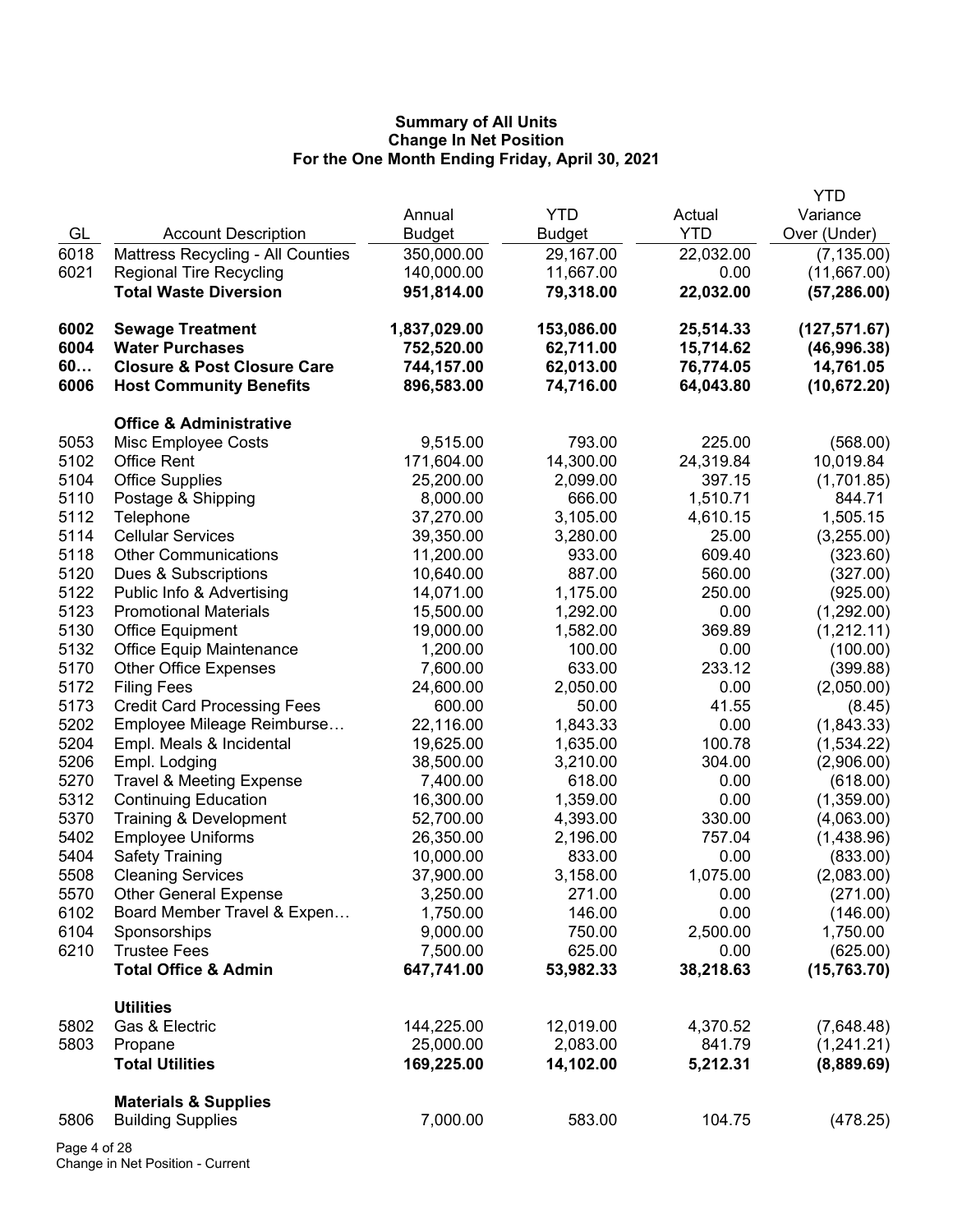|      |                                        |               |               |            | YTD           |
|------|----------------------------------------|---------------|---------------|------------|---------------|
|      |                                        | Annual        | <b>YTD</b>    | Actual     | Variance      |
| GL   | <b>Account Description</b>             | <b>Budget</b> | <b>Budget</b> | <b>YTD</b> | Over (Under)  |
| 6018 | Mattress Recycling - All Counties      | 350,000.00    | 29,167.00     | 22,032.00  | (7, 135.00)   |
| 6021 | <b>Regional Tire Recycling</b>         | 140,000.00    | 11,667.00     | 0.00       | (11,667.00)   |
|      | <b>Total Waste Diversion</b>           | 951,814.00    | 79,318.00     | 22,032.00  | (57, 286.00)  |
| 6002 | <b>Sewage Treatment</b>                | 1,837,029.00  | 153,086.00    | 25,514.33  | (127, 571.67) |
| 6004 | <b>Water Purchases</b>                 | 752,520.00    | 62,711.00     | 15,714.62  | (46,996.38)   |
| 60   | <b>Closure &amp; Post Closure Care</b> | 744,157.00    | 62,013.00     | 76,774.05  | 14,761.05     |
| 6006 | <b>Host Community Benefits</b>         | 896,583.00    | 74,716.00     | 64,043.80  | (10, 672.20)  |
|      | <b>Office &amp; Administrative</b>     |               |               |            |               |
| 5053 | Misc Employee Costs                    | 9,515.00      | 793.00        | 225.00     | (568.00)      |
| 5102 | <b>Office Rent</b>                     | 171,604.00    | 14,300.00     | 24,319.84  | 10,019.84     |
| 5104 | <b>Office Supplies</b>                 | 25,200.00     | 2,099.00      | 397.15     | (1,701.85)    |
| 5110 | Postage & Shipping                     | 8,000.00      | 666.00        | 1,510.71   | 844.71        |
| 5112 | Telephone                              | 37,270.00     | 3,105.00      | 4,610.15   | 1,505.15      |
| 5114 | <b>Cellular Services</b>               | 39,350.00     | 3,280.00      | 25.00      | (3,255.00)    |
| 5118 | <b>Other Communications</b>            | 11,200.00     | 933.00        | 609.40     | (323.60)      |
| 5120 | Dues & Subscriptions                   | 10,640.00     | 887.00        | 560.00     | (327.00)      |
| 5122 | Public Info & Advertising              | 14,071.00     | 1,175.00      | 250.00     | (925.00)      |
| 5123 | <b>Promotional Materials</b>           | 15,500.00     | 1,292.00      | 0.00       | (1,292.00)    |
| 5130 | <b>Office Equipment</b>                | 19,000.00     | 1,582.00      | 369.89     | (1,212.11)    |
| 5132 | Office Equip Maintenance               | 1,200.00      | 100.00        | 0.00       | (100.00)      |
| 5170 | <b>Other Office Expenses</b>           | 7,600.00      | 633.00        | 233.12     | (399.88)      |
| 5172 | <b>Filing Fees</b>                     | 24,600.00     | 2,050.00      | 0.00       | (2,050.00)    |
| 5173 | <b>Credit Card Processing Fees</b>     | 600.00        | 50.00         | 41.55      | (8.45)        |
| 5202 | Employee Mileage Reimburse             | 22,116.00     | 1,843.33      | 0.00       | (1,843.33)    |
| 5204 | Empl. Meals & Incidental               | 19,625.00     | 1,635.00      | 100.78     | (1,534.22)    |
| 5206 | Empl. Lodging                          | 38,500.00     | 3,210.00      | 304.00     | (2,906.00)    |
| 5270 | <b>Travel &amp; Meeting Expense</b>    | 7,400.00      | 618.00        | 0.00       | (618.00)      |
| 5312 | <b>Continuing Education</b>            | 16,300.00     | 1,359.00      | 0.00       | (1,359.00)    |
| 5370 | Training & Development                 | 52,700.00     | 4,393.00      | 330.00     | (4,063.00)    |
| 5402 | <b>Employee Uniforms</b>               | 26,350.00     | 2,196.00      | 757.04     | (1,438.96)    |
| 5404 | <b>Safety Training</b>                 | 10,000.00     | 833.00        | 0.00       | (833.00)      |
| 5508 | <b>Cleaning Services</b>               | 37,900.00     | 3,158.00      | 1,075.00   | (2,083.00)    |
| 5570 | <b>Other General Expense</b>           | 3,250.00      | 271.00        | 0.00       | (271.00)      |
| 6102 | Board Member Travel & Expen            | 1,750.00      | 146.00        | 0.00       | (146.00)      |
| 6104 | Sponsorships                           | 9,000.00      | 750.00        | 2,500.00   | 1,750.00      |
| 6210 | <b>Trustee Fees</b>                    | 7,500.00      | 625.00        | 0.00       | (625.00)      |
|      | <b>Total Office &amp; Admin</b>        | 647,741.00    | 53,982.33     | 38,218.63  | (15,763.70)   |
|      | <b>Utilities</b>                       |               |               |            |               |
| 5802 | Gas & Electric                         | 144,225.00    | 12,019.00     | 4,370.52   | (7,648.48)    |
| 5803 | Propane                                | 25,000.00     | 2,083.00      | 841.79     | (1,241.21)    |
|      | <b>Total Utilities</b>                 | 169,225.00    | 14,102.00     | 5,212.31   | (8,889.69)    |
|      | <b>Materials &amp; Supplies</b>        |               |               |            |               |
| 5806 | <b>Building Supplies</b>               | 7,000.00      | 583.00        | 104.75     | (478.25)      |
|      |                                        |               |               |            |               |

Page 4 of 28 Change in Net Position - Current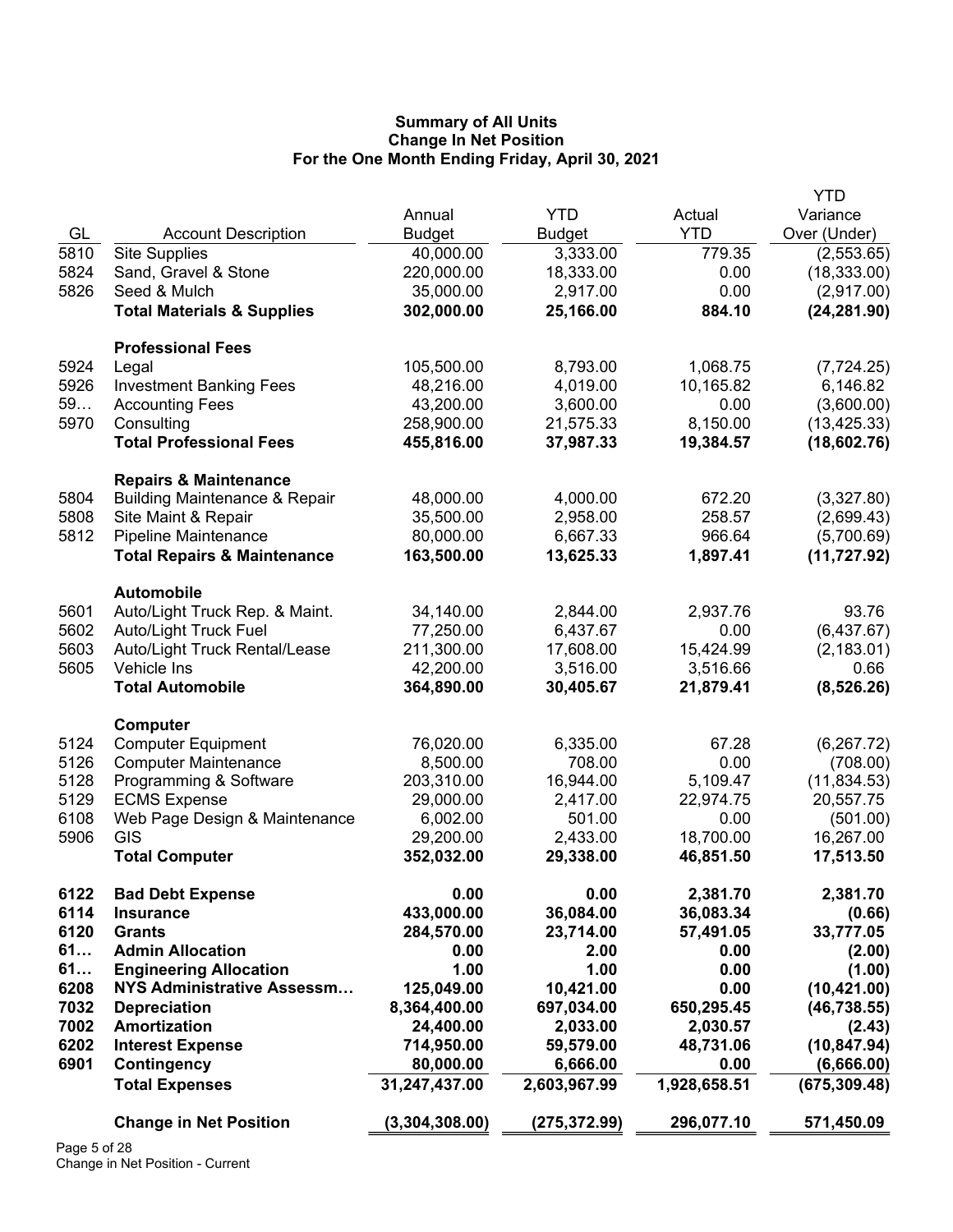|      |                                          |                |               |              | <b>YTD</b>    |
|------|------------------------------------------|----------------|---------------|--------------|---------------|
|      |                                          | Annual         | <b>YTD</b>    | Actual       | Variance      |
| GL   | <b>Account Description</b>               | <b>Budget</b>  | <b>Budget</b> | <b>YTD</b>   | Over (Under)  |
| 5810 | <b>Site Supplies</b>                     | 40,000.00      | 3,333.00      | 779.35       | (2,553.65)    |
| 5824 | Sand, Gravel & Stone                     | 220,000.00     | 18,333.00     | 0.00         | (18, 333.00)  |
| 5826 | Seed & Mulch                             | 35,000.00      | 2,917.00      | 0.00         | (2,917.00)    |
|      | <b>Total Materials &amp; Supplies</b>    | 302,000.00     | 25,166.00     | 884.10       | (24, 281.90)  |
|      |                                          |                |               |              |               |
|      | <b>Professional Fees</b>                 |                |               |              |               |
| 5924 | Legal                                    | 105,500.00     | 8,793.00      | 1,068.75     | (7, 724.25)   |
| 5926 | <b>Investment Banking Fees</b>           | 48,216.00      | 4,019.00      | 10,165.82    | 6,146.82      |
| 59   | <b>Accounting Fees</b>                   | 43,200.00      | 3,600.00      | 0.00         | (3,600.00)    |
| 5970 | Consulting                               | 258,900.00     | 21,575.33     | 8,150.00     | (13, 425.33)  |
|      | <b>Total Professional Fees</b>           | 455,816.00     | 37,987.33     | 19,384.57    | (18,602.76)   |
|      |                                          |                |               |              |               |
|      | <b>Repairs &amp; Maintenance</b>         |                |               |              |               |
| 5804 | <b>Building Maintenance &amp; Repair</b> | 48,000.00      | 4,000.00      | 672.20       | (3,327.80)    |
| 5808 | Site Maint & Repair                      | 35,500.00      | 2,958.00      | 258.57       | (2,699.43)    |
| 5812 | <b>Pipeline Maintenance</b>              | 80,000.00      | 6,667.33      | 966.64       | (5,700.69)    |
|      | <b>Total Repairs &amp; Maintenance</b>   | 163,500.00     | 13,625.33     | 1,897.41     | (11, 727.92)  |
|      |                                          |                |               |              |               |
|      | <b>Automobile</b>                        |                |               |              |               |
| 5601 | Auto/Light Truck Rep. & Maint.           | 34,140.00      | 2,844.00      | 2,937.76     | 93.76         |
| 5602 | <b>Auto/Light Truck Fuel</b>             | 77,250.00      | 6,437.67      | 0.00         | (6,437.67)    |
| 5603 | Auto/Light Truck Rental/Lease            | 211,300.00     | 17,608.00     | 15,424.99    | (2, 183.01)   |
| 5605 | Vehicle Ins                              | 42,200.00      | 3,516.00      | 3,516.66     | 0.66          |
|      | <b>Total Automobile</b>                  | 364,890.00     | 30,405.67     | 21,879.41    | (8,526.26)    |
|      |                                          |                |               |              |               |
|      | Computer                                 |                |               |              |               |
| 5124 | <b>Computer Equipment</b>                | 76,020.00      | 6,335.00      | 67.28        | (6, 267.72)   |
| 5126 | <b>Computer Maintenance</b>              | 8,500.00       | 708.00        | 0.00         | (708.00)      |
| 5128 | Programming & Software                   | 203,310.00     | 16,944.00     | 5,109.47     | (11, 834.53)  |
| 5129 | <b>ECMS Expense</b>                      | 29,000.00      | 2,417.00      | 22,974.75    | 20,557.75     |
| 6108 | Web Page Design & Maintenance            | 6,002.00       | 501.00        | 0.00         | (501.00)      |
| 5906 | GIS                                      | 29,200.00      | 2,433.00      | 18,700.00    | 16,267.00     |
|      | <b>Total Computer</b>                    | 352,032.00     | 29,338.00     | 46,851.50    | 17,513.50     |
|      |                                          |                |               |              |               |
| 6122 | <b>Bad Debt Expense</b>                  | 0.00           | 0.00          | 2,381.70     | 2,381.70      |
| 6114 | <b>Insurance</b>                         | 433,000.00     | 36,084.00     | 36,083.34    | (0.66)        |
| 6120 | <b>Grants</b>                            | 284,570.00     | 23,714.00     | 57,491.05    | 33,777.05     |
| 61   | <b>Admin Allocation</b>                  | 0.00           | 2.00          | 0.00         | (2.00)        |
| 61   | <b>Engineering Allocation</b>            | 1.00           | 1.00          | 0.00         | (1.00)        |
| 6208 | <b>NYS Administrative Assessm</b>        | 125,049.00     | 10,421.00     | 0.00         | (10, 421.00)  |
| 7032 | <b>Depreciation</b>                      | 8,364,400.00   | 697,034.00    | 650,295.45   | (46, 738.55)  |
| 7002 | <b>Amortization</b>                      | 24,400.00      | 2,033.00      | 2,030.57     | (2.43)        |
| 6202 | <b>Interest Expense</b>                  | 714,950.00     | 59,579.00     | 48,731.06    | (10, 847.94)  |
| 6901 | Contingency                              | 80,000.00      | 6,666.00      | 0.00         | (6,666.00)    |
|      | <b>Total Expenses</b>                    | 31,247,437.00  | 2,603,967.99  | 1,928,658.51 | (675, 309.48) |
|      |                                          |                |               |              |               |
|      | <b>Change in Net Position</b>            | (3,304,308.00) | (275,372.99)  | 296,077.10   | 571,450.09    |
|      |                                          |                |               |              |               |

Page 5 of 28 Change in Net Position - Current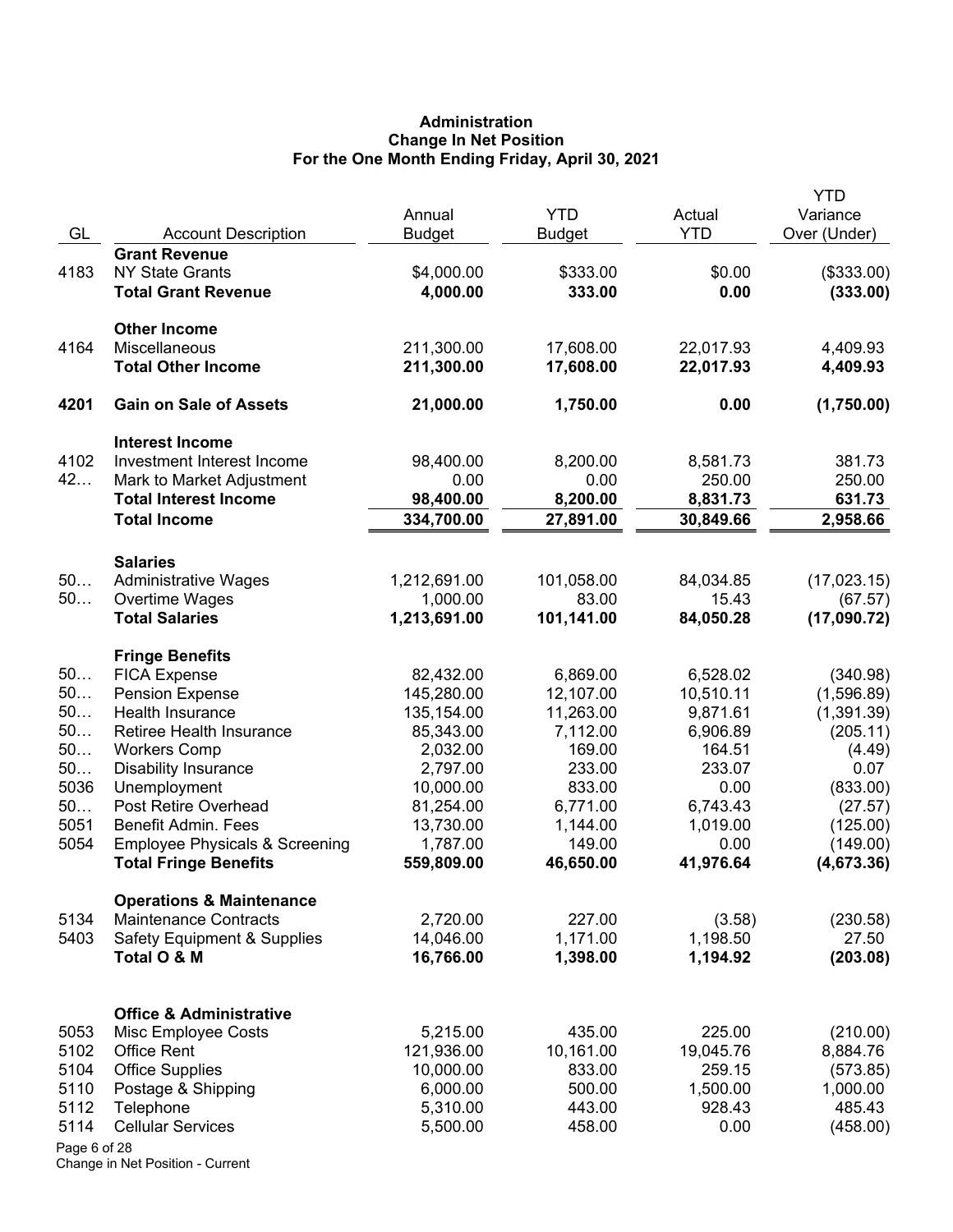# **Administration Change In Net Position For the One Month Ending Friday, April 30, 2021**

|              |                                              | Annual                 | <b>YTD</b>           | Actual             | <b>YTD</b><br>Variance |
|--------------|----------------------------------------------|------------------------|----------------------|--------------------|------------------------|
| GL           | <b>Account Description</b>                   | <b>Budget</b>          | <b>Budget</b>        | <b>YTD</b>         | Over (Under)           |
|              | <b>Grant Revenue</b>                         |                        |                      |                    |                        |
| 4183         | <b>NY State Grants</b>                       | \$4,000.00             | \$333.00             | \$0.00             | (\$333.00)             |
|              | <b>Total Grant Revenue</b>                   | 4,000.00               | 333.00               | 0.00               | (333.00)               |
|              | <b>Other Income</b>                          |                        |                      |                    |                        |
| 4164         | Miscellaneous                                | 211,300.00             | 17,608.00            | 22,017.93          | 4,409.93               |
|              | <b>Total Other Income</b>                    | 211,300.00             | 17,608.00            | 22,017.93          | 4,409.93               |
| 4201         | <b>Gain on Sale of Assets</b>                | 21,000.00              | 1,750.00             | 0.00               | (1,750.00)             |
|              | <b>Interest Income</b>                       |                        |                      |                    |                        |
| 4102         | Investment Interest Income                   | 98,400.00              | 8,200.00             | 8,581.73           | 381.73                 |
| 42           | Mark to Market Adjustment                    | 0.00                   | 0.00                 | 250.00             | 250.00                 |
|              | <b>Total Interest Income</b>                 | 98,400.00              | 8,200.00             | 8,831.73           | 631.73                 |
|              | <b>Total Income</b>                          | 334,700.00             | 27,891.00            | 30,849.66          | 2,958.66               |
|              | <b>Salaries</b>                              |                        |                      |                    |                        |
| 50           | <b>Administrative Wages</b>                  | 1,212,691.00           | 101,058.00           | 84,034.85          | (17,023.15)            |
| 50           | Overtime Wages                               | 1,000.00               | 83.00                | 15.43              | (67.57)                |
|              | <b>Total Salaries</b>                        | 1,213,691.00           | 101,141.00           | 84,050.28          | (17,090.72)            |
|              | <b>Fringe Benefits</b>                       |                        |                      |                    |                        |
| 50           | <b>FICA Expense</b>                          | 82,432.00              | 6,869.00             | 6,528.02           | (340.98)               |
| 50           | <b>Pension Expense</b>                       | 145,280.00             | 12,107.00            | 10,510.11          | (1,596.89)             |
| 50           | Health Insurance                             | 135,154.00             | 11,263.00            | 9,871.61           | (1,391.39)             |
| 50           | Retiree Health Insurance                     | 85,343.00              | 7,112.00             | 6,906.89           | (205.11)               |
| 50           | <b>Workers Comp</b>                          | 2,032.00               | 169.00               | 164.51             | (4.49)                 |
| 50           | <b>Disability Insurance</b>                  | 2,797.00               | 233.00               | 233.07             | 0.07                   |
| 5036<br>50   | Unemployment<br>Post Retire Overhead         | 10,000.00              | 833.00               | 0.00<br>6,743.43   | (833.00)               |
| 5051         | Benefit Admin. Fees                          | 81,254.00<br>13,730.00 | 6,771.00<br>1,144.00 | 1,019.00           | (27.57)<br>(125.00)    |
| 5054         | <b>Employee Physicals &amp; Screening</b>    | 1,787.00               | 149.00               | 0.00               | (149.00)               |
|              | <b>Total Fringe Benefits</b>                 | 559,809.00             | 46,650.00            | 41,976.64          | (4,673.36)             |
|              | <b>Operations &amp; Maintenance</b>          |                        |                      |                    |                        |
| 5134         | <b>Maintenance Contracts</b>                 | 2,720.00               | 227.00               | (3.58)             | (230.58)               |
| 5403         | <b>Safety Equipment &amp; Supplies</b>       | 14,046.00              | 1,171.00             | 1,198.50           | 27.50                  |
|              | Total O & M                                  | 16,766.00              | 1,398.00             | 1,194.92           | (203.08)               |
|              |                                              |                        |                      |                    |                        |
|              | <b>Office &amp; Administrative</b>           |                        |                      |                    |                        |
| 5053         | Misc Employee Costs                          | 5,215.00               | 435.00               | 225.00             | (210.00)               |
| 5102<br>5104 | <b>Office Rent</b>                           | 121,936.00             | 10,161.00            | 19,045.76          | 8,884.76               |
| 5110         | <b>Office Supplies</b><br>Postage & Shipping | 10,000.00<br>6,000.00  | 833.00<br>500.00     | 259.15<br>1,500.00 | (573.85)<br>1,000.00   |
| 5112         | Telephone                                    | 5,310.00               | 443.00               | 928.43             | 485.43                 |
| 5114         | <b>Cellular Services</b>                     | 5,500.00               | 458.00               | 0.00               | (458.00)               |
| Page 6 of 28 |                                              |                        |                      |                    |                        |
|              |                                              |                        |                      |                    |                        |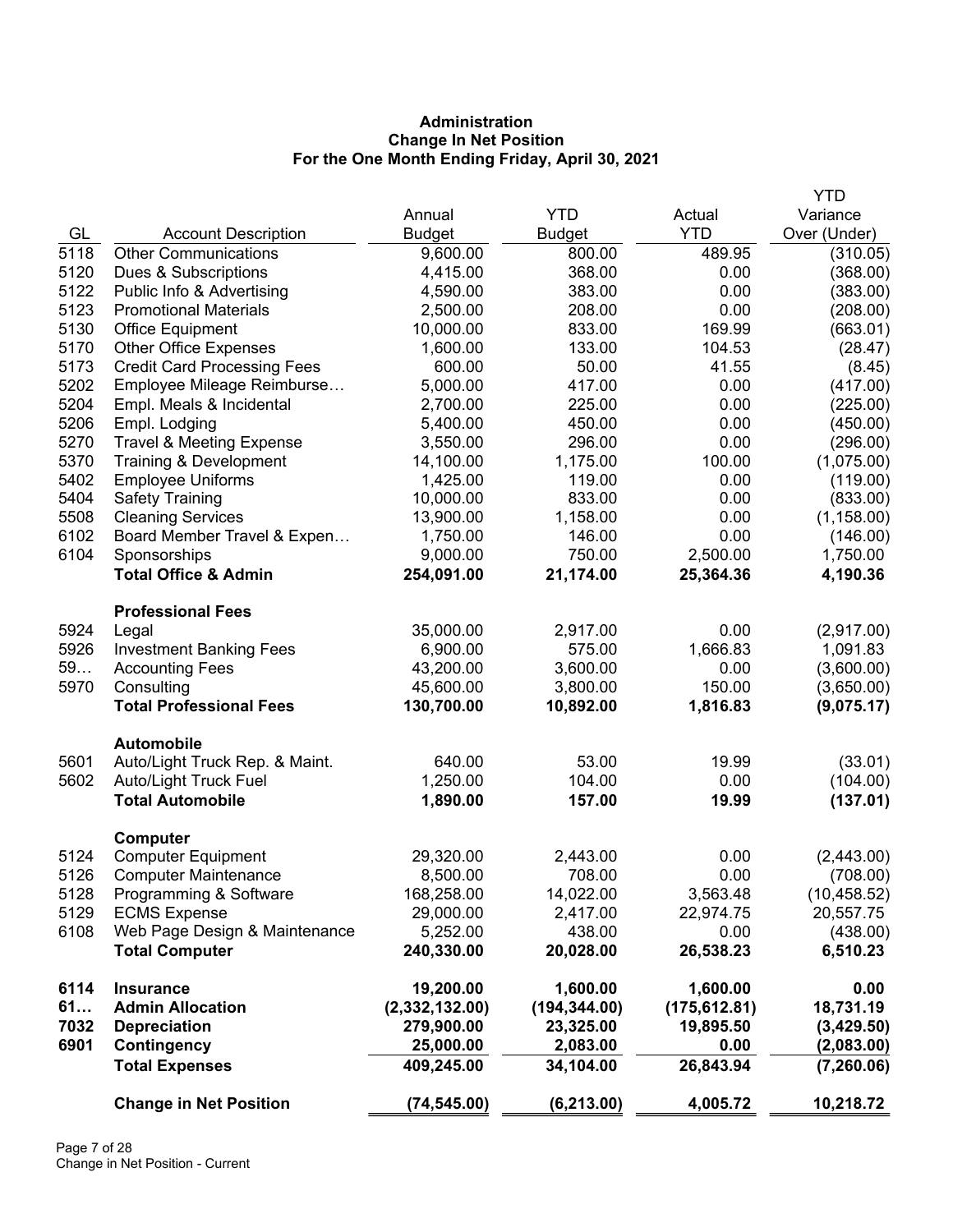# **Administration Change In Net Position For the One Month Ending Friday, April 30, 2021**

|      |                                     |                |               |               | <b>YTD</b>   |
|------|-------------------------------------|----------------|---------------|---------------|--------------|
|      |                                     | Annual         | <b>YTD</b>    | Actual        | Variance     |
| GL   | <b>Account Description</b>          | <b>Budget</b>  | <b>Budget</b> | <b>YTD</b>    | Over (Under) |
| 5118 | <b>Other Communications</b>         | 9,600.00       | 800.00        | 489.95        | (310.05)     |
| 5120 | Dues & Subscriptions                | 4,415.00       | 368.00        | 0.00          | (368.00)     |
| 5122 | Public Info & Advertising           | 4,590.00       | 383.00        | 0.00          | (383.00)     |
| 5123 | <b>Promotional Materials</b>        | 2,500.00       | 208.00        | 0.00          | (208.00)     |
| 5130 | <b>Office Equipment</b>             | 10,000.00      | 833.00        | 169.99        | (663.01)     |
| 5170 | <b>Other Office Expenses</b>        | 1,600.00       | 133.00        | 104.53        | (28.47)      |
| 5173 | <b>Credit Card Processing Fees</b>  | 600.00         | 50.00         | 41.55         | (8.45)       |
| 5202 | Employee Mileage Reimburse          | 5,000.00       | 417.00        | 0.00          | (417.00)     |
| 5204 | Empl. Meals & Incidental            | 2,700.00       | 225.00        | 0.00          | (225.00)     |
| 5206 | Empl. Lodging                       | 5,400.00       | 450.00        | 0.00          | (450.00)     |
| 5270 | <b>Travel &amp; Meeting Expense</b> | 3,550.00       | 296.00        | 0.00          | (296.00)     |
| 5370 | Training & Development              | 14,100.00      | 1,175.00      | 100.00        | (1,075.00)   |
| 5402 | <b>Employee Uniforms</b>            | 1,425.00       | 119.00        | 0.00          | (119.00)     |
| 5404 | <b>Safety Training</b>              | 10,000.00      | 833.00        | 0.00          | (833.00)     |
| 5508 | <b>Cleaning Services</b>            | 13,900.00      | 1,158.00      | 0.00          | (1, 158.00)  |
| 6102 | Board Member Travel & Expen         | 1,750.00       | 146.00        | 0.00          | (146.00)     |
| 6104 | Sponsorships                        | 9,000.00       | 750.00        | 2,500.00      | 1,750.00     |
|      | <b>Total Office &amp; Admin</b>     | 254,091.00     | 21,174.00     | 25,364.36     | 4,190.36     |
|      | <b>Professional Fees</b>            |                |               |               |              |
| 5924 | Legal                               | 35,000.00      | 2,917.00      | 0.00          | (2,917.00)   |
| 5926 | <b>Investment Banking Fees</b>      | 6,900.00       | 575.00        | 1,666.83      | 1,091.83     |
| 59   | <b>Accounting Fees</b>              | 43,200.00      | 3,600.00      | 0.00          | (3,600.00)   |
| 5970 | Consulting                          | 45,600.00      | 3,800.00      | 150.00        | (3,650.00)   |
|      | <b>Total Professional Fees</b>      | 130,700.00     | 10,892.00     | 1,816.83      | (9,075.17)   |
|      | <b>Automobile</b>                   |                |               |               |              |
| 5601 | Auto/Light Truck Rep. & Maint.      | 640.00         | 53.00         | 19.99         | (33.01)      |
| 5602 | Auto/Light Truck Fuel               | 1,250.00       | 104.00        | 0.00          | (104.00)     |
|      | <b>Total Automobile</b>             | 1,890.00       | 157.00        | 19.99         | (137.01)     |
|      | <b>Computer</b>                     |                |               |               |              |
| 5124 | <b>Computer Equipment</b>           | 29,320.00      | 2,443.00      | 0.00          | (2,443.00)   |
| 5126 | <b>Computer Maintenance</b>         | 8,500.00       | 708.00        | 0.00          | (708.00)     |
| 5128 | Programming & Software              | 168,258.00     | 14,022.00     | 3,563.48      | (10, 458.52) |
| 5129 | <b>ECMS Expense</b>                 | 29,000.00      | 2,417.00      | 22,974.75     | 20,557.75    |
| 6108 | Web Page Design & Maintenance       | 5,252.00       | 438.00        | 0.00          | (438.00)     |
|      | <b>Total Computer</b>               | 240,330.00     | 20,028.00     | 26,538.23     | 6,510.23     |
| 6114 | <b>Insurance</b>                    | 19,200.00      | 1,600.00      | 1,600.00      | 0.00         |
| 61   | <b>Admin Allocation</b>             | (2,332,132.00) | (194, 344.00) | (175, 612.81) | 18,731.19    |
| 7032 | <b>Depreciation</b>                 | 279,900.00     | 23,325.00     | 19,895.50     | (3,429.50)   |
| 6901 | Contingency                         | 25,000.00      | 2,083.00      | 0.00          | (2,083.00)   |
|      | <b>Total Expenses</b>               | 409,245.00     | 34,104.00     | 26,843.94     | (7, 260.06)  |
|      | <b>Change in Net Position</b>       | (74, 545.00)   | (6, 213.00)   | 4,005.72      | 10,218.72    |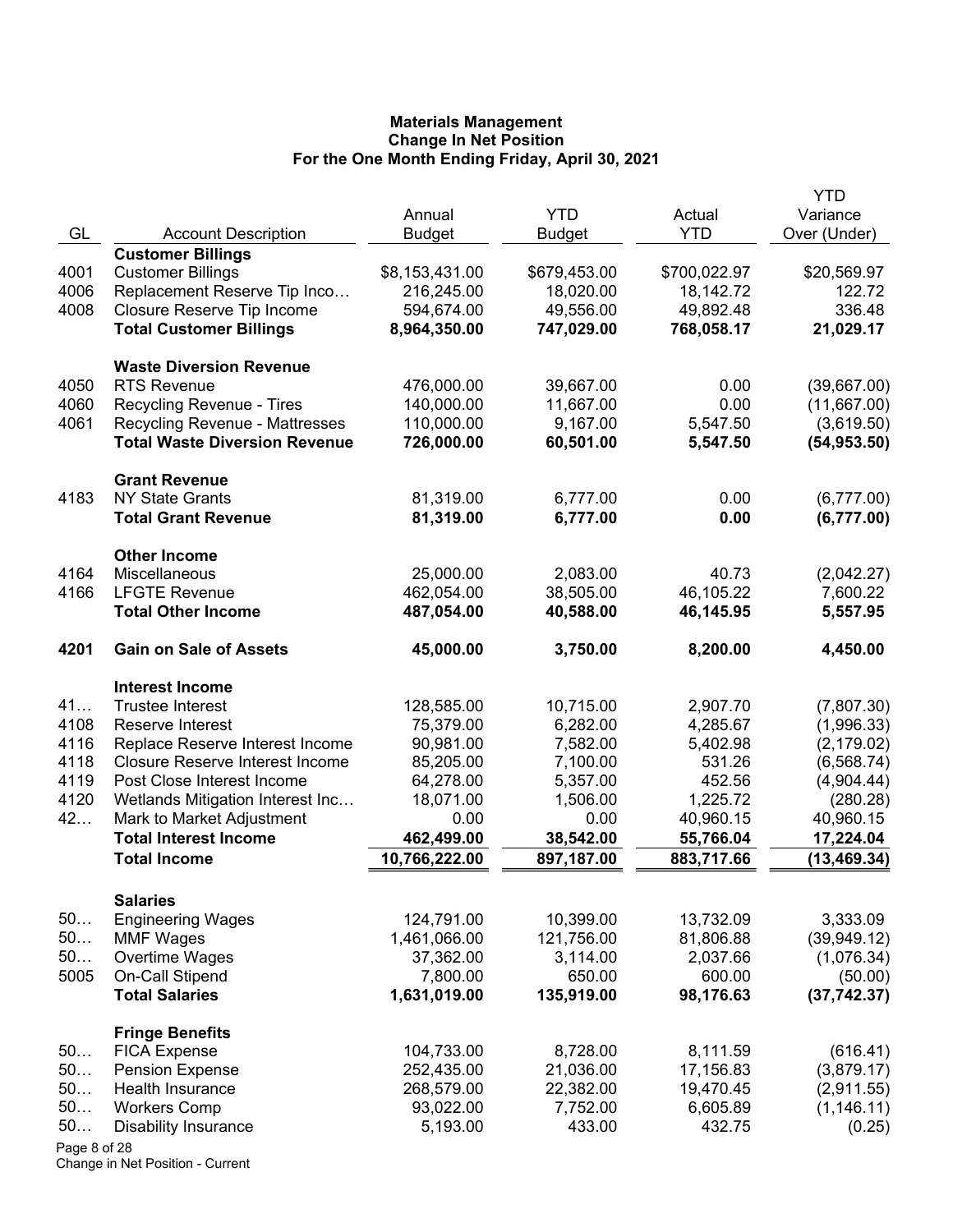|              |                                          |                          |                    |                    | YTD                     |
|--------------|------------------------------------------|--------------------------|--------------------|--------------------|-------------------------|
|              |                                          | Annual                   | <b>YTD</b>         | Actual             | Variance                |
| GL           | <b>Account Description</b>               | <b>Budget</b>            | <b>Budget</b>      | <b>YTD</b>         | Over (Under)            |
|              | <b>Customer Billings</b>                 |                          |                    |                    |                         |
| 4001         | <b>Customer Billings</b>                 | \$8,153,431.00           | \$679,453.00       | \$700,022.97       | \$20,569.97             |
| 4006         | Replacement Reserve Tip Inco             | 216,245.00               | 18,020.00          | 18,142.72          | 122.72                  |
| 4008         | Closure Reserve Tip Income               | 594,674.00               | 49,556.00          | 49,892.48          | 336.48                  |
|              | <b>Total Customer Billings</b>           | 8,964,350.00             | 747,029.00         | 768,058.17         | 21,029.17               |
|              | <b>Waste Diversion Revenue</b>           |                          |                    |                    |                         |
| 4050         | <b>RTS Revenue</b>                       | 476,000.00               | 39,667.00          | 0.00               | (39,667.00)             |
| 4060         | Recycling Revenue - Tires                | 140,000.00               | 11,667.00          | 0.00               | (11,667.00)             |
| 4061         | <b>Recycling Revenue - Mattresses</b>    | 110,000.00               | 9,167.00           | 5,547.50           | (3,619.50)              |
|              | <b>Total Waste Diversion Revenue</b>     | 726,000.00               | 60,501.00          | 5,547.50           | (54, 953.50)            |
|              | <b>Grant Revenue</b>                     |                          |                    |                    |                         |
| 4183         | <b>NY State Grants</b>                   | 81,319.00                | 6,777.00           | 0.00               | (6,777.00)              |
|              | <b>Total Grant Revenue</b>               | 81,319.00                | 6,777.00           | 0.00               | (6,777.00)              |
|              |                                          |                          |                    |                    |                         |
|              | <b>Other Income</b>                      |                          |                    |                    |                         |
| 4164         | Miscellaneous                            | 25,000.00                | 2,083.00           | 40.73              | (2,042.27)              |
| 4166         | <b>LFGTE Revenue</b>                     | 462,054.00               | 38,505.00          | 46,105.22          | 7,600.22                |
|              | <b>Total Other Income</b>                | 487,054.00               | 40,588.00          | 46,145.95          | 5,557.95                |
| 4201         | <b>Gain on Sale of Assets</b>            | 45,000.00                | 3,750.00           | 8,200.00           | 4,450.00                |
|              | <b>Interest Income</b>                   |                          |                    |                    |                         |
| 41           | <b>Trustee Interest</b>                  | 128,585.00               | 10,715.00          | 2,907.70           | (7,807.30)              |
| 4108         | Reserve Interest                         | 75,379.00                | 6,282.00           | 4,285.67           | (1,996.33)              |
| 4116         | Replace Reserve Interest Income          | 90,981.00                | 7,582.00           | 5,402.98           | (2, 179.02)             |
| 4118         | <b>Closure Reserve Interest Income</b>   | 85,205.00                | 7,100.00           | 531.26             | (6, 568.74)             |
| 4119         | Post Close Interest Income               | 64,278.00                | 5,357.00           | 452.56             | (4,904.44)              |
| 4120         | Wetlands Mitigation Interest Inc         | 18,071.00                | 1,506.00           | 1,225.72           | (280.28)                |
| 42           | Mark to Market Adjustment                | 0.00                     | 0.00               | 40,960.15          | 40,960.15               |
|              | <b>Total Interest Income</b>             | 462,499.00               | 38,542.00          | 55,766.04          | 17,224.04               |
|              | <b>Total Income</b>                      | 10,766,222.00            | 897,187.00         | 883,717.66         | (13, 469.34)            |
|              |                                          |                          |                    |                    |                         |
|              | <b>Salaries</b>                          |                          |                    |                    |                         |
| 50           | <b>Engineering Wages</b>                 | 124,791.00               | 10,399.00          | 13,732.09          | 3,333.09                |
| 50<br>50     | <b>MMF Wages</b>                         | 1,461,066.00             | 121,756.00         | 81,806.88          | (39, 949.12)            |
| 5005         | Overtime Wages                           | 37,362.00                | 3,114.00<br>650.00 | 2,037.66<br>600.00 | (1,076.34)              |
|              | On-Call Stipend<br><b>Total Salaries</b> | 7,800.00<br>1,631,019.00 | 135,919.00         | 98,176.63          | (50.00)<br>(37, 742.37) |
|              |                                          |                          |                    |                    |                         |
|              | <b>Fringe Benefits</b>                   |                          |                    |                    |                         |
| 50           | <b>FICA Expense</b>                      | 104,733.00               | 8,728.00           | 8,111.59           | (616.41)                |
| 50           | <b>Pension Expense</b>                   | 252,435.00               | 21,036.00          | 17,156.83          | (3,879.17)              |
| 50           | Health Insurance                         | 268,579.00               | 22,382.00          | 19,470.45          | (2,911.55)              |
| 50           | <b>Workers Comp</b>                      | 93,022.00                | 7,752.00           | 6,605.89           | (1, 146.11)             |
| 50           | <b>Disability Insurance</b>              | 5,193.00                 | 433.00             | 432.75             | (0.25)                  |
| Page 8 of 28 |                                          |                          |                    |                    |                         |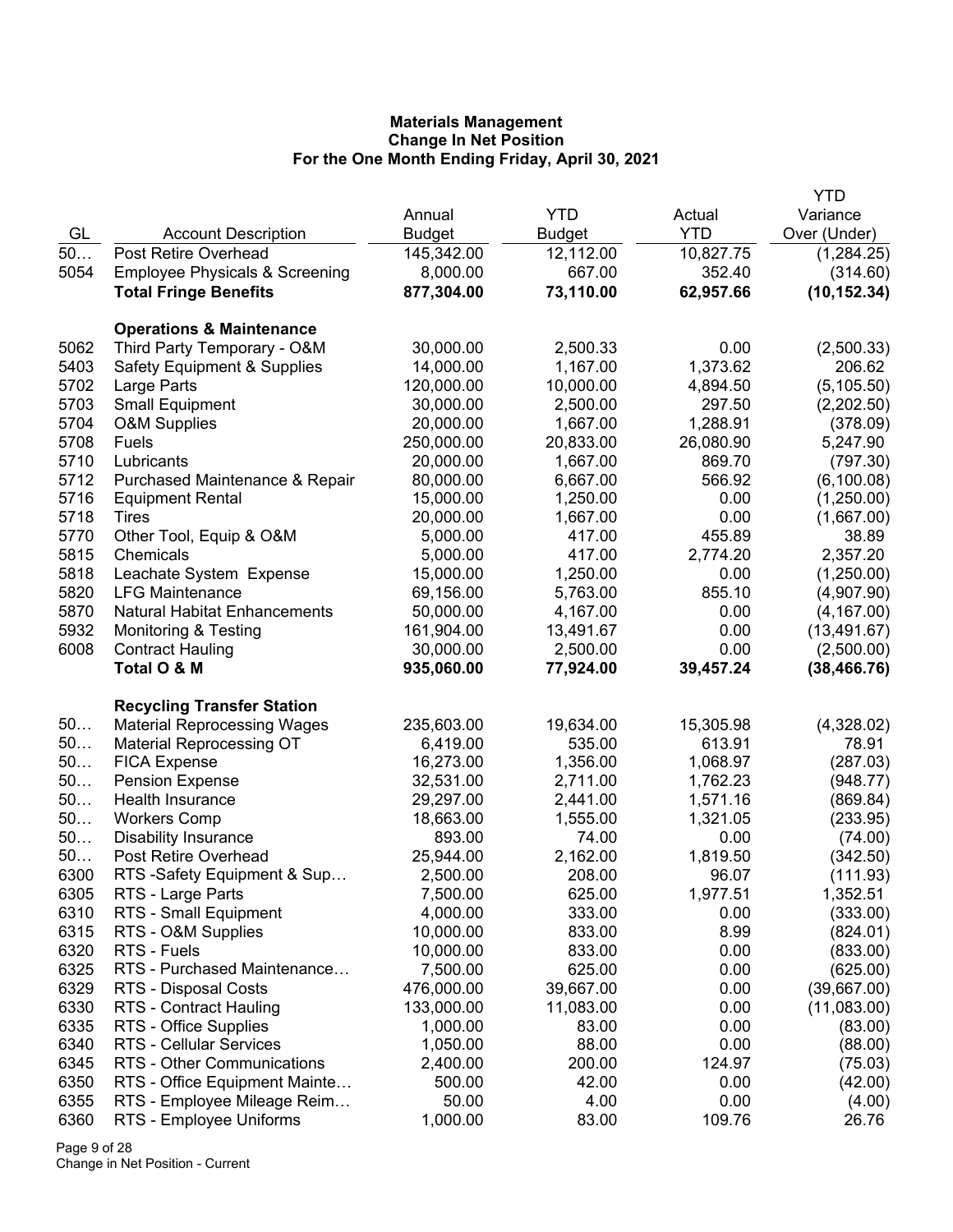|      |                                           |               |               |            | <b>YTD</b>   |
|------|-------------------------------------------|---------------|---------------|------------|--------------|
|      |                                           | Annual        | <b>YTD</b>    | Actual     | Variance     |
| GL   | <b>Account Description</b>                | <b>Budget</b> | <b>Budget</b> | <b>YTD</b> | Over (Under) |
| 50   | <b>Post Retire Overhead</b>               | 145,342.00    | 12,112.00     | 10,827.75  | (1,284.25)   |
| 5054 | <b>Employee Physicals &amp; Screening</b> | 8,000.00      | 667.00        | 352.40     | (314.60)     |
|      | <b>Total Fringe Benefits</b>              | 877,304.00    | 73,110.00     | 62,957.66  | (10, 152.34) |
|      |                                           |               |               |            |              |
|      | <b>Operations &amp; Maintenance</b>       |               |               |            |              |
| 5062 | Third Party Temporary - O&M               | 30,000.00     | 2,500.33      | 0.00       | (2,500.33)   |
| 5403 | <b>Safety Equipment &amp; Supplies</b>    | 14,000.00     | 1,167.00      | 1,373.62   | 206.62       |
| 5702 | Large Parts                               | 120,000.00    | 10,000.00     | 4,894.50   | (5, 105.50)  |
| 5703 | <b>Small Equipment</b>                    | 30,000.00     | 2,500.00      | 297.50     | (2,202.50)   |
| 5704 | <b>O&amp;M Supplies</b>                   | 20,000.00     | 1,667.00      | 1,288.91   | (378.09)     |
| 5708 | Fuels                                     | 250,000.00    | 20,833.00     | 26,080.90  | 5,247.90     |
| 5710 | Lubricants                                | 20,000.00     | 1,667.00      | 869.70     | (797.30)     |
| 5712 | Purchased Maintenance & Repair            | 80,000.00     | 6,667.00      | 566.92     | (6, 100.08)  |
| 5716 | <b>Equipment Rental</b>                   | 15,000.00     | 1,250.00      | 0.00       | (1,250.00)   |
| 5718 | Tires                                     | 20,000.00     | 1,667.00      | 0.00       | (1,667.00)   |
| 5770 | Other Tool, Equip & O&M                   | 5,000.00      | 417.00        | 455.89     | 38.89        |
| 5815 | Chemicals                                 | 5,000.00      | 417.00        | 2,774.20   | 2,357.20     |
| 5818 | Leachate System Expense                   | 15,000.00     | 1,250.00      | 0.00       | (1,250.00)   |
| 5820 | <b>LFG Maintenance</b>                    | 69,156.00     | 5,763.00      | 855.10     | (4,907.90)   |
| 5870 | <b>Natural Habitat Enhancements</b>       | 50,000.00     | 4,167.00      | 0.00       | (4, 167.00)  |
| 5932 | <b>Monitoring &amp; Testing</b>           | 161,904.00    | 13,491.67     | 0.00       | (13, 491.67) |
| 6008 | <b>Contract Hauling</b>                   | 30,000.00     | 2,500.00      | 0.00       | (2,500.00)   |
|      | Total O & M                               | 935,060.00    | 77,924.00     | 39,457.24  | (38, 466.76) |
|      |                                           |               |               |            |              |
|      | <b>Recycling Transfer Station</b>         |               |               |            |              |
| 50   | <b>Material Reprocessing Wages</b>        | 235,603.00    | 19,634.00     | 15,305.98  | (4,328.02)   |
| 50   | <b>Material Reprocessing OT</b>           | 6,419.00      | 535.00        | 613.91     | 78.91        |
| 50   | <b>FICA Expense</b>                       | 16,273.00     | 1,356.00      | 1,068.97   | (287.03)     |
| 50   | <b>Pension Expense</b>                    | 32,531.00     | 2,711.00      | 1,762.23   | (948.77)     |
| 50   | <b>Health Insurance</b>                   | 29,297.00     | 2,441.00      | 1,571.16   | (869.84)     |
| 50   | <b>Workers Comp</b>                       | 18,663.00     | 1,555.00      | 1,321.05   | (233.95)     |
| 50   | <b>Disability Insurance</b>               | 893.00        | 74.00         | 0.00       | (74.00)      |
| 50   | Post Retire Overhead                      | 25,944.00     | 2,162.00      | 1,819.50   | (342.50)     |
| 6300 | RTS -Safety Equipment & Sup               | 2,500.00      | 208.00        | 96.07      | (111.93)     |
| 6305 | RTS - Large Parts                         | 7,500.00      | 625.00        | 1,977.51   | 1,352.51     |
| 6310 | RTS - Small Equipment                     | 4,000.00      | 333.00        | 0.00       | (333.00)     |
| 6315 | RTS - O&M Supplies                        | 10,000.00     | 833.00        | 8.99       | (824.01)     |
| 6320 | RTS - Fuels                               | 10,000.00     | 833.00        | 0.00       | (833.00)     |
| 6325 | RTS - Purchased Maintenance               | 7,500.00      | 625.00        | 0.00       | (625.00)     |
| 6329 | RTS - Disposal Costs                      | 476,000.00    | 39,667.00     | 0.00       | (39,667.00)  |
| 6330 | RTS - Contract Hauling                    | 133,000.00    | 11,083.00     | 0.00       | (11,083.00)  |
| 6335 | RTS - Office Supplies                     | 1,000.00      | 83.00         | 0.00       | (83.00)      |
| 6340 | RTS - Cellular Services                   | 1,050.00      | 88.00         | 0.00       | (88.00)      |
| 6345 | RTS - Other Communications                | 2,400.00      | 200.00        | 124.97     | (75.03)      |
| 6350 | RTS - Office Equipment Mainte             | 500.00        | 42.00         | 0.00       | (42.00)      |
| 6355 | RTS - Employee Mileage Reim               | 50.00         | 4.00          | 0.00       | (4.00)       |
| 6360 | RTS - Employee Uniforms                   | 1,000.00      | 83.00         | 109.76     | 26.76        |

Page 9 of 28 Change in Net Position - Current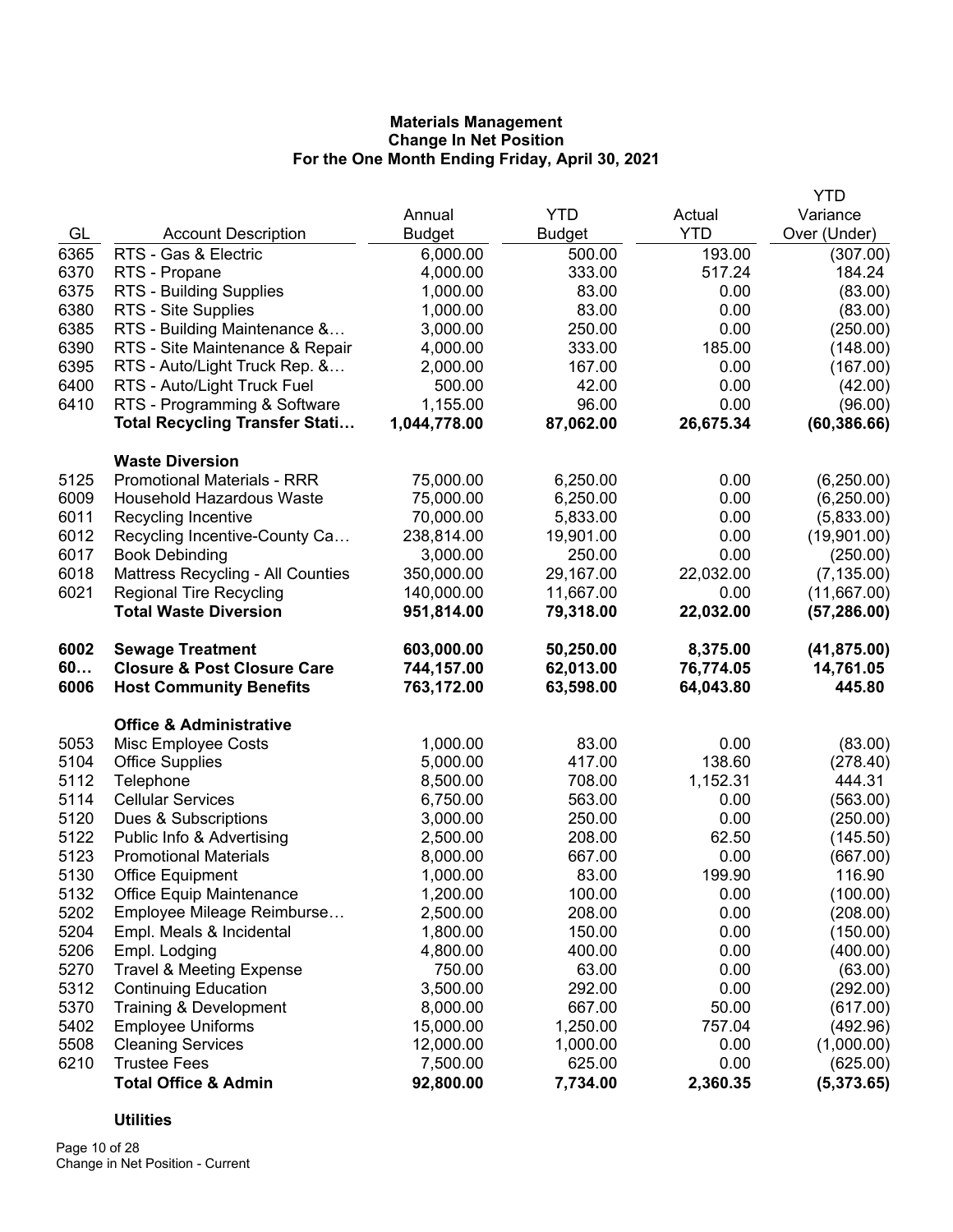|      |                                        |               |               |            | <b>YTD</b>   |
|------|----------------------------------------|---------------|---------------|------------|--------------|
|      |                                        | Annual        | <b>YTD</b>    | Actual     | Variance     |
| GL   | <b>Account Description</b>             | <b>Budget</b> | <b>Budget</b> | <b>YTD</b> | Over (Under) |
| 6365 | RTS - Gas & Electric                   | 6,000.00      | 500.00        | 193.00     | (307.00)     |
| 6370 | RTS - Propane                          | 4,000.00      | 333.00        | 517.24     | 184.24       |
| 6375 | RTS - Building Supplies                | 1,000.00      | 83.00         | 0.00       | (83.00)      |
| 6380 | RTS - Site Supplies                    | 1,000.00      | 83.00         | 0.00       | (83.00)      |
| 6385 | RTS - Building Maintenance &           | 3,000.00      | 250.00        | 0.00       | (250.00)     |
| 6390 | RTS - Site Maintenance & Repair        | 4,000.00      | 333.00        | 185.00     | (148.00)     |
| 6395 | RTS - Auto/Light Truck Rep. &          | 2,000.00      | 167.00        | 0.00       | (167.00)     |
| 6400 | RTS - Auto/Light Truck Fuel            | 500.00        | 42.00         | 0.00       | (42.00)      |
| 6410 | RTS - Programming & Software           | 1,155.00      | 96.00         | 0.00       | (96.00)      |
|      | <b>Total Recycling Transfer Stati</b>  | 1,044,778.00  | 87,062.00     | 26,675.34  | (60, 386.66) |
|      | <b>Waste Diversion</b>                 |               |               |            |              |
| 5125 | <b>Promotional Materials - RRR</b>     | 75,000.00     | 6,250.00      | 0.00       | (6,250.00)   |
| 6009 | <b>Household Hazardous Waste</b>       | 75,000.00     | 6,250.00      | 0.00       | (6,250.00)   |
| 6011 | Recycling Incentive                    | 70,000.00     | 5,833.00      | 0.00       | (5,833.00)   |
| 6012 | Recycling Incentive-County Ca          | 238,814.00    | 19,901.00     | 0.00       | (19,901.00)  |
| 6017 | <b>Book Debinding</b>                  | 3,000.00      | 250.00        | 0.00       | (250.00)     |
| 6018 | Mattress Recycling - All Counties      | 350,000.00    | 29,167.00     | 22,032.00  | (7, 135.00)  |
| 6021 | <b>Regional Tire Recycling</b>         | 140,000.00    | 11,667.00     | 0.00       | (11,667.00)  |
|      | <b>Total Waste Diversion</b>           | 951,814.00    | 79,318.00     | 22,032.00  | (57, 286.00) |
| 6002 | <b>Sewage Treatment</b>                | 603,000.00    | 50,250.00     | 8,375.00   | (41, 875.00) |
| 60   | <b>Closure &amp; Post Closure Care</b> | 744,157.00    | 62,013.00     | 76,774.05  | 14,761.05    |
| 6006 | <b>Host Community Benefits</b>         | 763,172.00    | 63,598.00     | 64,043.80  | 445.80       |
|      | <b>Office &amp; Administrative</b>     |               |               |            |              |
| 5053 | Misc Employee Costs                    | 1,000.00      | 83.00         | 0.00       | (83.00)      |
| 5104 | <b>Office Supplies</b>                 | 5,000.00      | 417.00        | 138.60     | (278.40)     |
| 5112 | Telephone                              | 8,500.00      | 708.00        | 1,152.31   | 444.31       |
| 5114 | <b>Cellular Services</b>               | 6,750.00      | 563.00        | 0.00       | (563.00)     |
| 5120 | Dues & Subscriptions                   | 3,000.00      | 250.00        | 0.00       | (250.00)     |
| 5122 | Public Info & Advertising              | 2,500.00      | 208.00        | 62.50      | (145.50)     |
| 5123 | <b>Promotional Materials</b>           | 8,000.00      | 667.00        | 0.00       | (667.00)     |
| 5130 | <b>Office Equipment</b>                | 1,000.00      | 83.00         | 199.90     | 116.90       |
| 5132 | <b>Office Equip Maintenance</b>        | 1,200.00      | 100.00        | 0.00       | (100.00)     |
| 5202 | Employee Mileage Reimburse             | 2,500.00      | 208.00        | 0.00       | (208.00)     |
| 5204 | Empl. Meals & Incidental               | 1,800.00      | 150.00        | 0.00       | (150.00)     |
| 5206 | Empl. Lodging                          | 4,800.00      | 400.00        | 0.00       | (400.00)     |
| 5270 | <b>Travel &amp; Meeting Expense</b>    | 750.00        | 63.00         | 0.00       | (63.00)      |
| 5312 | <b>Continuing Education</b>            | 3,500.00      | 292.00        | 0.00       | (292.00)     |
| 5370 | Training & Development                 | 8,000.00      | 667.00        | 50.00      | (617.00)     |
| 5402 | <b>Employee Uniforms</b>               | 15,000.00     | 1,250.00      | 757.04     | (492.96)     |
| 5508 | <b>Cleaning Services</b>               | 12,000.00     | 1,000.00      | 0.00       | (1,000.00)   |
| 6210 | <b>Trustee Fees</b>                    | 7,500.00      | 625.00        | 0.00       | (625.00)     |
|      | <b>Total Office &amp; Admin</b>        | 92,800.00     | 7,734.00      | 2,360.35   | (5,373.65)   |

# **Utilities**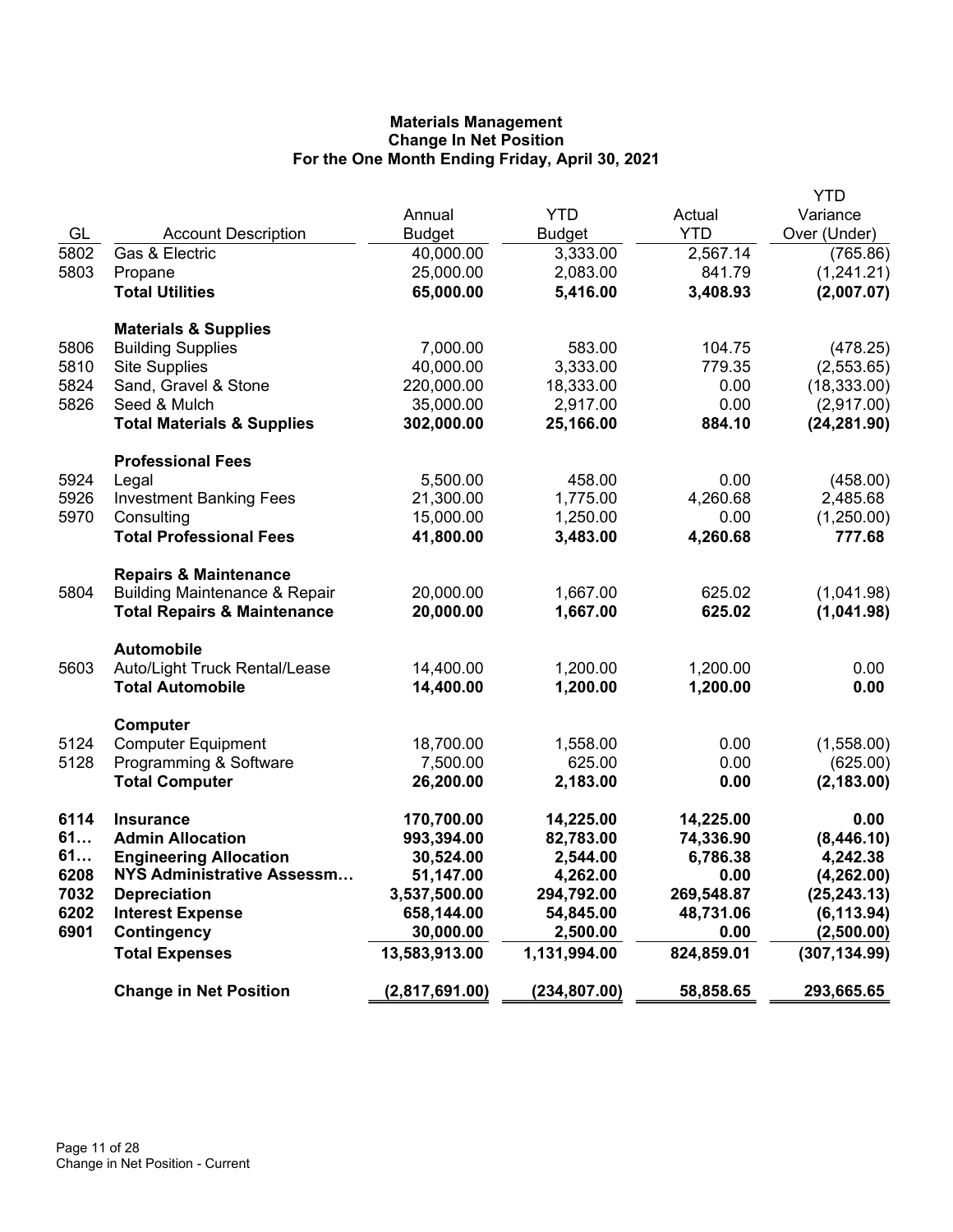|      |                                          |                |               |            | <b>YTD</b>    |
|------|------------------------------------------|----------------|---------------|------------|---------------|
|      |                                          | Annual         | <b>YTD</b>    | Actual     | Variance      |
| GL   | <b>Account Description</b>               | Budget         | <b>Budget</b> | <b>YTD</b> | Over (Under)  |
| 5802 | Gas & Electric                           | 40,000.00      | 3,333.00      | 2,567.14   | (765.86)      |
| 5803 | Propane                                  | 25,000.00      | 2,083.00      | 841.79     | (1,241.21)    |
|      | <b>Total Utilities</b>                   | 65,000.00      | 5,416.00      | 3,408.93   | (2,007.07)    |
|      |                                          |                |               |            |               |
|      | <b>Materials &amp; Supplies</b>          |                |               |            |               |
| 5806 | <b>Building Supplies</b>                 | 7,000.00       | 583.00        | 104.75     | (478.25)      |
| 5810 | <b>Site Supplies</b>                     | 40,000.00      | 3,333.00      | 779.35     | (2,553.65)    |
| 5824 | Sand, Gravel & Stone                     | 220,000.00     | 18,333.00     | 0.00       | (18, 333.00)  |
| 5826 | Seed & Mulch                             | 35,000.00      | 2,917.00      | 0.00       | (2,917.00)    |
|      | <b>Total Materials &amp; Supplies</b>    | 302,000.00     | 25,166.00     | 884.10     | (24, 281.90)  |
|      |                                          |                |               |            |               |
|      | <b>Professional Fees</b>                 |                |               |            |               |
| 5924 | Legal                                    | 5,500.00       | 458.00        | 0.00       | (458.00)      |
| 5926 | <b>Investment Banking Fees</b>           | 21,300.00      | 1,775.00      | 4,260.68   | 2,485.68      |
| 5970 | Consulting                               | 15,000.00      | 1,250.00      | 0.00       | (1,250.00)    |
|      | <b>Total Professional Fees</b>           | 41,800.00      | 3,483.00      | 4,260.68   | 777.68        |
|      |                                          |                |               |            |               |
|      | <b>Repairs &amp; Maintenance</b>         |                |               |            |               |
| 5804 | <b>Building Maintenance &amp; Repair</b> | 20,000.00      | 1,667.00      | 625.02     | (1,041.98)    |
|      | <b>Total Repairs &amp; Maintenance</b>   | 20,000.00      | 1,667.00      | 625.02     | (1,041.98)    |
|      |                                          |                |               |            |               |
|      | <b>Automobile</b>                        |                |               |            |               |
| 5603 | Auto/Light Truck Rental/Lease            | 14,400.00      | 1,200.00      | 1,200.00   | 0.00          |
|      | <b>Total Automobile</b>                  | 14,400.00      | 1,200.00      | 1,200.00   | 0.00          |
|      |                                          |                |               |            |               |
| 5124 | Computer<br><b>Computer Equipment</b>    | 18,700.00      | 1,558.00      | 0.00       | (1,558.00)    |
| 5128 | Programming & Software                   | 7,500.00       | 625.00        | 0.00       | (625.00)      |
|      | <b>Total Computer</b>                    | 26,200.00      | 2,183.00      | 0.00       | (2, 183.00)   |
|      |                                          |                |               |            |               |
| 6114 | <b>Insurance</b>                         | 170,700.00     | 14,225.00     | 14,225.00  | 0.00          |
| 61   | <b>Admin Allocation</b>                  | 993,394.00     | 82,783.00     | 74,336.90  | (8,446.10)    |
| 61   | <b>Engineering Allocation</b>            | 30,524.00      | 2,544.00      | 6,786.38   | 4,242.38      |
| 6208 | <b>NYS Administrative Assessm</b>        | 51,147.00      | 4,262.00      | 0.00       | (4, 262.00)   |
| 7032 | <b>Depreciation</b>                      | 3,537,500.00   | 294,792.00    | 269,548.87 | (25, 243.13)  |
| 6202 | <b>Interest Expense</b>                  | 658,144.00     | 54,845.00     | 48,731.06  | (6, 113.94)   |
| 6901 | Contingency                              | 30,000.00      | 2,500.00      | 0.00       | (2,500.00)    |
|      | <b>Total Expenses</b>                    | 13,583,913.00  | 1,131,994.00  | 824,859.01 | (307, 134.99) |
|      |                                          |                |               |            |               |
|      | <b>Change in Net Position</b>            | (2,817,691.00) | (234, 807.00) | 58,858.65  | 293,665.65    |
|      |                                          |                |               |            |               |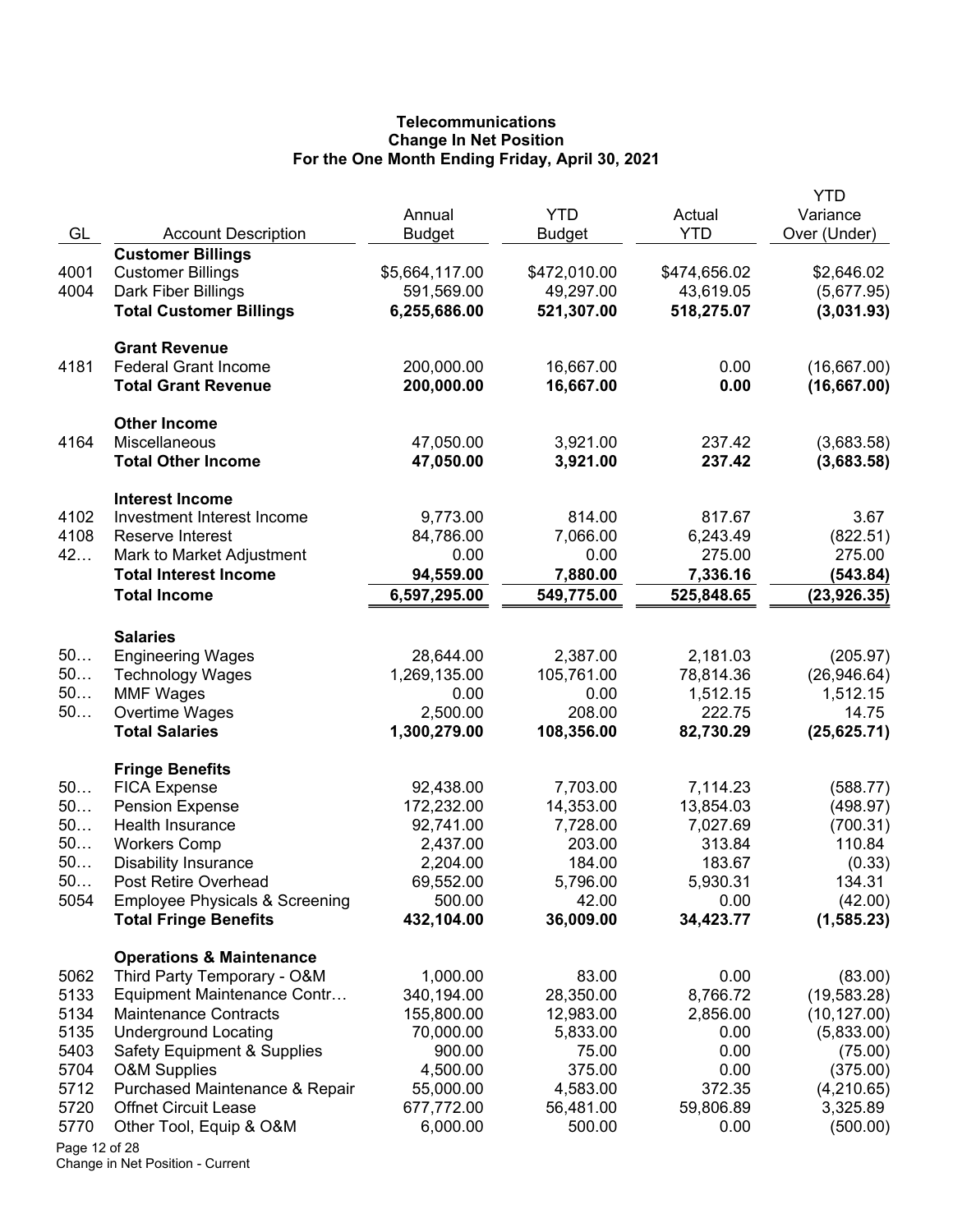# **Telecommunications Change In Net Position For the One Month Ending Friday, April 30, 2021**

|               |                                           |                         |                             |                      | <b>YTD</b>               |
|---------------|-------------------------------------------|-------------------------|-----------------------------|----------------------|--------------------------|
| GL            | <b>Account Description</b>                | Annual<br><b>Budget</b> | <b>YTD</b><br><b>Budget</b> | Actual<br><b>YTD</b> | Variance<br>Over (Under) |
|               | <b>Customer Billings</b>                  |                         |                             |                      |                          |
| 4001          | <b>Customer Billings</b>                  | \$5,664,117.00          | \$472,010.00                | \$474,656.02         | \$2,646.02               |
| 4004          | Dark Fiber Billings                       | 591,569.00              | 49,297.00                   | 43,619.05            | (5,677.95)               |
|               | <b>Total Customer Billings</b>            | 6,255,686.00            | 521,307.00                  | 518,275.07           | (3,031.93)               |
|               |                                           |                         |                             |                      |                          |
|               | <b>Grant Revenue</b>                      |                         |                             |                      |                          |
| 4181          | <b>Federal Grant Income</b>               | 200,000.00              | 16,667.00                   | 0.00                 | (16,667.00)              |
|               | <b>Total Grant Revenue</b>                | 200,000.00              | 16,667.00                   | 0.00                 | (16, 667.00)             |
|               | <b>Other Income</b>                       |                         |                             |                      |                          |
| 4164          | Miscellaneous                             | 47,050.00               | 3,921.00                    | 237.42               | (3,683.58)               |
|               | <b>Total Other Income</b>                 | 47,050.00               | 3,921.00                    | 237.42               | (3,683.58)               |
|               | <b>Interest Income</b>                    |                         |                             |                      |                          |
| 4102          | Investment Interest Income                | 9,773.00                | 814.00                      | 817.67               | 3.67                     |
| 4108          | Reserve Interest                          | 84,786.00               | 7,066.00                    | 6,243.49             | (822.51)                 |
| 42            | Mark to Market Adjustment                 | 0.00                    | 0.00                        | 275.00               | 275.00                   |
|               | <b>Total Interest Income</b>              | 94,559.00               | 7,880.00                    | 7,336.16             | (543.84)                 |
|               | <b>Total Income</b>                       | 6,597,295.00            | 549,775.00                  | 525,848.65           | (23, 926.35)             |
|               |                                           |                         |                             |                      |                          |
|               | <b>Salaries</b>                           |                         |                             |                      |                          |
| 50            | <b>Engineering Wages</b>                  | 28,644.00               | 2,387.00                    | 2,181.03             | (205.97)                 |
| 50            | <b>Technology Wages</b>                   | 1,269,135.00            | 105,761.00                  | 78,814.36            | (26,946.64)              |
| 50<br>50      | <b>MMF Wages</b>                          | 0.00<br>2,500.00        | 0.00<br>208.00              | 1,512.15<br>222.75   | 1,512.15<br>14.75        |
|               | Overtime Wages<br><b>Total Salaries</b>   | 1,300,279.00            | 108,356.00                  | 82,730.29            | (25, 625.71)             |
|               |                                           |                         |                             |                      |                          |
|               | <b>Fringe Benefits</b>                    |                         |                             |                      |                          |
| 50            | <b>FICA Expense</b>                       | 92,438.00               | 7,703.00                    | 7,114.23             | (588.77)                 |
| 50            | <b>Pension Expense</b>                    | 172,232.00              | 14,353.00                   | 13,854.03            | (498.97)                 |
| 50            | Health Insurance                          | 92,741.00               | 7,728.00                    | 7,027.69             | (700.31)                 |
| 50            | <b>Workers Comp</b>                       | 2,437.00                | 203.00                      | 313.84               | 110.84                   |
| 50            | <b>Disability Insurance</b>               | 2,204.00                | 184.00                      | 183.67               | (0.33)                   |
| 50            | Post Retire Overhead                      | 69,552.00               | 5,796.00                    | 5,930.31             | 134.31                   |
| 5054          | <b>Employee Physicals &amp; Screening</b> | 500.00                  | 42.00                       | 0.00                 | (42.00)                  |
|               | <b>Total Fringe Benefits</b>              | 432,104.00              | 36,009.00                   | 34,423.77            | (1, 585.23)              |
|               | <b>Operations &amp; Maintenance</b>       |                         |                             |                      |                          |
| 5062          | Third Party Temporary - O&M               | 1,000.00                | 83.00                       | 0.00                 | (83.00)                  |
| 5133          | Equipment Maintenance Contr               | 340,194.00              | 28,350.00                   | 8,766.72             | (19, 583.28)             |
| 5134          | <b>Maintenance Contracts</b>              | 155,800.00              | 12,983.00                   | 2,856.00             | (10, 127.00)             |
| 5135          | <b>Underground Locating</b>               | 70,000.00               | 5,833.00                    | 0.00                 | (5,833.00)               |
| 5403          | Safety Equipment & Supplies               | 900.00                  | 75.00                       | 0.00                 | (75.00)                  |
| 5704          | <b>O&amp;M Supplies</b>                   | 4,500.00                | 375.00                      | 0.00                 | (375.00)                 |
| 5712          | Purchased Maintenance & Repair            | 55,000.00               | 4,583.00                    | 372.35               | (4,210.65)               |
| 5720          | <b>Offnet Circuit Lease</b>               | 677,772.00              | 56,481.00                   | 59,806.89            | 3,325.89                 |
| 5770          | Other Tool, Equip & O&M                   | 6,000.00                | 500.00                      | 0.00                 | (500.00)                 |
| Page 12 of 28 |                                           |                         |                             |                      |                          |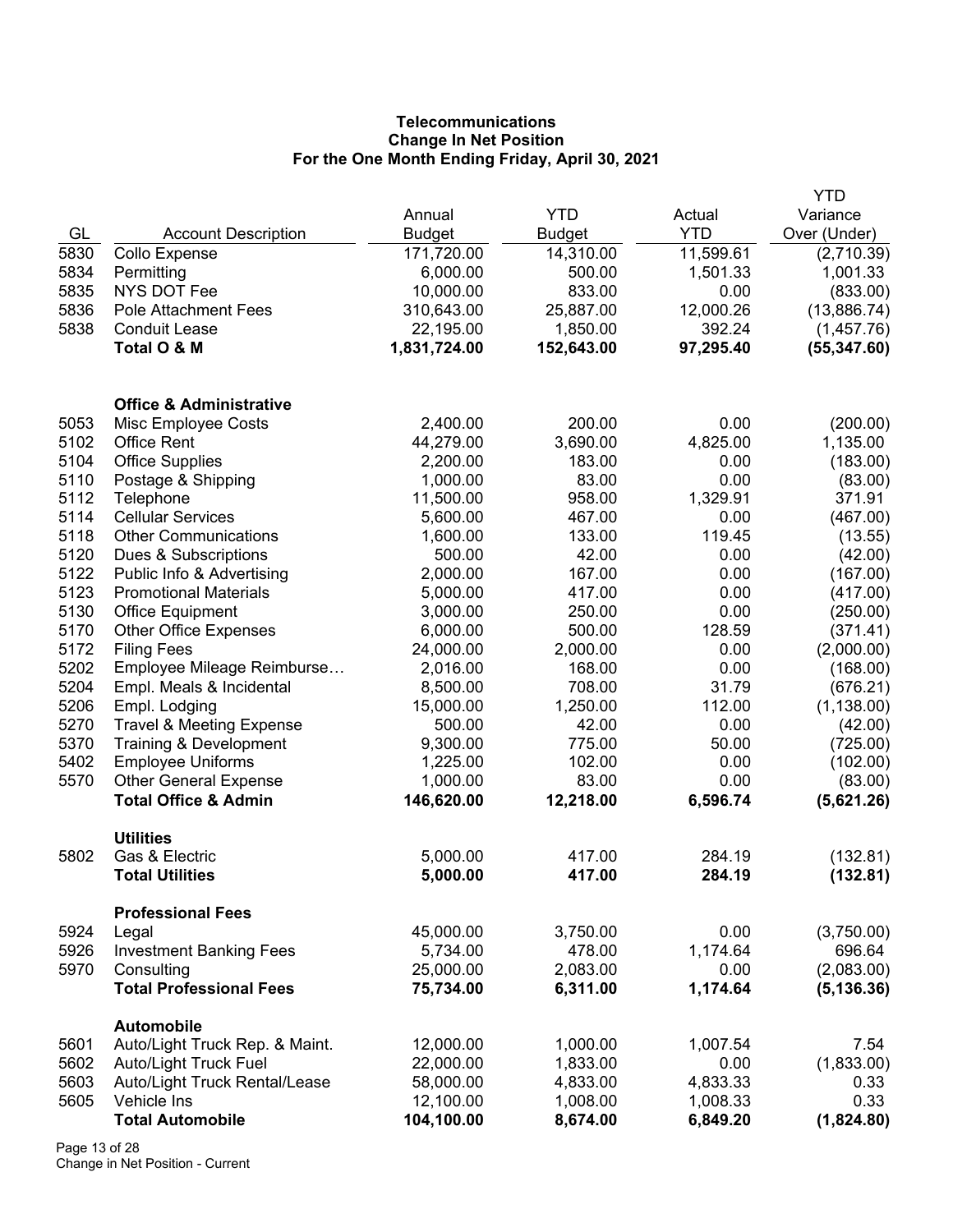# **Telecommunications Change In Net Position For the One Month Ending Friday, April 30, 2021**

|      |                                                                 |               |                    |            | <b>YTD</b>           |
|------|-----------------------------------------------------------------|---------------|--------------------|------------|----------------------|
|      |                                                                 | Annual        | <b>YTD</b>         | Actual     | Variance             |
| GL   | <b>Account Description</b>                                      | <b>Budget</b> | <b>Budget</b>      | <b>YTD</b> | Over (Under)         |
| 5830 | Collo Expense                                                   | 171,720.00    | 14,310.00          | 11,599.61  | (2,710.39)           |
| 5834 | Permitting                                                      | 6,000.00      | 500.00             | 1,501.33   | 1,001.33             |
| 5835 | <b>NYS DOT Fee</b>                                              | 10,000.00     | 833.00             | 0.00       | (833.00)             |
| 5836 | <b>Pole Attachment Fees</b>                                     | 310,643.00    | 25,887.00          | 12,000.26  | (13,886.74)          |
| 5838 | <b>Conduit Lease</b>                                            | 22,195.00     | 1,850.00           | 392.24     | (1,457.76)           |
|      | Total O & M                                                     | 1,831,724.00  | 152,643.00         | 97,295.40  | (55, 347.60)         |
|      | <b>Office &amp; Administrative</b>                              |               |                    |            |                      |
| 5053 | Misc Employee Costs                                             | 2,400.00      | 200.00             | 0.00       | (200.00)             |
| 5102 | <b>Office Rent</b>                                              | 44,279.00     | 3,690.00           | 4,825.00   | 1,135.00             |
| 5104 | <b>Office Supplies</b>                                          | 2,200.00      | 183.00             | 0.00       | (183.00)             |
| 5110 | Postage & Shipping                                              | 1,000.00      | 83.00              | 0.00       | (83.00)              |
| 5112 | Telephone                                                       | 11,500.00     | 958.00             | 1,329.91   | 371.91               |
| 5114 | <b>Cellular Services</b>                                        | 5,600.00      | 467.00             | 0.00       | (467.00)             |
| 5118 | <b>Other Communications</b>                                     | 1,600.00      | 133.00             | 119.45     | (13.55)              |
| 5120 | Dues & Subscriptions                                            | 500.00        | 42.00              | 0.00       | (42.00)              |
| 5122 | Public Info & Advertising                                       | 2,000.00      | 167.00             | 0.00       | (167.00)             |
| 5123 | <b>Promotional Materials</b>                                    | 5,000.00      | 417.00             | 0.00       | (417.00)             |
| 5130 | <b>Office Equipment</b>                                         | 3,000.00      | 250.00             | 0.00       | (250.00)             |
| 5170 | <b>Other Office Expenses</b>                                    | 6,000.00      | 500.00             | 128.59     | (371.41)             |
| 5172 | <b>Filing Fees</b>                                              | 24,000.00     | 2,000.00           | 0.00       | (2,000.00)           |
| 5202 | Employee Mileage Reimburse                                      | 2,016.00      | 168.00             | 0.00       | (168.00)             |
| 5204 | Empl. Meals & Incidental                                        | 8,500.00      | 708.00             | 31.79      | (676.21)             |
| 5206 | Empl. Lodging                                                   | 15,000.00     | 1,250.00           | 112.00     | (1, 138.00)          |
| 5270 | <b>Travel &amp; Meeting Expense</b>                             | 500.00        | 42.00              | 0.00       |                      |
| 5370 | Training & Development                                          | 9,300.00      | 775.00             | 50.00      | (42.00)<br>(725.00)  |
| 5402 | <b>Employee Uniforms</b>                                        | 1,225.00      | 102.00             | 0.00       | (102.00)             |
| 5570 |                                                                 | 1,000.00      | 83.00              | 0.00       | (83.00)              |
|      | <b>Other General Expense</b><br><b>Total Office &amp; Admin</b> | 146,620.00    | 12,218.00          | 6,596.74   | (5,621.26)           |
|      |                                                                 |               |                    |            |                      |
|      | <b>Utilities</b>                                                |               |                    |            |                      |
| 5802 | Gas & Electric                                                  | 5,000.00      | 417.00             | 284.19     | (132.81)             |
|      | <b>Total Utilities</b>                                          | 5,000.00      | 417.00             | 284.19     | (132.81)             |
| 5924 | <b>Professional Fees</b>                                        | 45,000.00     |                    | 0.00       |                      |
|      | Legal                                                           |               | 3,750.00<br>478.00 |            | (3,750.00)<br>696.64 |
| 5926 | <b>Investment Banking Fees</b><br>Consulting                    | 5,734.00      |                    | 1,174.64   | (2,083.00)           |
| 5970 | <b>Total Professional Fees</b>                                  | 25,000.00     | 2,083.00           | 0.00       |                      |
|      |                                                                 | 75,734.00     | 6,311.00           | 1,174.64   | (5, 136.36)          |
| 5601 | <b>Automobile</b><br>Auto/Light Truck Rep. & Maint.             | 12,000.00     | 1,000.00           | 1,007.54   | 7.54                 |
| 5602 | Auto/Light Truck Fuel                                           | 22,000.00     | 1,833.00           | 0.00       | (1,833.00)           |
| 5603 | Auto/Light Truck Rental/Lease                                   | 58,000.00     | 4,833.00           | 4,833.33   | 0.33                 |
| 5605 | Vehicle Ins                                                     | 12,100.00     | 1,008.00           | 1,008.33   | 0.33                 |
|      | <b>Total Automobile</b>                                         | 104,100.00    | 8,674.00           | 6,849.20   | (1,824.80)           |
|      |                                                                 |               |                    |            |                      |

Page 13 of 28 Change in Net Position - Current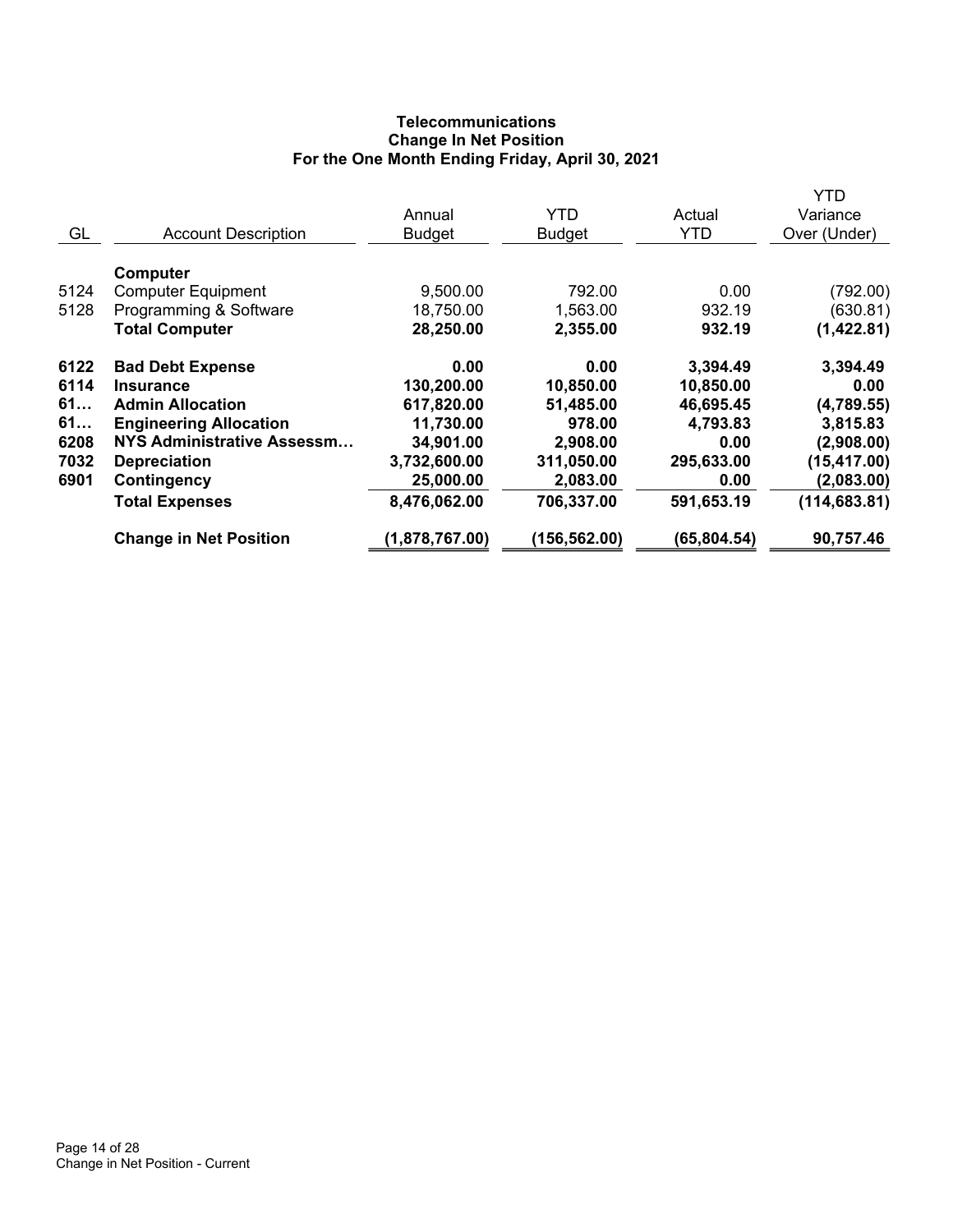# **Telecommunications Change In Net Position For the One Month Ending Friday, April 30, 2021**

|      |                                   |                |               |              | YTD           |
|------|-----------------------------------|----------------|---------------|--------------|---------------|
|      |                                   | Annual         | <b>YTD</b>    | Actual       | Variance      |
| GL   | <b>Account Description</b>        | <b>Budget</b>  | <b>Budget</b> | <b>YTD</b>   | Over (Under)  |
|      | Computer                          |                |               |              |               |
|      |                                   |                |               |              |               |
| 5124 | <b>Computer Equipment</b>         | 9,500.00       | 792.00        | 0.00         | (792.00)      |
| 5128 | Programming & Software            | 18,750.00      | 1,563.00      | 932.19       | (630.81)      |
|      | <b>Total Computer</b>             | 28,250.00      | 2,355.00      | 932.19       | (1,422.81)    |
| 6122 | <b>Bad Debt Expense</b>           | 0.00           | 0.00          | 3,394.49     | 3,394.49      |
| 6114 | <b>Insurance</b>                  | 130,200.00     | 10,850.00     | 10,850.00    | 0.00          |
| 61   | <b>Admin Allocation</b>           | 617,820.00     | 51,485.00     | 46,695.45    | (4,789.55)    |
| 61   | <b>Engineering Allocation</b>     | 11,730.00      | 978.00        | 4,793.83     | 3,815.83      |
| 6208 | <b>NYS Administrative Assessm</b> | 34,901.00      | 2,908.00      | 0.00         | (2,908.00)    |
| 7032 | <b>Depreciation</b>               | 3,732,600.00   | 311,050.00    | 295,633.00   | (15, 417.00)  |
| 6901 | <b>Contingency</b>                | 25,000.00      | 2,083.00      | 0.00         | (2,083.00)    |
|      | <b>Total Expenses</b>             | 8,476,062.00   | 706,337.00    | 591,653.19   | (114, 683.81) |
|      | <b>Change in Net Position</b>     | (1,878,767.00) | (156, 562.00) | (65, 804.54) | 90,757.46     |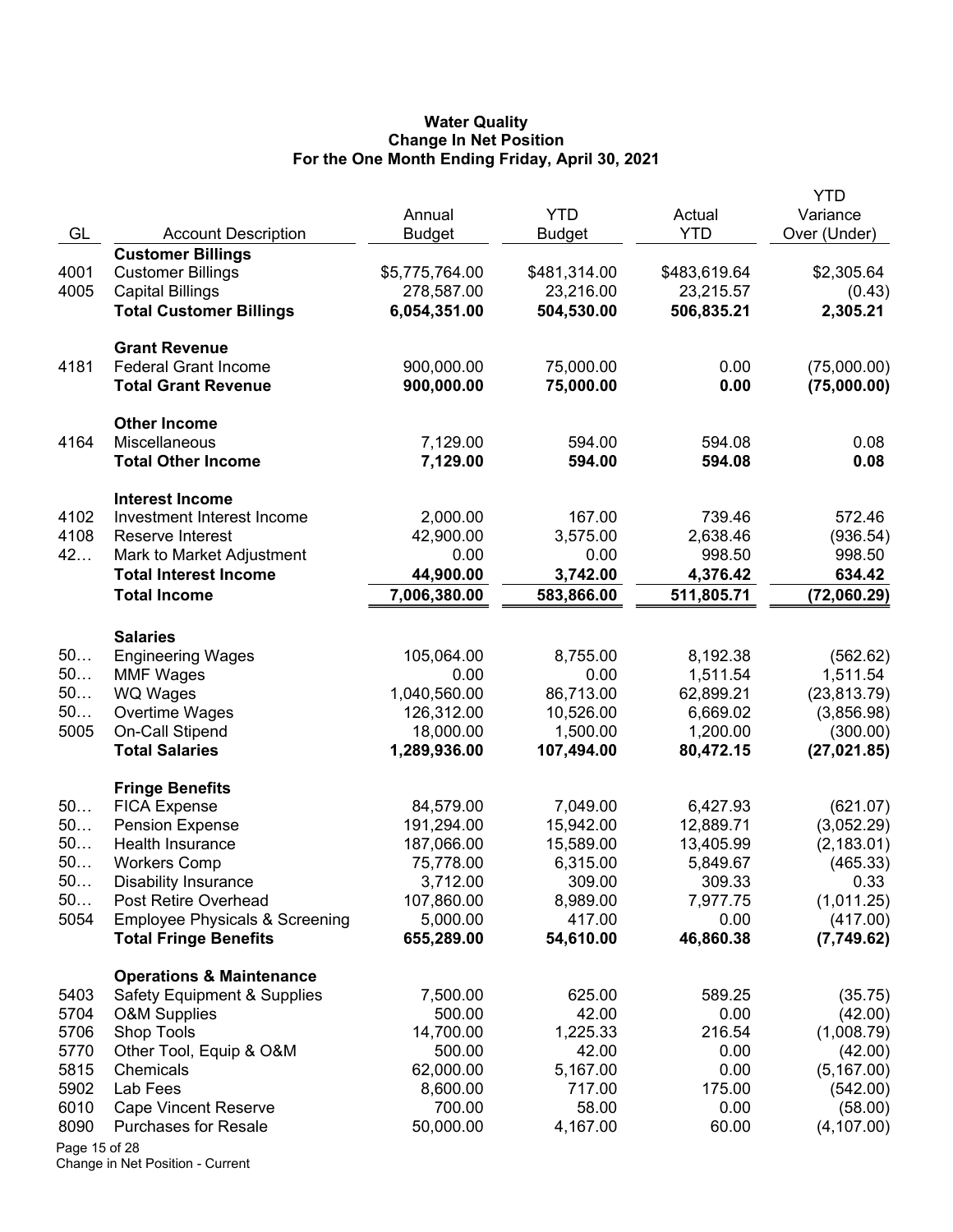#### **Water Quality Change In Net Position For the One Month Ending Friday, April 30, 2021**

|               |                                                                           | Annual                 | <b>YTD</b>          | Actual             | <b>YTD</b><br>Variance |
|---------------|---------------------------------------------------------------------------|------------------------|---------------------|--------------------|------------------------|
| GL            | <b>Account Description</b>                                                | <b>Budget</b>          | <b>Budget</b>       | <b>YTD</b>         | Over (Under)           |
|               | <b>Customer Billings</b>                                                  |                        |                     |                    |                        |
| 4001          | <b>Customer Billings</b>                                                  | \$5,775,764.00         | \$481,314.00        | \$483,619.64       | \$2,305.64             |
| 4005          | <b>Capital Billings</b>                                                   | 278,587.00             | 23,216.00           | 23,215.57          | (0.43)                 |
|               | <b>Total Customer Billings</b>                                            | 6,054,351.00           | 504,530.00          | 506,835.21         | 2,305.21               |
|               | <b>Grant Revenue</b>                                                      |                        |                     |                    |                        |
| 4181          | <b>Federal Grant Income</b>                                               | 900,000.00             | 75,000.00           | 0.00               | (75,000.00)            |
|               | <b>Total Grant Revenue</b>                                                | 900,000.00             | 75,000.00           | 0.00               | (75,000.00)            |
|               | <b>Other Income</b>                                                       |                        |                     |                    |                        |
| 4164          | Miscellaneous                                                             | 7,129.00               | 594.00              | 594.08             | 0.08                   |
|               | <b>Total Other Income</b>                                                 | 7,129.00               | 594.00              | 594.08             | 0.08                   |
|               | <b>Interest Income</b>                                                    |                        |                     |                    |                        |
| 4102          | Investment Interest Income                                                | 2,000.00               | 167.00              | 739.46             | 572.46                 |
| 4108<br>42    | Reserve Interest<br>Mark to Market Adjustment                             | 42,900.00<br>0.00      | 3,575.00<br>0.00    | 2,638.46<br>998.50 | (936.54)               |
|               | <b>Total Interest Income</b>                                              | 44,900.00              | 3,742.00            | 4,376.42           | 998.50<br>634.42       |
|               | <b>Total Income</b>                                                       | 7,006,380.00           | 583,866.00          | 511,805.71         | (72,060.29)            |
|               |                                                                           |                        |                     |                    |                        |
|               | <b>Salaries</b>                                                           |                        |                     |                    |                        |
| 50            | <b>Engineering Wages</b>                                                  | 105,064.00             | 8,755.00            | 8,192.38           | (562.62)               |
| 50            | <b>MMF Wages</b>                                                          | 0.00                   | 0.00                | 1,511.54           | 1,511.54               |
| 50            | WQ Wages                                                                  | 1,040,560.00           | 86,713.00           | 62,899.21          | (23, 813.79)           |
| 50            | Overtime Wages                                                            | 126,312.00             | 10,526.00           | 6,669.02           | (3,856.98)             |
| 5005          | On-Call Stipend                                                           | 18,000.00              | 1,500.00            | 1,200.00           | (300.00)               |
|               | <b>Total Salaries</b>                                                     | 1,289,936.00           | 107,494.00          | 80,472.15          | (27, 021.85)           |
|               | <b>Fringe Benefits</b>                                                    |                        |                     |                    |                        |
| 50            | <b>FICA Expense</b>                                                       | 84,579.00              | 7,049.00            | 6,427.93           | (621.07)               |
| 50            | <b>Pension Expense</b>                                                    | 191,294.00             | 15,942.00           | 12,889.71          | (3,052.29)             |
| 50            | Health Insurance                                                          | 187,066.00             | 15,589.00           | 13,405.99          | (2, 183.01)            |
| 50            | <b>Workers Comp</b>                                                       | 75,778.00              | 6,315.00            | 5,849.67           | (465.33)               |
| 50            | <b>Disability Insurance</b>                                               | 3,712.00               | 309.00              | 309.33             | 0.33                   |
| 50            | Post Retire Overhead                                                      | 107,860.00             | 8,989.00            | 7,977.75           | (1,011.25)             |
| 5054          | <b>Employee Physicals &amp; Screening</b><br><b>Total Fringe Benefits</b> | 5,000.00<br>655,289.00 | 417.00<br>54,610.00 | 0.00<br>46,860.38  | (417.00)<br>(7,749.62) |
|               |                                                                           |                        |                     |                    |                        |
| 5403          | <b>Operations &amp; Maintenance</b><br>Safety Equipment & Supplies        | 7,500.00               | 625.00              | 589.25             | (35.75)                |
| 5704          | <b>O&amp;M Supplies</b>                                                   | 500.00                 | 42.00               | 0.00               | (42.00)                |
| 5706          | Shop Tools                                                                | 14,700.00              | 1,225.33            | 216.54             | (1,008.79)             |
| 5770          | Other Tool, Equip & O&M                                                   | 500.00                 | 42.00               | 0.00               | (42.00)                |
| 5815          | Chemicals                                                                 | 62,000.00              | 5,167.00            | 0.00               | (5, 167.00)            |
| 5902          | Lab Fees                                                                  | 8,600.00               | 717.00              | 175.00             | (542.00)               |
| 6010          | <b>Cape Vincent Reserve</b>                                               | 700.00                 | 58.00               | 0.00               | (58.00)                |
| 8090          | <b>Purchases for Resale</b>                                               | 50,000.00              | 4,167.00            | 60.00              | (4, 107.00)            |
| Page 15 of 28 |                                                                           |                        |                     |                    |                        |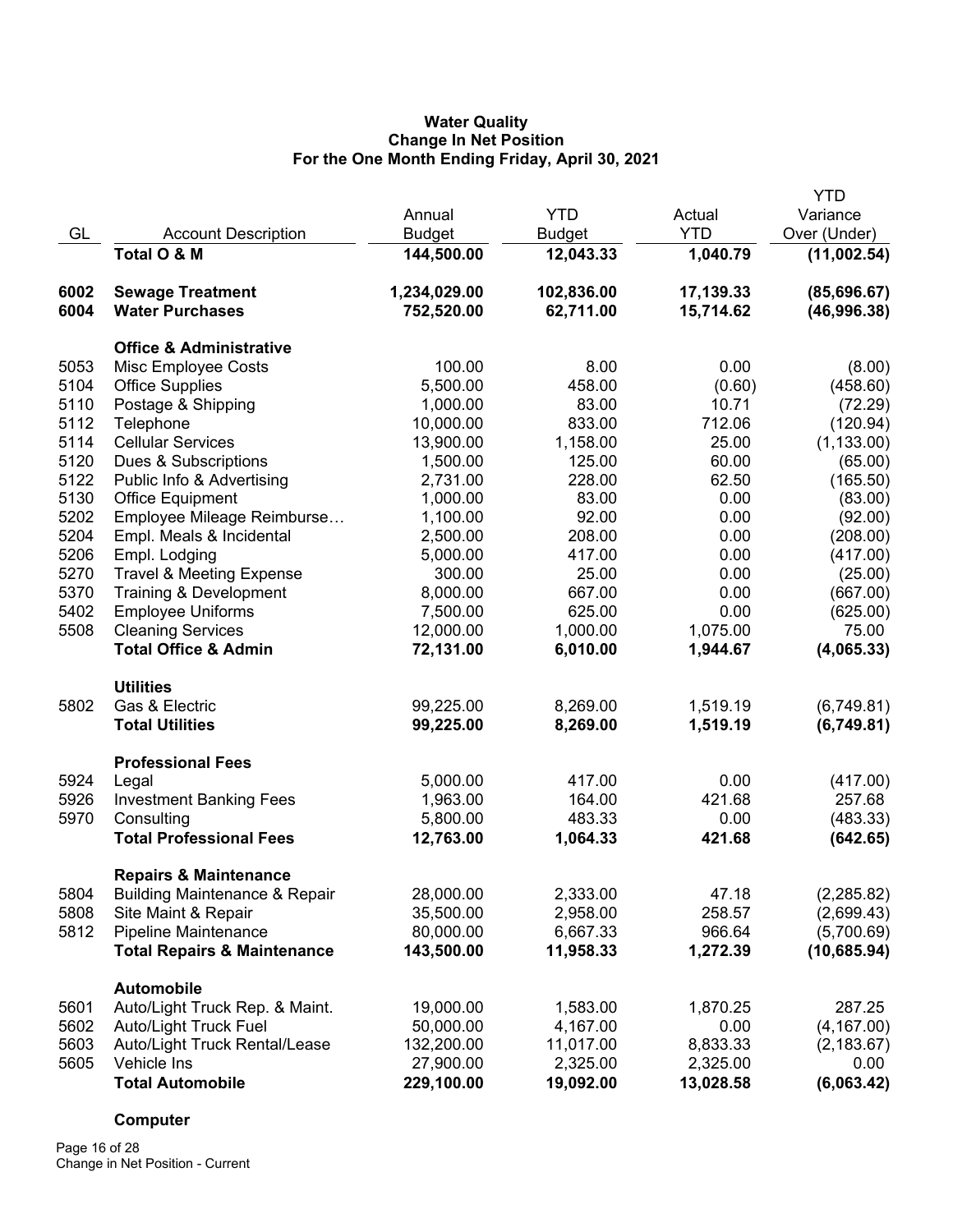## **Water Quality Change In Net Position For the One Month Ending Friday, April 30, 2021**

|      |                                          |               |               |            | <b>YTD</b>   |
|------|------------------------------------------|---------------|---------------|------------|--------------|
|      |                                          | Annual        | <b>YTD</b>    | Actual     | Variance     |
| GL   | <b>Account Description</b>               | <b>Budget</b> | <b>Budget</b> | <b>YTD</b> | Over (Under) |
|      | Total O & M                              | 144,500.00    | 12,043.33     | 1,040.79   | (11,002.54)  |
| 6002 | <b>Sewage Treatment</b>                  | 1,234,029.00  | 102,836.00    | 17,139.33  | (85,696.67)  |
| 6004 | <b>Water Purchases</b>                   | 752,520.00    | 62,711.00     | 15,714.62  | (46,996.38)  |
|      | <b>Office &amp; Administrative</b>       |               |               |            |              |
| 5053 | Misc Employee Costs                      | 100.00        | 8.00          | 0.00       | (8.00)       |
| 5104 | <b>Office Supplies</b>                   | 5,500.00      | 458.00        | (0.60)     | (458.60)     |
| 5110 | Postage & Shipping                       | 1,000.00      | 83.00         | 10.71      | (72.29)      |
| 5112 | Telephone                                | 10,000.00     | 833.00        | 712.06     | (120.94)     |
| 5114 | <b>Cellular Services</b>                 | 13,900.00     | 1,158.00      | 25.00      | (1, 133.00)  |
| 5120 | Dues & Subscriptions                     | 1,500.00      | 125.00        | 60.00      | (65.00)      |
| 5122 | Public Info & Advertising                | 2,731.00      | 228.00        | 62.50      | (165.50)     |
| 5130 | <b>Office Equipment</b>                  | 1,000.00      | 83.00         | 0.00       | (83.00)      |
| 5202 | Employee Mileage Reimburse               | 1,100.00      | 92.00         | 0.00       | (92.00)      |
| 5204 | Empl. Meals & Incidental                 | 2,500.00      | 208.00        | 0.00       | (208.00)     |
| 5206 | Empl. Lodging                            | 5,000.00      | 417.00        | 0.00       | (417.00)     |
| 5270 | <b>Travel &amp; Meeting Expense</b>      | 300.00        | 25.00         | 0.00       | (25.00)      |
| 5370 | Training & Development                   | 8,000.00      | 667.00        | 0.00       | (667.00)     |
| 5402 | <b>Employee Uniforms</b>                 | 7,500.00      | 625.00        | 0.00       | (625.00)     |
| 5508 | <b>Cleaning Services</b>                 | 12,000.00     | 1,000.00      | 1,075.00   | 75.00        |
|      | <b>Total Office &amp; Admin</b>          | 72,131.00     | 6,010.00      | 1,944.67   | (4,065.33)   |
|      | <b>Utilities</b>                         |               |               |            |              |
| 5802 | Gas & Electric                           | 99,225.00     | 8,269.00      | 1,519.19   | (6,749.81)   |
|      | <b>Total Utilities</b>                   | 99,225.00     | 8,269.00      | 1,519.19   | (6,749.81)   |
|      | <b>Professional Fees</b>                 |               |               |            |              |
| 5924 | Legal                                    | 5,000.00      | 417.00        | 0.00       | (417.00)     |
| 5926 | <b>Investment Banking Fees</b>           | 1,963.00      | 164.00        | 421.68     | 257.68       |
| 5970 | Consulting                               | 5,800.00      | 483.33        | 0.00       | (483.33)     |
|      | <b>Total Professional Fees</b>           | 12,763.00     | 1,064.33      | 421.68     | (642.65)     |
|      | <b>Repairs &amp; Maintenance</b>         |               |               |            |              |
| 5804 | <b>Building Maintenance &amp; Repair</b> | 28,000.00     | 2,333.00      | 47.18      | (2, 285.82)  |
| 5808 | Site Maint & Repair                      | 35,500.00     | 2,958.00      | 258.57     | (2,699.43)   |
| 5812 | Pipeline Maintenance                     | 80,000.00     | 6,667.33      | 966.64     | (5,700.69)   |
|      | <b>Total Repairs &amp; Maintenance</b>   | 143,500.00    | 11,958.33     | 1,272.39   | (10, 685.94) |
|      | Automobile                               |               |               |            |              |
| 5601 | Auto/Light Truck Rep. & Maint.           | 19,000.00     | 1,583.00      | 1,870.25   | 287.25       |
| 5602 | Auto/Light Truck Fuel                    | 50,000.00     | 4,167.00      | 0.00       | (4, 167.00)  |
| 5603 | Auto/Light Truck Rental/Lease            | 132,200.00    | 11,017.00     | 8,833.33   | (2, 183.67)  |
| 5605 | Vehicle Ins                              | 27,900.00     | 2,325.00      | 2,325.00   | 0.00         |
|      | <b>Total Automobile</b>                  | 229,100.00    | 19,092.00     | 13,028.58  | (6,063.42)   |

# **Computer**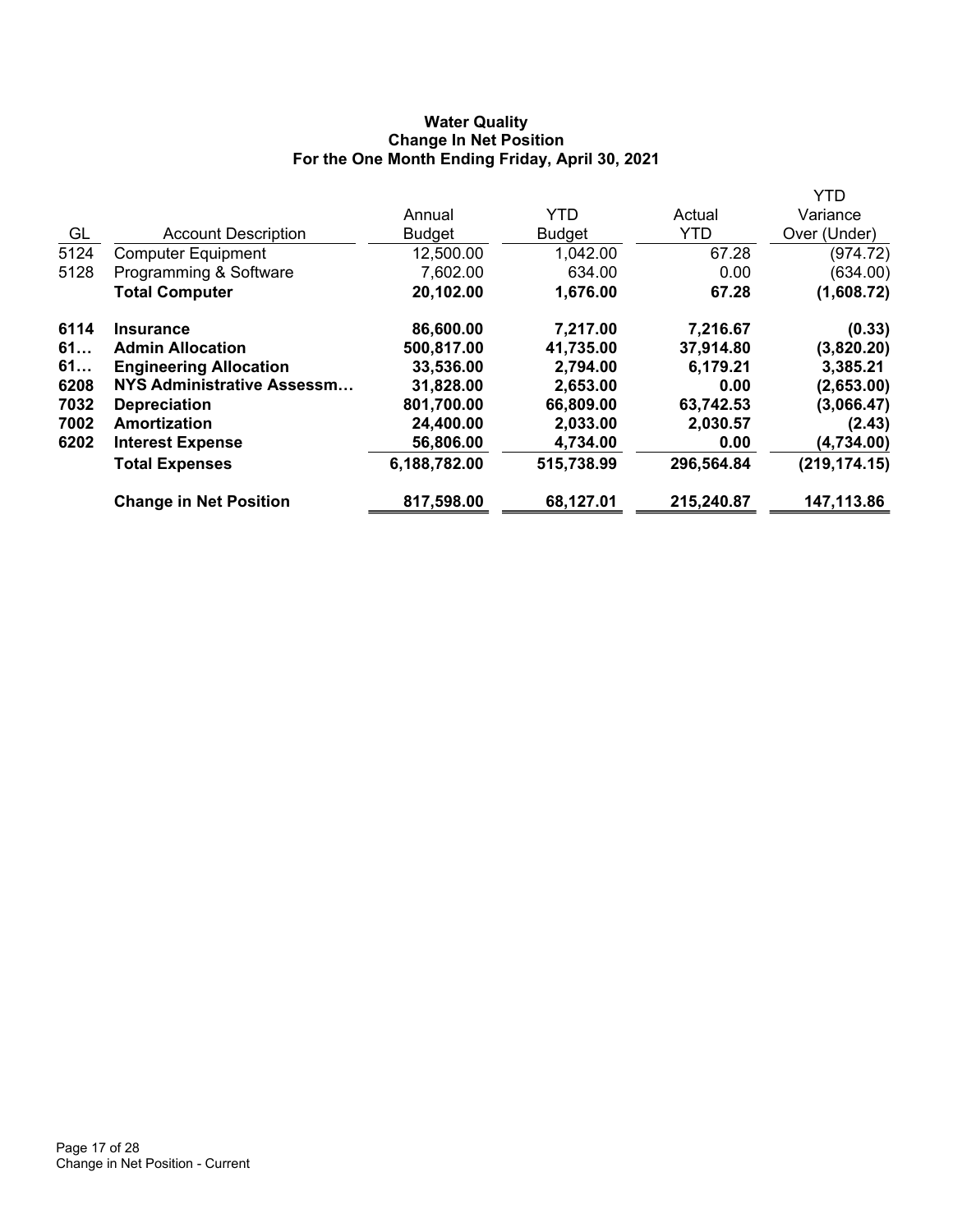# **Water Quality Change In Net Position For the One Month Ending Friday, April 30, 2021**

|      |                               |               |               |            | YTD           |
|------|-------------------------------|---------------|---------------|------------|---------------|
|      |                               | Annual        | <b>YTD</b>    | Actual     | Variance      |
| GL   | <b>Account Description</b>    | <b>Budget</b> | <b>Budget</b> | <b>YTD</b> | Over (Under)  |
| 5124 | <b>Computer Equipment</b>     | 12,500.00     | 1,042.00      | 67.28      | (974.72)      |
| 5128 | Programming & Software        | 7,602.00      | 634.00        | 0.00       | (634.00)      |
|      | <b>Total Computer</b>         | 20,102.00     | 1,676.00      | 67.28      | (1,608.72)    |
| 6114 | <b>Insurance</b>              | 86,600.00     | 7,217.00      | 7,216.67   | (0.33)        |
| 61   | <b>Admin Allocation</b>       | 500,817.00    | 41,735.00     | 37,914.80  | (3,820.20)    |
| 61   | <b>Engineering Allocation</b> | 33,536.00     | 2,794.00      | 6,179.21   | 3,385.21      |
| 6208 | NYS Administrative Assessm    | 31,828.00     | 2,653.00      | 0.00       | (2,653.00)    |
| 7032 | <b>Depreciation</b>           | 801,700.00    | 66,809.00     | 63,742.53  | (3,066.47)    |
| 7002 | Amortization                  | 24,400.00     | 2,033.00      | 2,030.57   | (2.43)        |
| 6202 | <b>Interest Expense</b>       | 56,806.00     | 4,734.00      | 0.00       | (4,734.00)    |
|      | <b>Total Expenses</b>         | 6,188,782.00  | 515,738.99    | 296,564.84 | (219, 174.15) |
|      | <b>Change in Net Position</b> | 817,598.00    | 68,127.01     | 215,240.87 | 147,113.86    |
|      |                               |               |               |            |               |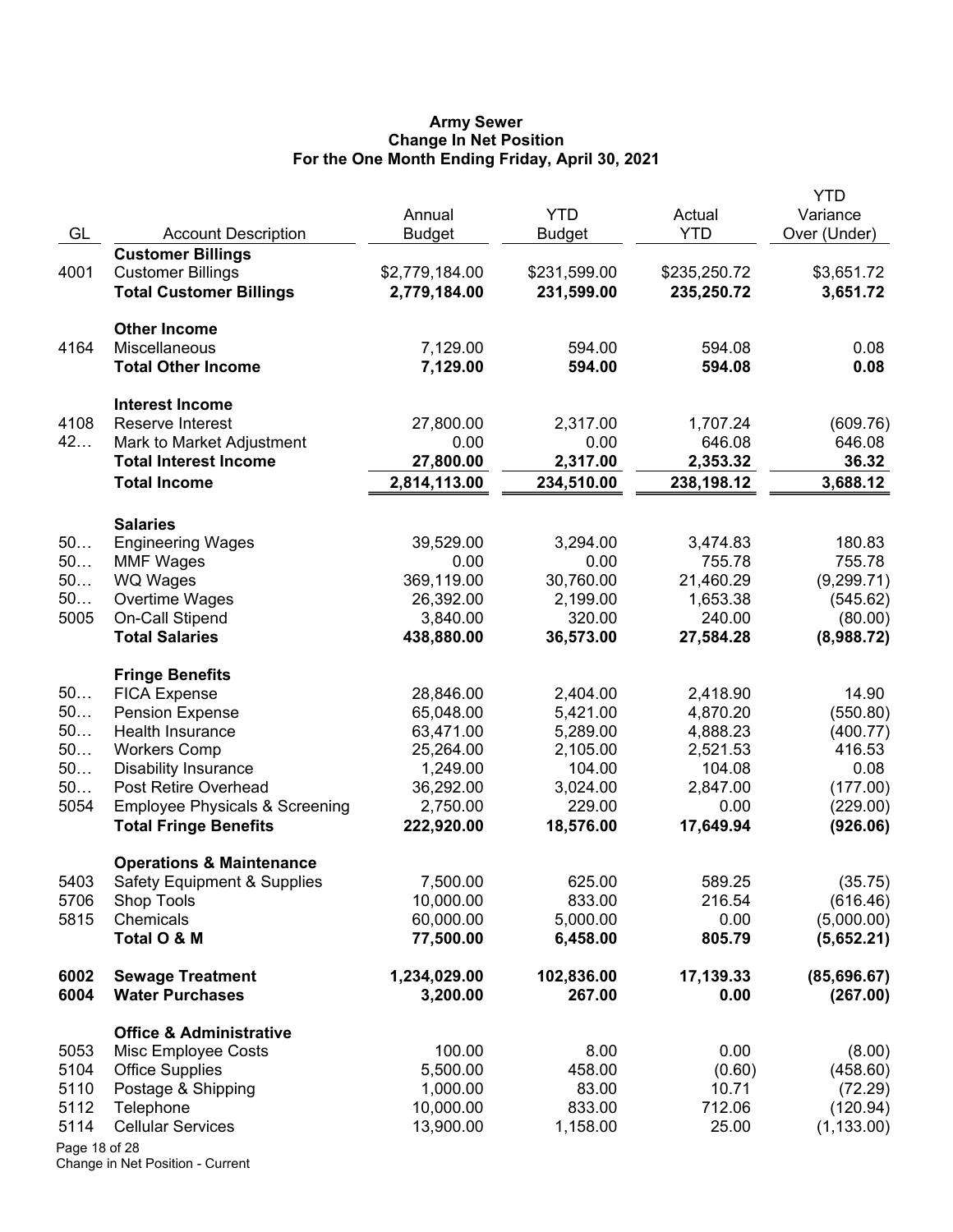#### **Army Sewer Change In Net Position For the One Month Ending Friday, April 30, 2021**

| GL            | <b>Account Description</b>                | Annual<br><b>Budget</b> | <b>YTD</b><br><b>Budget</b> | Actual<br><b>YTD</b> | YTD<br>Variance<br>Over (Under) |
|---------------|-------------------------------------------|-------------------------|-----------------------------|----------------------|---------------------------------|
|               | <b>Customer Billings</b>                  |                         |                             |                      |                                 |
| 4001          | <b>Customer Billings</b>                  | \$2,779,184.00          | \$231,599.00                | \$235,250.72         | \$3,651.72                      |
|               | <b>Total Customer Billings</b>            | 2,779,184.00            | 231,599.00                  | 235,250.72           | 3,651.72                        |
|               | <b>Other Income</b>                       |                         |                             |                      |                                 |
| 4164          | Miscellaneous                             | 7,129.00                | 594.00                      | 594.08               | 0.08                            |
|               | <b>Total Other Income</b>                 | 7,129.00                | 594.00                      | 594.08               | 0.08                            |
|               | <b>Interest Income</b>                    |                         |                             |                      |                                 |
| 4108          | Reserve Interest                          | 27,800.00               | 2,317.00                    | 1,707.24             | (609.76)                        |
| 42            | Mark to Market Adjustment                 | 0.00                    | 0.00                        | 646.08               | 646.08                          |
|               | <b>Total Interest Income</b>              | 27,800.00               | 2,317.00                    | 2,353.32             | 36.32                           |
|               | <b>Total Income</b>                       | 2,814,113.00            | 234,510.00                  | 238,198.12           | 3,688.12                        |
|               | <b>Salaries</b>                           |                         |                             |                      |                                 |
| 50            | <b>Engineering Wages</b>                  | 39,529.00               | 3,294.00                    | 3,474.83             | 180.83                          |
| 50            | <b>MMF Wages</b>                          | 0.00                    | 0.00                        | 755.78               | 755.78                          |
| 50            | WQ Wages                                  | 369,119.00              | 30,760.00                   | 21,460.29            | (9, 299.71)                     |
| 50            | Overtime Wages                            | 26,392.00               | 2,199.00                    | 1,653.38             | (545.62)                        |
| 5005          | On-Call Stipend                           | 3,840.00                | 320.00                      | 240.00               | (80.00)                         |
|               | <b>Total Salaries</b>                     | 438,880.00              | 36,573.00                   | 27,584.28            | (8,988.72)                      |
|               | <b>Fringe Benefits</b>                    |                         |                             |                      |                                 |
| 50            | <b>FICA Expense</b>                       | 28,846.00               | 2,404.00                    | 2,418.90             | 14.90                           |
| 50            | <b>Pension Expense</b>                    | 65,048.00               | 5,421.00                    | 4,870.20             | (550.80)                        |
| 50            | Health Insurance                          | 63,471.00               | 5,289.00                    | 4,888.23             | (400.77)                        |
| 50            | <b>Workers Comp</b>                       | 25,264.00               | 2,105.00                    | 2,521.53             | 416.53                          |
| 50            | <b>Disability Insurance</b>               | 1,249.00                | 104.00                      | 104.08               | 0.08                            |
| 50            | Post Retire Overhead                      | 36,292.00               | 3,024.00                    | 2,847.00             | (177.00)                        |
| 5054          | <b>Employee Physicals &amp; Screening</b> | 2,750.00                | 229.00                      | 0.00                 | (229.00)                        |
|               | <b>Total Fringe Benefits</b>              | 222,920.00              | 18,576.00                   | 17,649.94            | (926.06)                        |
|               | <b>Operations &amp; Maintenance</b>       |                         |                             |                      |                                 |
| 5403          | Safety Equipment & Supplies               | 7,500.00                | 625.00                      | 589.25               | (35.75)                         |
| 5706          | Shop Tools                                | 10,000.00               | 833.00                      | 216.54               | (616.46)                        |
| 5815          | Chemicals                                 | 60,000.00               | 5,000.00                    | 0.00                 | (5,000.00)                      |
|               | Total O & M                               | 77,500.00               | 6,458.00                    | 805.79               | (5,652.21)                      |
| 6002          | <b>Sewage Treatment</b>                   | 1,234,029.00            | 102,836.00                  | 17,139.33            | (85,696.67)                     |
| 6004          | <b>Water Purchases</b>                    | 3,200.00                | 267.00                      | 0.00                 | (267.00)                        |
|               | <b>Office &amp; Administrative</b>        |                         |                             |                      |                                 |
| 5053          | <b>Misc Employee Costs</b>                | 100.00                  | 8.00                        | 0.00                 | (8.00)                          |
| 5104          | <b>Office Supplies</b>                    | 5,500.00                | 458.00                      | (0.60)               | (458.60)                        |
| 5110          | Postage & Shipping                        | 1,000.00                | 83.00                       | 10.71                | (72.29)                         |
| 5112          | Telephone                                 | 10,000.00               | 833.00                      | 712.06               | (120.94)                        |
| 5114          | <b>Cellular Services</b>                  | 13,900.00               | 1,158.00                    | 25.00                | (1, 133.00)                     |
| Page 18 of 28 |                                           |                         |                             |                      |                                 |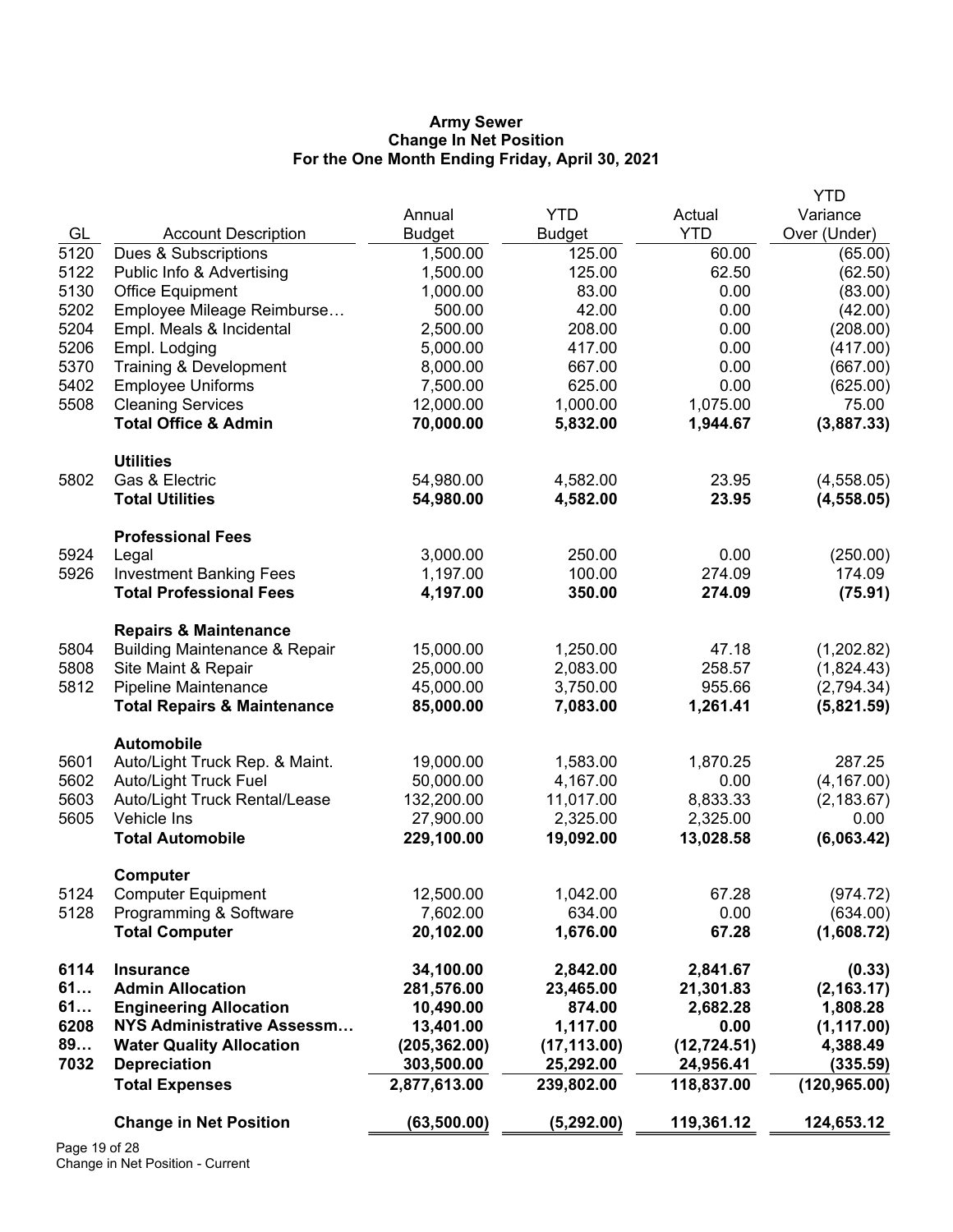#### **Army Sewer Change In Net Position For the One Month Ending Friday, April 30, 2021**

|      |                                          |               |               |              | <b>YTD</b>    |
|------|------------------------------------------|---------------|---------------|--------------|---------------|
|      |                                          | Annual        | <b>YTD</b>    | Actual       | Variance      |
| GL   | <b>Account Description</b>               | <b>Budget</b> | <b>Budget</b> | <b>YTD</b>   | Over (Under)  |
| 5120 | Dues & Subscriptions                     | 1,500.00      | 125.00        | 60.00        | (65.00)       |
| 5122 | Public Info & Advertising                | 1,500.00      | 125.00        | 62.50        | (62.50)       |
| 5130 | Office Equipment                         | 1,000.00      | 83.00         | 0.00         | (83.00)       |
| 5202 | Employee Mileage Reimburse               | 500.00        | 42.00         | 0.00         | (42.00)       |
| 5204 | Empl. Meals & Incidental                 | 2,500.00      | 208.00        | 0.00         | (208.00)      |
| 5206 | Empl. Lodging                            | 5,000.00      | 417.00        | 0.00         | (417.00)      |
| 5370 | Training & Development                   | 8,000.00      | 667.00        | 0.00         | (667.00)      |
| 5402 | <b>Employee Uniforms</b>                 | 7,500.00      | 625.00        | 0.00         | (625.00)      |
| 5508 | <b>Cleaning Services</b>                 | 12,000.00     | 1,000.00      | 1,075.00     | 75.00         |
|      | <b>Total Office &amp; Admin</b>          | 70,000.00     | 5,832.00      | 1,944.67     | (3,887.33)    |
|      | <b>Utilities</b>                         |               |               |              |               |
| 5802 | Gas & Electric                           | 54,980.00     | 4,582.00      | 23.95        | (4,558.05)    |
|      | <b>Total Utilities</b>                   | 54,980.00     | 4,582.00      | 23.95        | (4, 558.05)   |
|      | <b>Professional Fees</b>                 |               |               |              |               |
| 5924 | Legal                                    | 3,000.00      | 250.00        | 0.00         | (250.00)      |
| 5926 | <b>Investment Banking Fees</b>           | 1,197.00      | 100.00        | 274.09       | 174.09        |
|      | <b>Total Professional Fees</b>           | 4,197.00      | 350.00        | 274.09       | (75.91)       |
|      | <b>Repairs &amp; Maintenance</b>         |               |               |              |               |
| 5804 | <b>Building Maintenance &amp; Repair</b> | 15,000.00     | 1,250.00      | 47.18        | (1,202.82)    |
| 5808 | Site Maint & Repair                      | 25,000.00     | 2,083.00      | 258.57       | (1,824.43)    |
| 5812 | <b>Pipeline Maintenance</b>              | 45,000.00     | 3,750.00      | 955.66       | (2,794.34)    |
|      | <b>Total Repairs &amp; Maintenance</b>   | 85,000.00     | 7,083.00      | 1,261.41     | (5,821.59)    |
|      | <b>Automobile</b>                        |               |               |              |               |
| 5601 | Auto/Light Truck Rep. & Maint.           | 19,000.00     | 1,583.00      | 1,870.25     | 287.25        |
| 5602 | <b>Auto/Light Truck Fuel</b>             | 50,000.00     | 4,167.00      | 0.00         | (4, 167.00)   |
| 5603 | Auto/Light Truck Rental/Lease            | 132,200.00    | 11,017.00     | 8,833.33     | (2, 183.67)   |
| 5605 | Vehicle Ins                              | 27,900.00     | 2,325.00      | 2,325.00     | 0.00          |
|      | <b>Total Automobile</b>                  | 229,100.00    | 19,092.00     | 13,028.58    | (6,063.42)    |
|      | Computer                                 |               |               |              |               |
| 5124 | <b>Computer Equipment</b>                | 12,500.00     | 1,042.00      | 67.28        | (974.72)      |
| 5128 | Programming & Software                   | 7,602.00      | 634.00        | 0.00         | (634.00)      |
|      | <b>Total Computer</b>                    | 20,102.00     | 1,676.00      | 67.28        | (1,608.72)    |
| 6114 | <b>Insurance</b>                         | 34,100.00     | 2,842.00      | 2,841.67     | (0.33)        |
| 61   | <b>Admin Allocation</b>                  | 281,576.00    | 23,465.00     | 21,301.83    | (2, 163.17)   |
| 61   | <b>Engineering Allocation</b>            | 10,490.00     | 874.00        | 2,682.28     | 1,808.28      |
| 6208 | <b>NYS Administrative Assessm</b>        | 13,401.00     | 1,117.00      | 0.00         | (1, 117.00)   |
| 89   | <b>Water Quality Allocation</b>          | (205, 362.00) | (17, 113.00)  | (12, 724.51) | 4,388.49      |
| 7032 | <b>Depreciation</b>                      | 303,500.00    | 25,292.00     | 24,956.41    | (335.59)      |
|      | <b>Total Expenses</b>                    | 2,877,613.00  | 239,802.00    | 118,837.00   | (120, 965.00) |
|      | <b>Change in Net Position</b>            | (63, 500.00)  | (5, 292.00)   | 119,361.12   | 124,653.12    |
|      |                                          |               |               |              |               |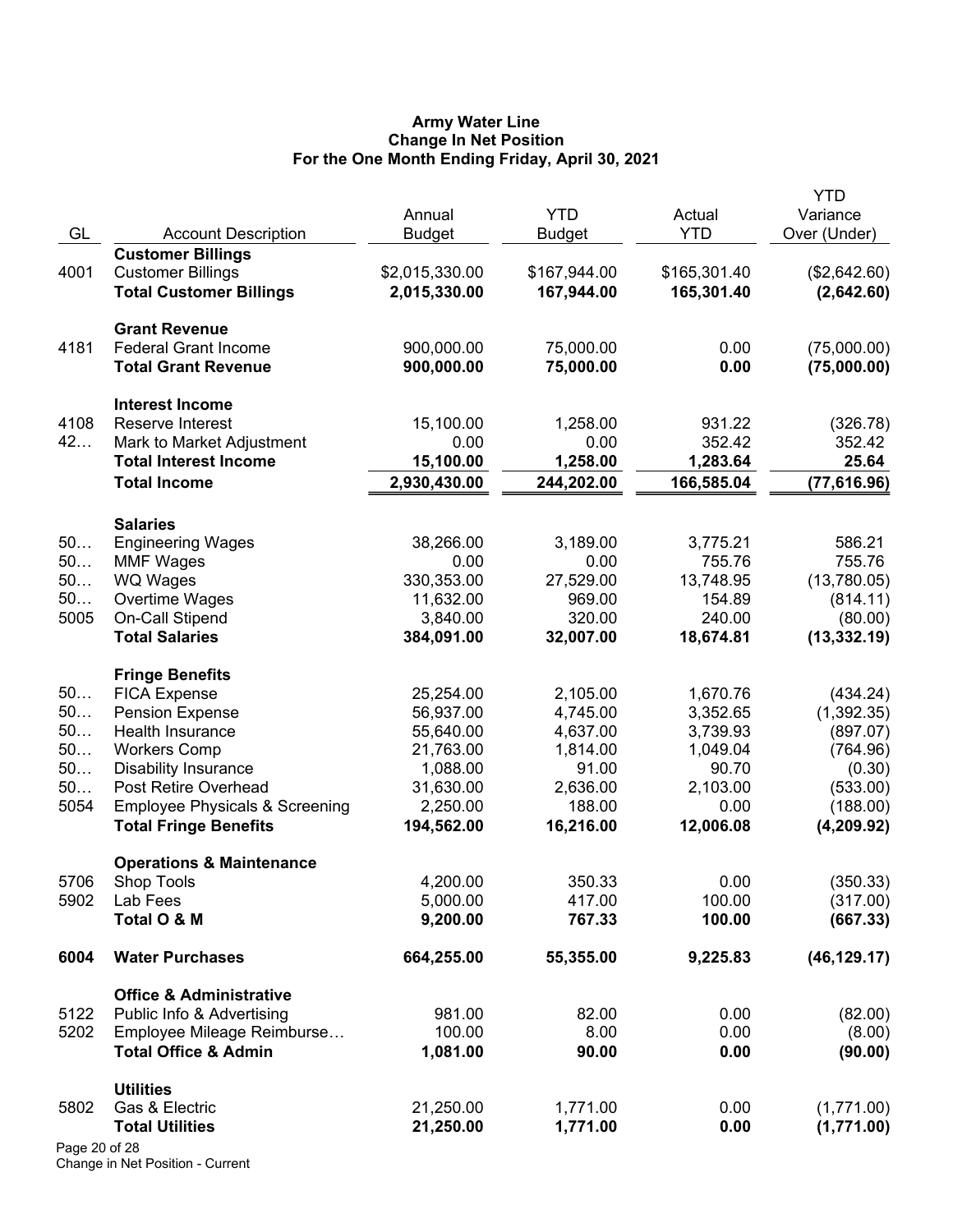#### **Army Water Line Change In Net Position For the One Month Ending Friday, April 30, 2021**

|               |                                           | Annual         | <b>YTD</b>    | Actual       | <b>YTD</b><br>Variance |
|---------------|-------------------------------------------|----------------|---------------|--------------|------------------------|
| GL            | <b>Account Description</b>                | <b>Budget</b>  | <b>Budget</b> | <b>YTD</b>   | Over (Under)           |
|               | <b>Customer Billings</b>                  |                |               |              |                        |
| 4001          | <b>Customer Billings</b>                  | \$2,015,330.00 | \$167,944.00  | \$165,301.40 | (\$2,642.60)           |
|               | <b>Total Customer Billings</b>            | 2,015,330.00   | 167,944.00    | 165,301.40   | (2,642.60)             |
|               | <b>Grant Revenue</b>                      |                |               |              |                        |
| 4181          | <b>Federal Grant Income</b>               | 900,000.00     | 75,000.00     | 0.00         | (75,000.00)            |
|               | <b>Total Grant Revenue</b>                | 900,000.00     | 75,000.00     | 0.00         | (75,000.00)            |
|               | <b>Interest Income</b>                    |                |               |              |                        |
| 4108          | Reserve Interest                          | 15,100.00      | 1,258.00      | 931.22       | (326.78)               |
| 42            | Mark to Market Adjustment                 | 0.00           | 0.00          | 352.42       | 352.42                 |
|               | <b>Total Interest Income</b>              | 15,100.00      | 1,258.00      | 1,283.64     | 25.64                  |
|               | <b>Total Income</b>                       | 2,930,430.00   | 244,202.00    | 166,585.04   | (77, 616.96)           |
|               | <b>Salaries</b>                           |                |               |              |                        |
| 50            | <b>Engineering Wages</b>                  | 38,266.00      | 3,189.00      | 3,775.21     | 586.21                 |
| 50            | <b>MMF Wages</b>                          | 0.00           | 0.00          | 755.76       | 755.76                 |
| 50            | WQ Wages                                  | 330,353.00     | 27,529.00     | 13,748.95    | (13,780.05)            |
| 50            | Overtime Wages                            | 11,632.00      | 969.00        | 154.89       | (814.11)               |
| 5005          | On-Call Stipend                           | 3,840.00       | 320.00        | 240.00       | (80.00)                |
|               | <b>Total Salaries</b>                     | 384,091.00     | 32,007.00     | 18,674.81    | (13, 332.19)           |
|               | <b>Fringe Benefits</b>                    |                |               |              |                        |
| 50            | <b>FICA Expense</b>                       | 25,254.00      | 2,105.00      | 1,670.76     | (434.24)               |
| 50            | <b>Pension Expense</b>                    | 56,937.00      | 4,745.00      | 3,352.65     | (1,392.35)             |
| 50            | Health Insurance                          | 55,640.00      | 4,637.00      | 3,739.93     | (897.07)               |
| 50            | <b>Workers Comp</b>                       | 21,763.00      | 1,814.00      | 1,049.04     | (764.96)               |
| 50            | <b>Disability Insurance</b>               | 1,088.00       | 91.00         | 90.70        | (0.30)                 |
| 50            | Post Retire Overhead                      | 31,630.00      | 2,636.00      | 2,103.00     | (533.00)               |
| 5054          | <b>Employee Physicals &amp; Screening</b> | 2,250.00       | 188.00        | 0.00         | (188.00)               |
|               | <b>Total Fringe Benefits</b>              | 194,562.00     | 16,216.00     | 12,006.08    | (4,209.92)             |
|               | <b>Operations &amp; Maintenance</b>       |                |               |              |                        |
| 5706          | <b>Shop Tools</b>                         | 4,200.00       | 350.33        | 0.00         | (350.33)               |
| 5902          | Lab Fees                                  | 5,000.00       | 417.00        | 100.00       | (317.00)               |
|               | Total O & M                               | 9,200.00       | 767.33        | 100.00       | (667.33)               |
| 6004          | <b>Water Purchases</b>                    | 664,255.00     | 55,355.00     | 9,225.83     | (46, 129.17)           |
|               | <b>Office &amp; Administrative</b>        |                |               |              |                        |
| 5122          | Public Info & Advertising                 | 981.00         | 82.00         | 0.00         | (82.00)                |
| 5202          | Employee Mileage Reimburse                | 100.00         | 8.00          | 0.00         | (8.00)                 |
|               | <b>Total Office &amp; Admin</b>           | 1,081.00       | 90.00         | 0.00         | (90.00)                |
|               | <b>Utilities</b>                          |                |               |              |                        |
| 5802          | Gas & Electric                            | 21,250.00      | 1,771.00      | 0.00         | (1,771.00)             |
|               | <b>Total Utilities</b>                    | 21,250.00      | 1,771.00      | 0.00         | (1,771.00)             |
| Page 20 of 28 |                                           |                |               |              |                        |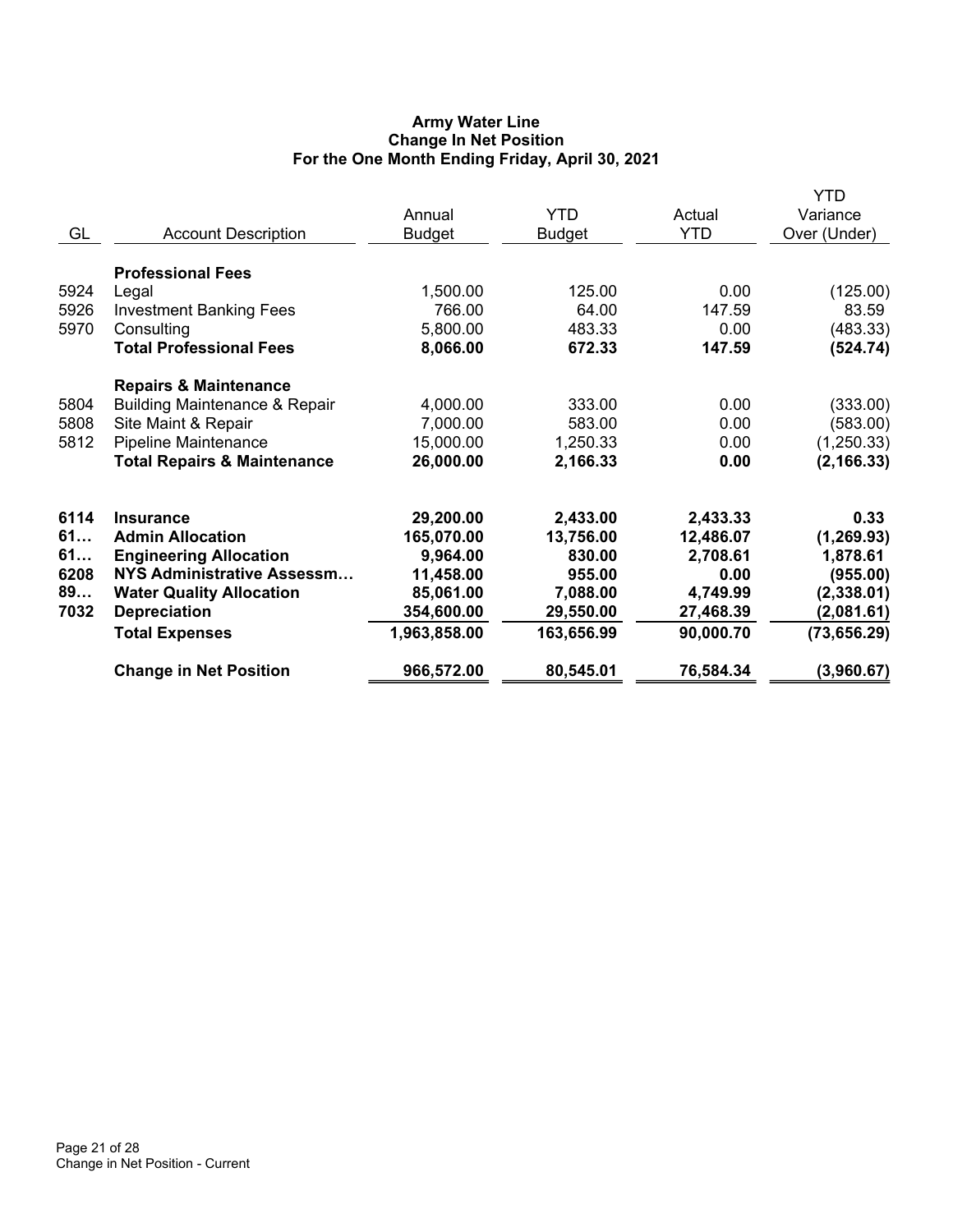# **Army Water Line Change In Net Position For the One Month Ending Friday, April 30, 2021**

|      |                                          |               |               |            | <b>YTD</b>   |
|------|------------------------------------------|---------------|---------------|------------|--------------|
|      |                                          | Annual        | <b>YTD</b>    | Actual     | Variance     |
| GL   | <b>Account Description</b>               | <b>Budget</b> | <b>Budget</b> | <b>YTD</b> | Over (Under) |
|      | <b>Professional Fees</b>                 |               |               |            |              |
| 5924 | Legal                                    | 1,500.00      | 125.00        | 0.00       | (125.00)     |
| 5926 | <b>Investment Banking Fees</b>           | 766.00        | 64.00         | 147.59     | 83.59        |
| 5970 | Consulting                               | 5,800.00      | 483.33        | 0.00       | (483.33)     |
|      | <b>Total Professional Fees</b>           | 8,066.00      | 672.33        | 147.59     | (524.74)     |
|      | <b>Repairs &amp; Maintenance</b>         |               |               |            |              |
| 5804 | <b>Building Maintenance &amp; Repair</b> | 4,000.00      | 333.00        | 0.00       | (333.00)     |
| 5808 | Site Maint & Repair                      | 7,000.00      | 583.00        | 0.00       | (583.00)     |
| 5812 | Pipeline Maintenance                     | 15,000.00     | 1,250.33      | 0.00       | (1,250.33)   |
|      | <b>Total Repairs &amp; Maintenance</b>   | 26,000.00     | 2,166.33      | 0.00       | (2, 166.33)  |
| 6114 | <b>Insurance</b>                         | 29,200.00     | 2,433.00      | 2,433.33   | 0.33         |
| 61   | <b>Admin Allocation</b>                  | 165,070.00    | 13,756.00     | 12,486.07  | (1, 269.93)  |
| 61   | <b>Engineering Allocation</b>            | 9,964.00      | 830.00        | 2,708.61   | 1,878.61     |
| 6208 | NYS Administrative Assessm               | 11,458.00     | 955.00        | 0.00       | (955.00)     |
| 89   | <b>Water Quality Allocation</b>          | 85,061.00     | 7,088.00      | 4,749.99   | (2,338.01)   |
| 7032 | <b>Depreciation</b>                      | 354,600.00    | 29,550.00     | 27,468.39  | (2,081.61)   |
|      | <b>Total Expenses</b>                    | 1,963,858.00  | 163,656.99    | 90,000.70  | (73, 656.29) |
|      | <b>Change in Net Position</b>            | 966,572.00    | 80,545.01     | 76,584.34  | (3,960.67)   |
|      |                                          |               |               |            |              |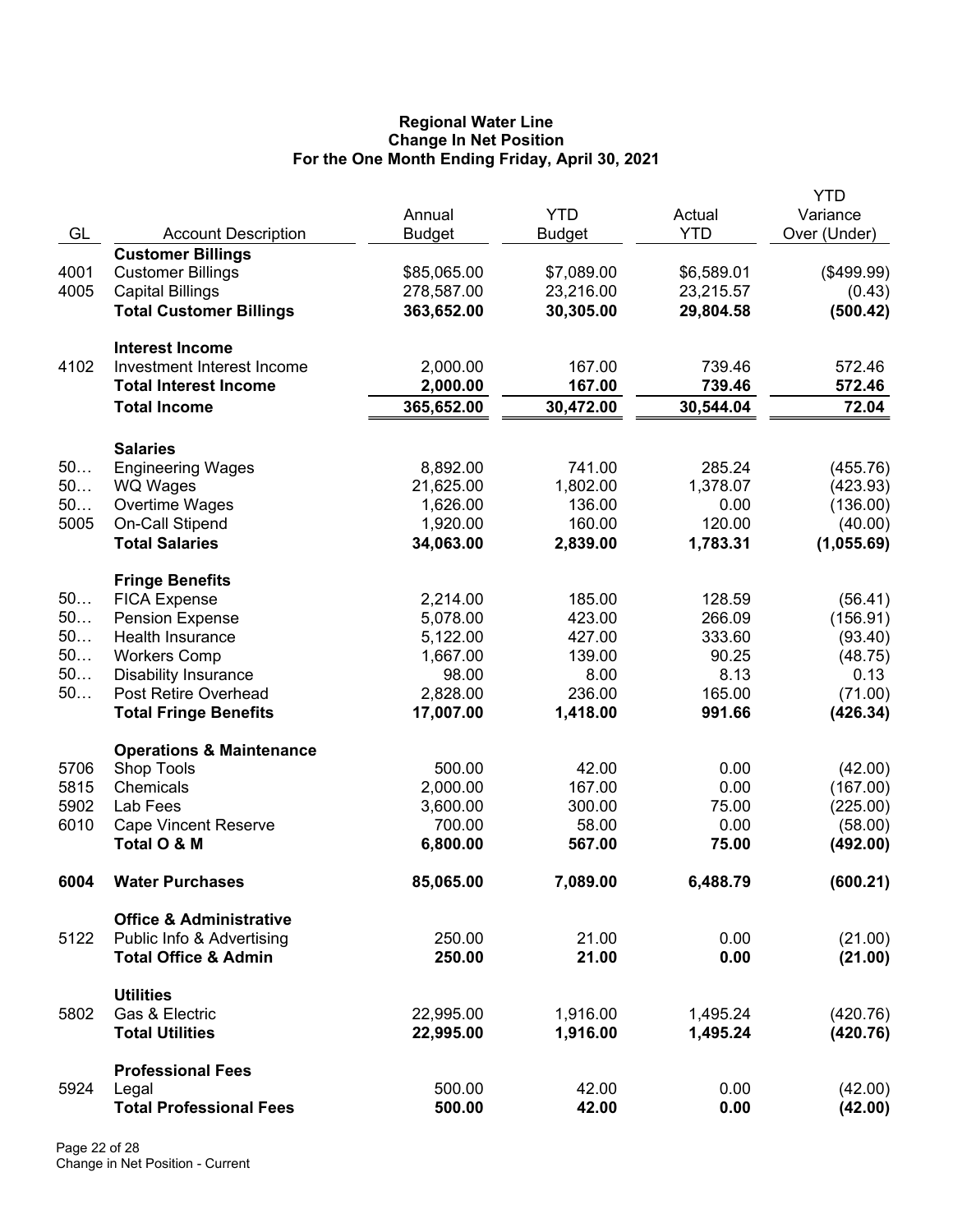#### **Regional Water Line Change In Net Position For the One Month Ending Friday, April 30, 2021**

|      |                                               |               |               |            | <b>YTD</b>   |
|------|-----------------------------------------------|---------------|---------------|------------|--------------|
|      |                                               | Annual        | <b>YTD</b>    | Actual     | Variance     |
| GL   | <b>Account Description</b>                    | <b>Budget</b> | <b>Budget</b> | <b>YTD</b> | Over (Under) |
|      | <b>Customer Billings</b>                      |               |               |            |              |
| 4001 | <b>Customer Billings</b>                      | \$85,065.00   | \$7,089.00    | \$6,589.01 | (\$499.99)   |
| 4005 | <b>Capital Billings</b>                       | 278,587.00    | 23,216.00     | 23,215.57  | (0.43)       |
|      | <b>Total Customer Billings</b>                | 363,652.00    | 30,305.00     | 29,804.58  | (500.42)     |
|      | <b>Interest Income</b>                        |               |               |            |              |
| 4102 | Investment Interest Income                    | 2,000.00      | 167.00        | 739.46     | 572.46       |
|      | <b>Total Interest Income</b>                  | 2,000.00      | 167.00        | 739.46     | 572.46       |
|      | <b>Total Income</b>                           | 365,652.00    | 30,472.00     | 30,544.04  | 72.04        |
|      |                                               |               |               |            |              |
|      | <b>Salaries</b>                               |               |               |            |              |
| 50   | <b>Engineering Wages</b>                      | 8,892.00      | 741.00        | 285.24     | (455.76)     |
| 50   | WQ Wages                                      | 21,625.00     | 1,802.00      | 1,378.07   | (423.93)     |
| 50   | Overtime Wages                                | 1,626.00      | 136.00        | 0.00       | (136.00)     |
| 5005 | On-Call Stipend                               | 1,920.00      | 160.00        | 120.00     | (40.00)      |
|      | <b>Total Salaries</b>                         | 34,063.00     | 2,839.00      | 1,783.31   | (1,055.69)   |
|      |                                               |               |               |            |              |
| 50   | <b>Fringe Benefits</b><br><b>FICA Expense</b> | 2,214.00      | 185.00        | 128.59     | (56.41)      |
| 50   | <b>Pension Expense</b>                        | 5,078.00      | 423.00        | 266.09     |              |
| 50   |                                               |               |               |            | (156.91)     |
| 50   | Health Insurance                              | 5,122.00      | 427.00        | 333.60     | (93.40)      |
| 50   | <b>Workers Comp</b>                           | 1,667.00      | 139.00        | 90.25      | (48.75)      |
|      | <b>Disability Insurance</b>                   | 98.00         | 8.00          | 8.13       | 0.13         |
| 50   | Post Retire Overhead                          | 2,828.00      | 236.00        | 165.00     | (71.00)      |
|      | <b>Total Fringe Benefits</b>                  | 17,007.00     | 1,418.00      | 991.66     | (426.34)     |
|      | <b>Operations &amp; Maintenance</b>           |               |               |            |              |
| 5706 | Shop Tools                                    | 500.00        | 42.00         | 0.00       | (42.00)      |
| 5815 | Chemicals                                     | 2,000.00      | 167.00        | 0.00       | (167.00)     |
| 5902 | Lab Fees                                      | 3,600.00      | 300.00        | 75.00      | (225.00)     |
| 6010 | <b>Cape Vincent Reserve</b>                   | 700.00        | 58.00         | 0.00       | (58.00)      |
|      | Total O & M                                   | 6,800.00      | 567.00        | 75.00      | (492.00)     |
| 6004 | <b>Water Purchases</b>                        | 85,065.00     | 7,089.00      | 6,488.79   | (600.21)     |
|      |                                               |               |               |            |              |
|      | <b>Office &amp; Administrative</b>            |               |               |            |              |
| 5122 | Public Info & Advertising                     | 250.00        | 21.00         | 0.00       | (21.00)      |
|      | <b>Total Office &amp; Admin</b>               | 250.00        | 21.00         | 0.00       | (21.00)      |
|      | <b>Utilities</b>                              |               |               |            |              |
| 5802 | Gas & Electric                                | 22,995.00     | 1,916.00      | 1,495.24   | (420.76)     |
|      | <b>Total Utilities</b>                        | 22,995.00     | 1,916.00      | 1,495.24   | (420.76)     |
|      | <b>Professional Fees</b>                      |               |               |            |              |
| 5924 | Legal                                         | 500.00        | 42.00         | 0.00       | (42.00)      |
|      | <b>Total Professional Fees</b>                | 500.00        | 42.00         | 0.00       | (42.00)      |
|      |                                               |               |               |            |              |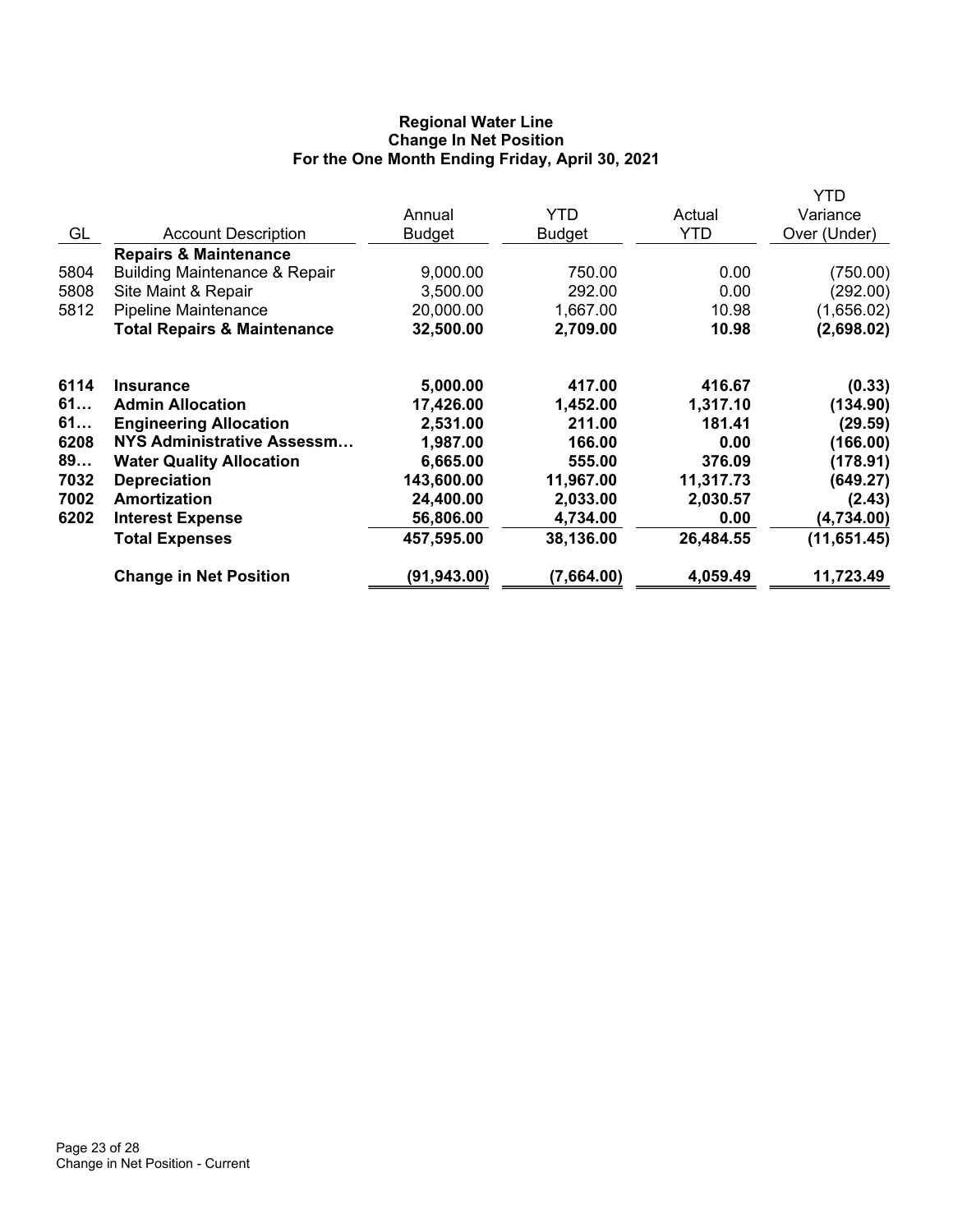# **Regional Water Line Change In Net Position For the One Month Ending Friday, April 30, 2021**

|      |                                          |               |               |           | YTD          |
|------|------------------------------------------|---------------|---------------|-----------|--------------|
|      |                                          | Annual        | <b>YTD</b>    | Actual    | Variance     |
| GL   | <b>Account Description</b>               | <b>Budget</b> | <b>Budget</b> | YTD       | Over (Under) |
|      | <b>Repairs &amp; Maintenance</b>         |               |               |           |              |
| 5804 | <b>Building Maintenance &amp; Repair</b> | 9,000.00      | 750.00        | 0.00      | (750.00)     |
| 5808 | Site Maint & Repair                      | 3,500.00      | 292.00        | 0.00      | (292.00)     |
| 5812 | <b>Pipeline Maintenance</b>              | 20,000.00     | 1,667.00      | 10.98     | (1,656.02)   |
|      | <b>Total Repairs &amp; Maintenance</b>   | 32,500.00     | 2,709.00      | 10.98     | (2,698.02)   |
| 6114 | <b>Insurance</b>                         | 5,000.00      | 417.00        | 416.67    | (0.33)       |
| 61   | <b>Admin Allocation</b>                  | 17,426.00     | 1,452.00      | 1,317.10  | (134.90)     |
| 61   | <b>Engineering Allocation</b>            | 2,531.00      | 211.00        | 181.41    | (29.59)      |
| 6208 | <b>NYS Administrative Assessm</b>        | 1,987.00      | 166.00        | 0.00      | (166.00)     |
| 89   | <b>Water Quality Allocation</b>          | 6,665.00      | 555.00        | 376.09    | (178.91)     |
| 7032 | <b>Depreciation</b>                      | 143,600.00    | 11,967.00     | 11,317.73 | (649.27)     |
| 7002 | Amortization                             | 24,400.00     | 2,033.00      | 2,030.57  | (2.43)       |
| 6202 | <b>Interest Expense</b>                  | 56,806.00     | 4,734.00      | 0.00      | (4,734.00)   |
|      | <b>Total Expenses</b>                    | 457,595.00    | 38,136.00     | 26,484.55 | (11, 651.45) |
|      | <b>Change in Net Position</b>            | (91, 943.00)  | (7,664.00)    | 4,059.49  | 11,723.49    |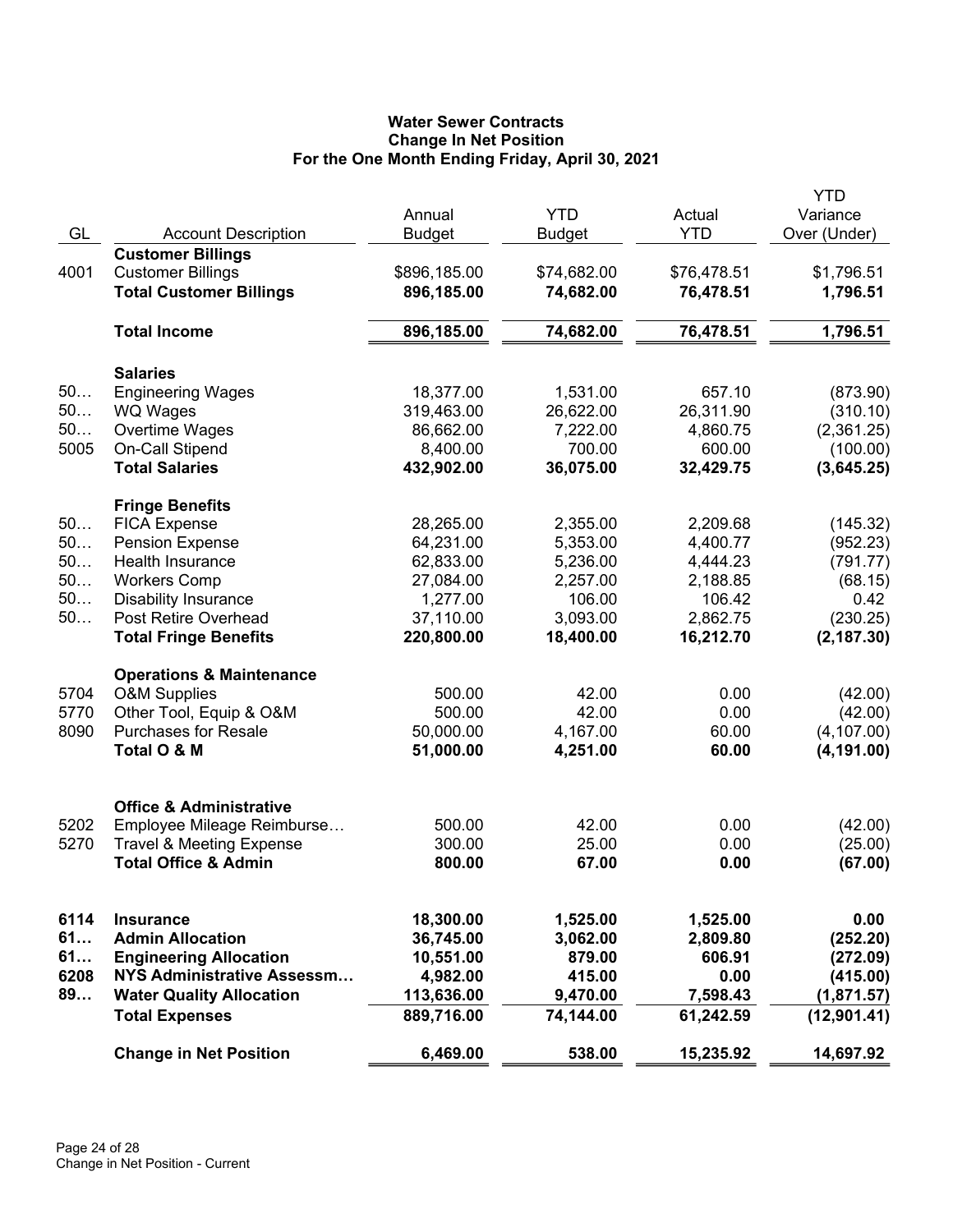# **Water Sewer Contracts Change In Net Position For the One Month Ending Friday, April 30, 2021**

|      |                                     | Annual        | <b>YTD</b>    | Actual      | YTD<br>Variance |
|------|-------------------------------------|---------------|---------------|-------------|-----------------|
| GL   | <b>Account Description</b>          | <b>Budget</b> | <b>Budget</b> | <b>YTD</b>  | Over (Under)    |
|      | <b>Customer Billings</b>            |               |               |             |                 |
| 4001 | <b>Customer Billings</b>            | \$896,185.00  | \$74,682.00   | \$76,478.51 | \$1,796.51      |
|      | <b>Total Customer Billings</b>      | 896,185.00    | 74,682.00     | 76,478.51   | 1,796.51        |
|      | <b>Total Income</b>                 | 896,185.00    | 74,682.00     | 76,478.51   | 1,796.51        |
|      | <b>Salaries</b>                     |               |               |             |                 |
| 50   | <b>Engineering Wages</b>            | 18,377.00     | 1,531.00      | 657.10      | (873.90)        |
| 50   | <b>WQ Wages</b>                     | 319,463.00    | 26,622.00     | 26,311.90   | (310.10)        |
| 50   | Overtime Wages                      | 86,662.00     | 7,222.00      | 4,860.75    | (2,361.25)      |
| 5005 | On-Call Stipend                     | 8,400.00      | 700.00        | 600.00      | (100.00)        |
|      | <b>Total Salaries</b>               | 432,902.00    | 36,075.00     | 32,429.75   | (3,645.25)      |
|      | <b>Fringe Benefits</b>              |               |               |             |                 |
| 50   | <b>FICA Expense</b>                 | 28,265.00     | 2,355.00      | 2,209.68    | (145.32)        |
| 50   | <b>Pension Expense</b>              | 64,231.00     | 5,353.00      | 4,400.77    | (952.23)        |
| 50   | <b>Health Insurance</b>             | 62,833.00     | 5,236.00      | 4,444.23    | (791.77)        |
| 50   | <b>Workers Comp</b>                 | 27,084.00     | 2,257.00      | 2,188.85    | (68.15)         |
| 50   | <b>Disability Insurance</b>         | 1,277.00      | 106.00        | 106.42      | 0.42            |
| 50   | Post Retire Overhead                | 37,110.00     | 3,093.00      | 2,862.75    | (230.25)        |
|      | <b>Total Fringe Benefits</b>        | 220,800.00    | 18,400.00     | 16,212.70   | (2, 187.30)     |
|      | <b>Operations &amp; Maintenance</b> |               |               |             |                 |
| 5704 | <b>O&amp;M Supplies</b>             | 500.00        | 42.00         | 0.00        | (42.00)         |
| 5770 | Other Tool, Equip & O&M             | 500.00        | 42.00         | 0.00        | (42.00)         |
| 8090 | <b>Purchases for Resale</b>         | 50,000.00     | 4,167.00      | 60.00       | (4, 107.00)     |
|      | Total O & M                         | 51,000.00     | 4,251.00      | 60.00       | (4, 191.00)     |
|      | <b>Office &amp; Administrative</b>  |               |               |             |                 |
| 5202 | Employee Mileage Reimburse          | 500.00        | 42.00         | 0.00        | (42.00)         |
| 5270 | <b>Travel &amp; Meeting Expense</b> | 300.00        | 25.00         | 0.00        | (25.00)         |
|      | <b>Total Office &amp; Admin</b>     | 800.00        | 67.00         | 0.00        | (67.00)         |
|      |                                     |               |               |             |                 |
| 6114 | <b>Insurance</b>                    | 18,300.00     | 1,525.00      | 1,525.00    | 0.00            |
| 61   | <b>Admin Allocation</b>             | 36,745.00     | 3,062.00      | 2,809.80    | (252.20)        |
| 61   | <b>Engineering Allocation</b>       | 10,551.00     | 879.00        | 606.91      | (272.09)        |
| 6208 | NYS Administrative Assessm          | 4,982.00      | 415.00        | 0.00        | (415.00)        |
| 89   | <b>Water Quality Allocation</b>     | 113,636.00    | 9,470.00      | 7,598.43    | (1,871.57)      |
|      | <b>Total Expenses</b>               | 889,716.00    | 74,144.00     | 61,242.59   | (12, 901.41)    |
|      | <b>Change in Net Position</b>       | 6,469.00      | 538.00        | 15,235.92   | 14,697.92       |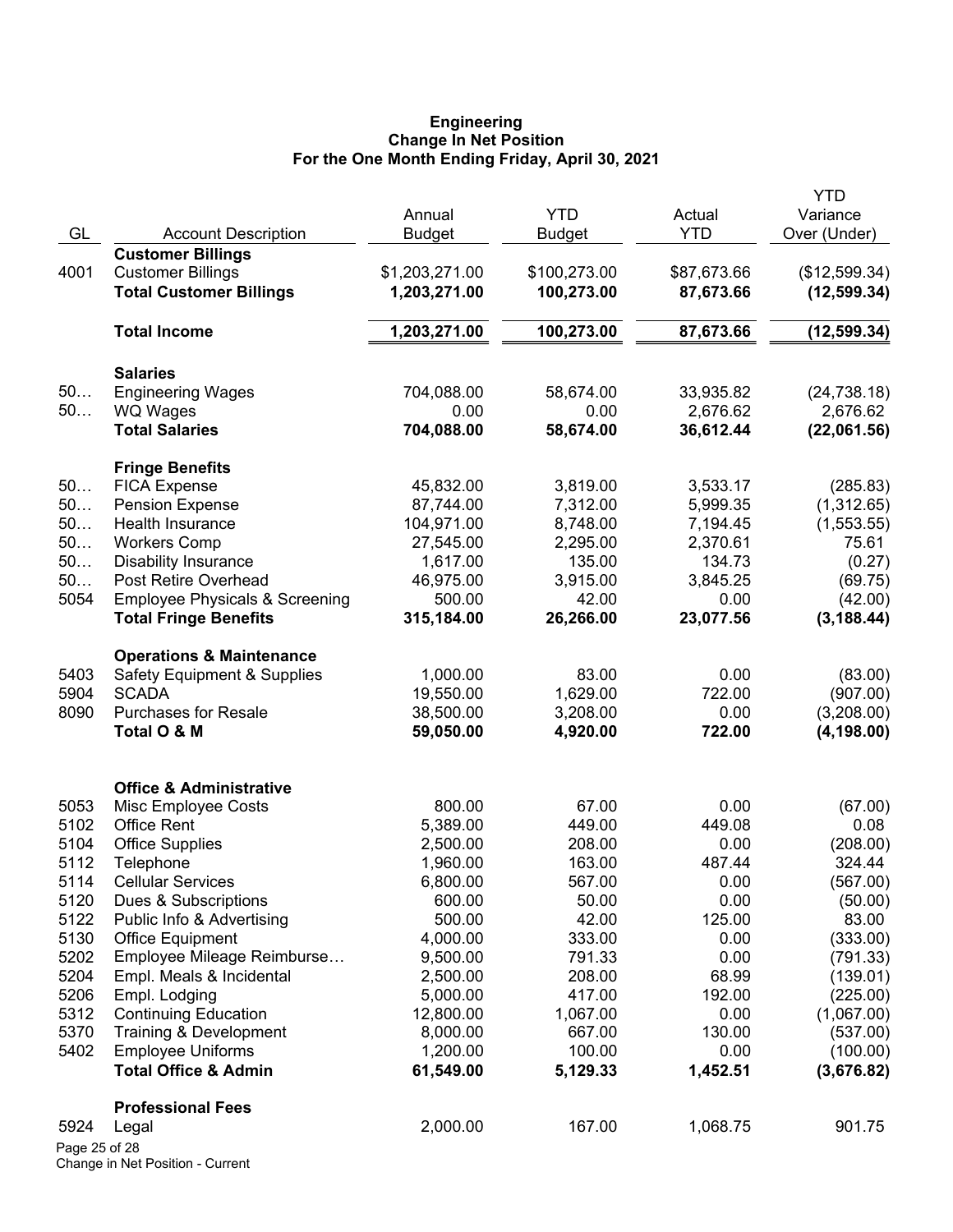#### **Engineering Change In Net Position For the One Month Ending Friday, April 30, 2021**

| GL            | <b>Account Description</b>                                                | Annual<br><b>Budget</b> | <b>YTD</b><br><b>Budget</b> | Actual<br><b>YTD</b> | <b>YTD</b><br>Variance<br>Over (Under) |
|---------------|---------------------------------------------------------------------------|-------------------------|-----------------------------|----------------------|----------------------------------------|
|               | <b>Customer Billings</b>                                                  |                         |                             |                      |                                        |
| 4001          | <b>Customer Billings</b>                                                  | \$1,203,271.00          | \$100,273.00                | \$87,673.66          | (\$12,599.34)                          |
|               | <b>Total Customer Billings</b>                                            | 1,203,271.00            | 100,273.00                  | 87,673.66            | (12, 599.34)                           |
|               | <b>Total Income</b>                                                       | 1,203,271.00            | 100,273.00                  | 87,673.66            | (12, 599.34)                           |
|               | <b>Salaries</b>                                                           |                         |                             |                      |                                        |
| 50            | <b>Engineering Wages</b>                                                  | 704,088.00              | 58,674.00                   | 33,935.82            | (24, 738.18)                           |
| $50$          | <b>WQ Wages</b>                                                           | 0.00                    | 0.00                        | 2,676.62             | 2,676.62                               |
|               | <b>Total Salaries</b>                                                     | 704,088.00              | 58,674.00                   | 36,612.44            | (22,061.56)                            |
|               | <b>Fringe Benefits</b>                                                    |                         |                             |                      |                                        |
| 50            | <b>FICA Expense</b>                                                       | 45,832.00               | 3,819.00                    | 3,533.17             | (285.83)                               |
| 50            | <b>Pension Expense</b>                                                    | 87,744.00               | 7,312.00                    | 5,999.35             | (1,312.65)                             |
| 50            | Health Insurance                                                          | 104,971.00              | 8,748.00                    | 7,194.45             | (1,553.55)                             |
| 50            | <b>Workers Comp</b>                                                       | 27,545.00               | 2,295.00                    | 2,370.61             | 75.61                                  |
| 50            | <b>Disability Insurance</b>                                               | 1,617.00                | 135.00                      | 134.73               | (0.27)                                 |
| 50            | Post Retire Overhead                                                      | 46,975.00               | 3,915.00                    | 3,845.25             | (69.75)                                |
| 5054          | <b>Employee Physicals &amp; Screening</b><br><b>Total Fringe Benefits</b> | 500.00<br>315,184.00    | 42.00<br>26,266.00          | 0.00<br>23,077.56    | (42.00)<br>(3, 188.44)                 |
|               |                                                                           |                         |                             |                      |                                        |
|               | <b>Operations &amp; Maintenance</b>                                       |                         |                             |                      |                                        |
| 5403          | <b>Safety Equipment &amp; Supplies</b>                                    | 1,000.00                | 83.00                       | 0.00                 | (83.00)                                |
| 5904          | <b>SCADA</b>                                                              | 19,550.00               | 1,629.00                    | 722.00               | (907.00)                               |
| 8090          | <b>Purchases for Resale</b>                                               | 38,500.00               | 3,208.00                    | 0.00                 | (3,208.00)                             |
|               | Total O & M                                                               | 59,050.00               | 4,920.00                    | 722.00               | (4, 198.00)                            |
|               | <b>Office &amp; Administrative</b>                                        |                         |                             |                      |                                        |
| 5053          | Misc Employee Costs                                                       | 800.00                  | 67.00                       | 0.00                 | (67.00)                                |
| 5102          | <b>Office Rent</b>                                                        | 5,389.00                | 449.00                      | 449.08               | 0.08                                   |
| 5104          | <b>Office Supplies</b>                                                    | 2,500.00                | 208.00                      | 0.00                 | (208.00)                               |
| 5112          | Telephone                                                                 | 1,960.00                | 163.00                      | 487.44               | 324.44                                 |
| 5114          | <b>Cellular Services</b>                                                  | 6,800.00                | 567.00                      | 0.00                 | (567.00)                               |
| 5120          | Dues & Subscriptions                                                      | 600.00                  | 50.00                       | 0.00                 | (50.00)                                |
| 5122          | Public Info & Advertising                                                 | 500.00                  | 42.00                       | 125.00               | 83.00                                  |
| 5130          | <b>Office Equipment</b>                                                   | 4,000.00                | 333.00                      | 0.00                 | (333.00)                               |
| 5202          | Employee Mileage Reimburse                                                | 9,500.00                | 791.33                      | 0.00                 | (791.33)                               |
| 5204          | Empl. Meals & Incidental                                                  | 2,500.00                | 208.00                      | 68.99                | (139.01)                               |
| 5206          | Empl. Lodging                                                             | 5,000.00                | 417.00                      | 192.00               | (225.00)                               |
| 5312          | <b>Continuing Education</b>                                               | 12,800.00               | 1,067.00                    | 0.00                 | (1,067.00)                             |
| 5370          | Training & Development                                                    | 8,000.00                | 667.00                      | 130.00               | (537.00)                               |
| 5402          | <b>Employee Uniforms</b>                                                  | 1,200.00                | 100.00                      | 0.00                 | (100.00)                               |
|               | <b>Total Office &amp; Admin</b>                                           | 61,549.00               | 5,129.33                    | 1,452.51             | (3,676.82)                             |
|               | <b>Professional Fees</b>                                                  |                         |                             |                      |                                        |
| 5924          | Legal                                                                     | 2,000.00                | 167.00                      | 1,068.75             | 901.75                                 |
| Page 25 of 28 |                                                                           |                         |                             |                      |                                        |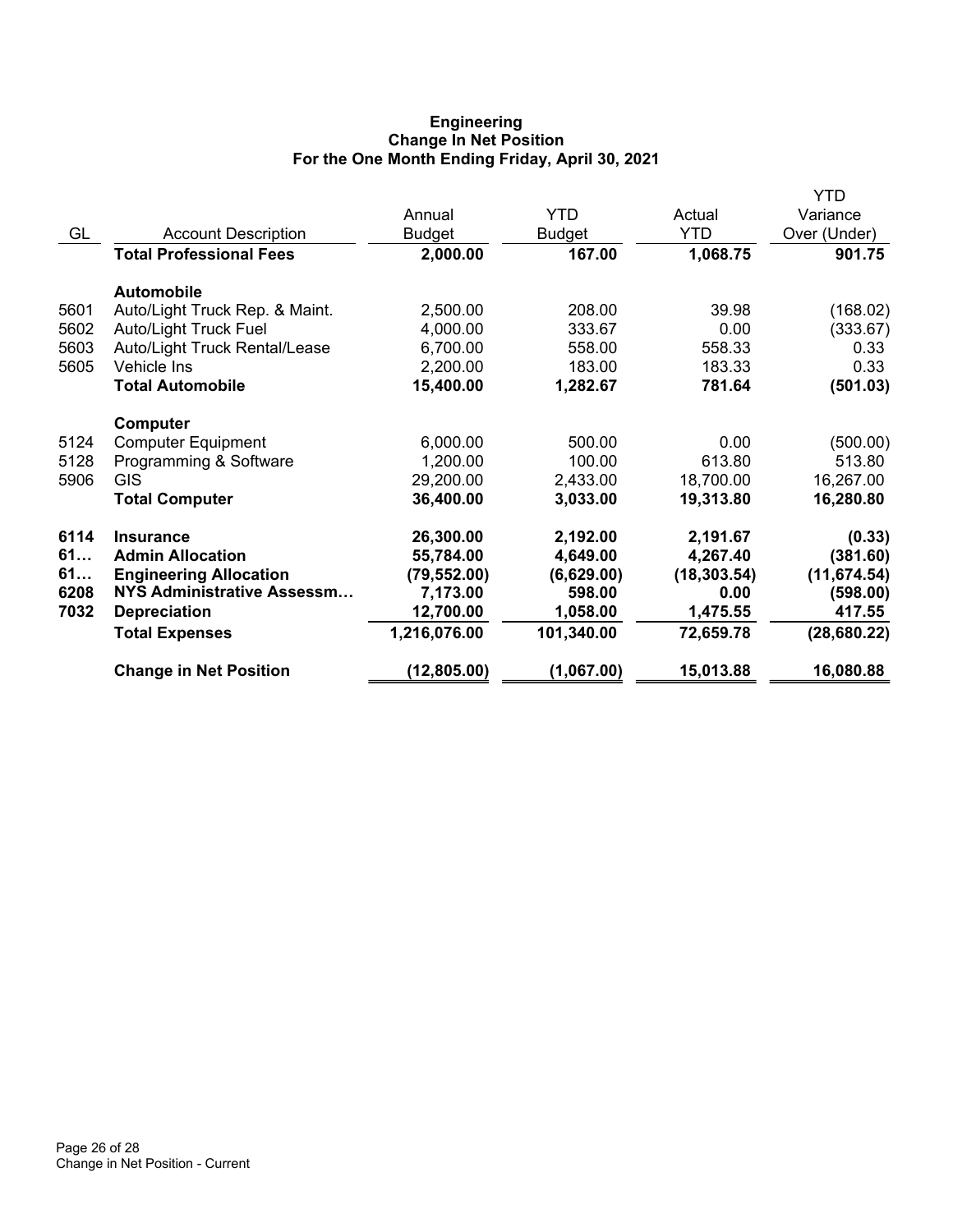## **Engineering Change In Net Position For the One Month Ending Friday, April 30, 2021**

|      |                                |               |            |              | YTD          |
|------|--------------------------------|---------------|------------|--------------|--------------|
|      |                                | Annual        | YTD        | Actual       | Variance     |
| GL   | <b>Account Description</b>     | <b>Budget</b> | Budget     | <b>YTD</b>   | Over (Under) |
|      | <b>Total Professional Fees</b> | 2,000.00      | 167.00     | 1,068.75     | 901.75       |
|      | <b>Automobile</b>              |               |            |              |              |
| 5601 | Auto/Light Truck Rep. & Maint. | 2,500.00      | 208.00     | 39.98        | (168.02)     |
| 5602 | <b>Auto/Light Truck Fuel</b>   | 4,000.00      | 333.67     | 0.00         | (333.67)     |
| 5603 | Auto/Light Truck Rental/Lease  | 6,700.00      | 558.00     | 558.33       | 0.33         |
| 5605 | Vehicle Ins                    | 2,200.00      | 183.00     | 183.33       | 0.33         |
|      | <b>Total Automobile</b>        | 15,400.00     | 1,282.67   | 781.64       | (501.03)     |
|      | Computer                       |               |            |              |              |
| 5124 | <b>Computer Equipment</b>      | 6,000.00      | 500.00     | 0.00         | (500.00)     |
| 5128 | Programming & Software         | 1,200.00      | 100.00     | 613.80       | 513.80       |
| 5906 | <b>GIS</b>                     | 29,200.00     | 2,433.00   | 18,700.00    | 16,267.00    |
|      | <b>Total Computer</b>          | 36,400.00     | 3,033.00   | 19,313.80    | 16,280.80    |
| 6114 | <b>Insurance</b>               | 26,300.00     | 2,192.00   | 2,191.67     | (0.33)       |
| 61   | <b>Admin Allocation</b>        | 55,784.00     | 4,649.00   | 4,267.40     | (381.60)     |
| 61   | <b>Engineering Allocation</b>  | (79, 552.00)  | (6,629.00) | (18, 303.54) | (11, 674.54) |
| 6208 | NYS Administrative Assessm     | 7,173.00      | 598.00     | 0.00         | (598.00)     |
| 7032 | <b>Depreciation</b>            | 12,700.00     | 1,058.00   | 1,475.55     | 417.55       |
|      | <b>Total Expenses</b>          | 1,216,076.00  | 101,340.00 | 72,659.78    | (28, 680.22) |
|      | <b>Change in Net Position</b>  | (12, 805.00)  | (1,067.00) | 15,013.88    | 16,080.88    |
|      |                                |               |            |              |              |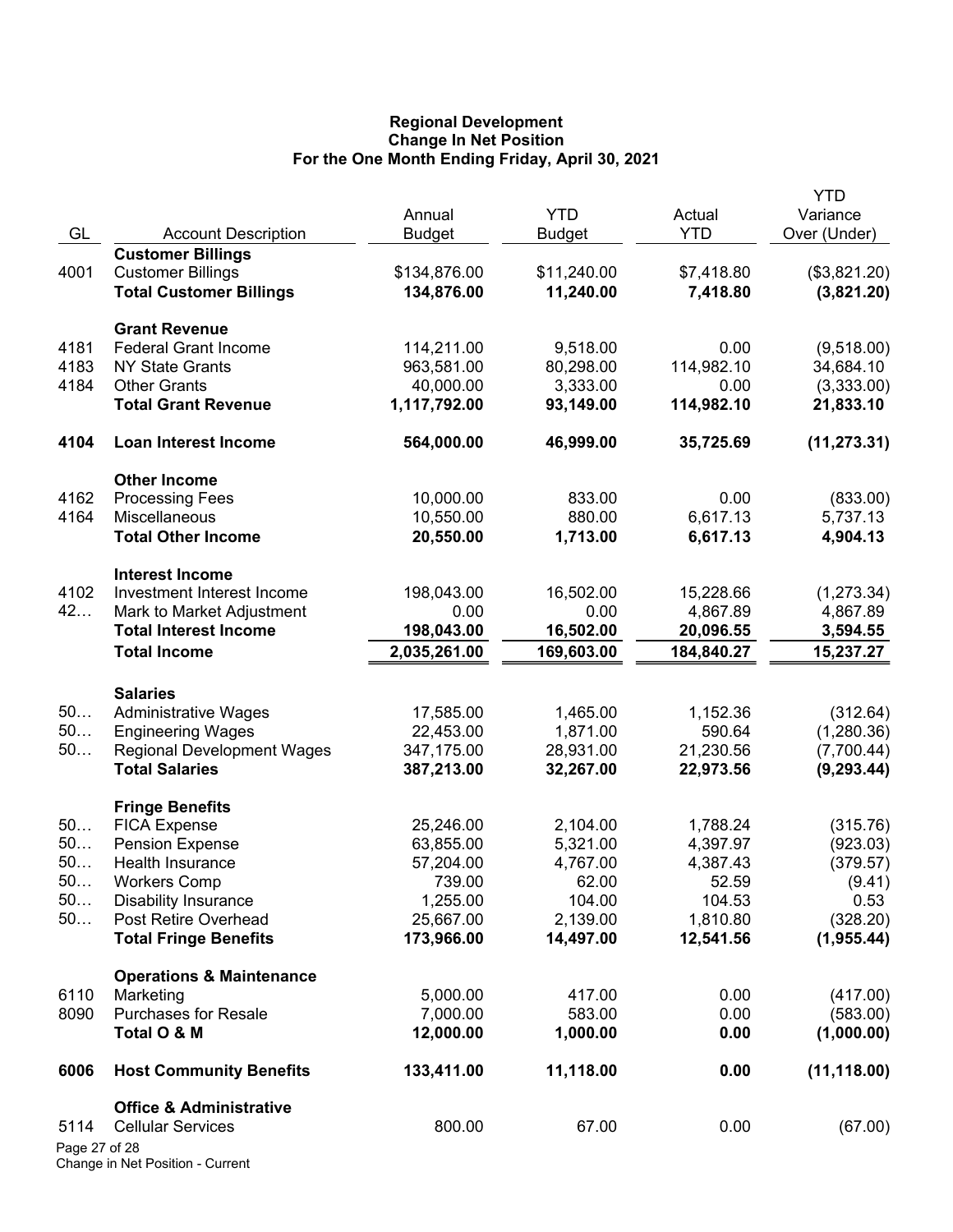## **Regional Development Change In Net Position For the One Month Ending Friday, April 30, 2021**

|               |                                                      | Annual                  | <b>YTD</b>            | Actual                | <b>YTD</b><br>Variance |
|---------------|------------------------------------------------------|-------------------------|-----------------------|-----------------------|------------------------|
| GL            | <b>Account Description</b>                           | <b>Budget</b>           | Budget                | <b>YTD</b>            | Over (Under)           |
|               | <b>Customer Billings</b>                             |                         |                       |                       |                        |
| 4001          | <b>Customer Billings</b>                             | \$134,876.00            | \$11,240.00           | \$7,418.80            | (\$3,821.20)           |
|               | <b>Total Customer Billings</b>                       | 134,876.00              | 11,240.00             | 7,418.80              | (3,821.20)             |
|               | <b>Grant Revenue</b>                                 |                         |                       |                       |                        |
| 4181          | <b>Federal Grant Income</b>                          | 114,211.00              | 9,518.00              | 0.00                  | (9,518.00)             |
| 4183          | <b>NY State Grants</b>                               | 963,581.00              | 80,298.00             | 114,982.10            | 34,684.10              |
| 4184          | <b>Other Grants</b>                                  | 40,000.00               | 3,333.00              | 0.00                  | (3,333.00)             |
|               | <b>Total Grant Revenue</b>                           | 1,117,792.00            | 93,149.00             | 114,982.10            | 21,833.10              |
| 4104          | <b>Loan Interest Income</b>                          | 564,000.00              | 46,999.00             | 35,725.69             | (11, 273.31)           |
|               | <b>Other Income</b>                                  |                         |                       |                       |                        |
| 4162          | <b>Processing Fees</b>                               | 10,000.00               | 833.00                | 0.00                  | (833.00)               |
| 4164          | Miscellaneous                                        | 10,550.00               | 880.00                | 6,617.13              | 5,737.13               |
|               | <b>Total Other Income</b>                            | 20,550.00               | 1,713.00              | 6,617.13              | 4,904.13               |
|               | <b>Interest Income</b>                               |                         |                       |                       |                        |
| 4102          | Investment Interest Income                           | 198,043.00              | 16,502.00             | 15,228.66             | (1, 273.34)            |
| 42            | Mark to Market Adjustment                            | 0.00                    | 0.00                  | 4,867.89              | 4,867.89               |
|               | <b>Total Interest Income</b>                         | 198,043.00              | 16,502.00             | 20,096.55             | 3,594.55               |
|               | <b>Total Income</b>                                  | 2,035,261.00            | 169,603.00            | 184,840.27            | 15,237.27              |
|               | <b>Salaries</b>                                      |                         |                       |                       |                        |
| 50            | <b>Administrative Wages</b>                          | 17,585.00               | 1,465.00              | 1,152.36              | (312.64)               |
| 50            | <b>Engineering Wages</b>                             | 22,453.00               | 1,871.00              | 590.64                | (1,280.36)             |
| 50            | <b>Regional Development Wages</b>                    | 347,175.00              | 28,931.00             | 21,230.56             | (7,700.44)             |
|               | <b>Total Salaries</b>                                | 387,213.00              | 32,267.00             | 22,973.56             | (9, 293.44)            |
|               | <b>Fringe Benefits</b>                               |                         |                       |                       |                        |
| 50            | <b>FICA Expense</b>                                  | 25,246.00               | 2,104.00              | 1,788.24              | (315.76)               |
| 50            | <b>Pension Expense</b>                               | 63,855.00               | 5,321.00              | 4,397.97              | (923.03)               |
| 50            | Health Insurance                                     | 57,204.00               | 4,767.00              | 4,387.43              | (379.57)               |
| 50.           | <b>Workers Comp</b>                                  | 739.00                  | 62.00                 | 52.59                 | (9.41)                 |
| 50            | <b>Disability Insurance</b>                          | 1,255.00                | 104.00                | 104.53                | 0.53                   |
| 50            | Post Retire Overhead<br><b>Total Fringe Benefits</b> | 25,667.00<br>173,966.00 | 2,139.00<br>14,497.00 | 1,810.80<br>12,541.56 | (328.20)<br>(1,955.44) |
|               |                                                      |                         |                       |                       |                        |
|               | <b>Operations &amp; Maintenance</b>                  |                         |                       |                       |                        |
| 6110          | Marketing<br><b>Purchases for Resale</b>             | 5,000.00<br>7,000.00    | 417.00<br>583.00      | 0.00<br>0.00          | (417.00)<br>(583.00)   |
| 8090          | Total O & M                                          | 12,000.00               | 1,000.00              | 0.00                  | (1,000.00)             |
| 6006          | <b>Host Community Benefits</b>                       | 133,411.00              | 11,118.00             | 0.00                  | (11, 118.00)           |
|               | <b>Office &amp; Administrative</b>                   |                         |                       |                       |                        |
| 5114          | <b>Cellular Services</b>                             | 800.00                  | 67.00                 | 0.00                  | (67.00)                |
| Page 27 of 28 |                                                      |                         |                       |                       |                        |